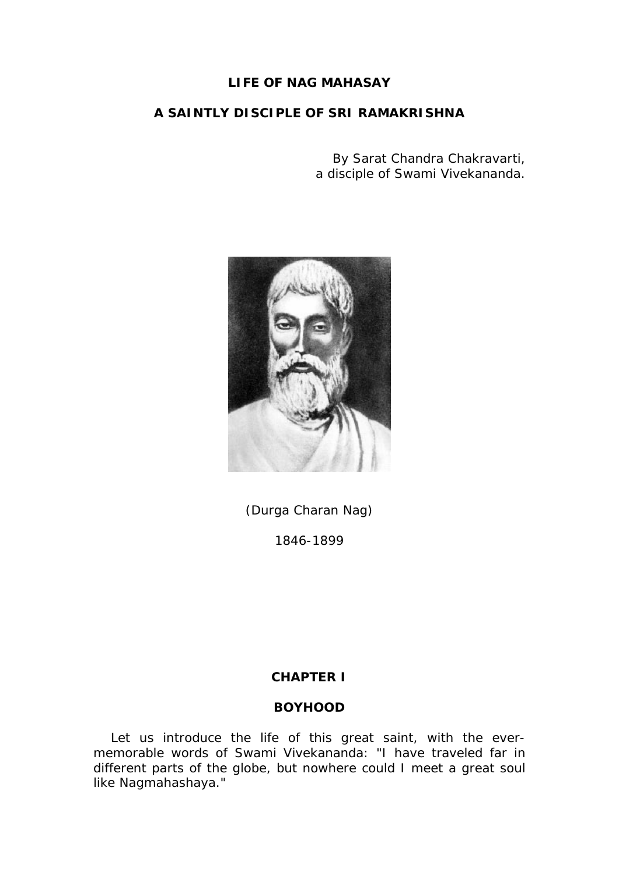# **LIFE OF NAG MAHASAY**

# **A SAINTLY DISCIPLE OF SRI RAMAKRISHNA**

By Sarat Chandra Chakravarti, a disciple of Swami Vivekananda.



(Durga Charan Nag)

1846-1899

# **CHAPTER I**

### **BOYHOOD**

 Let us introduce the life of this great saint, with the evermemorable words of Swami Vivekananda: "I have traveled far in different parts of the globe, but nowhere could I meet a great soul like Nagmahashaya."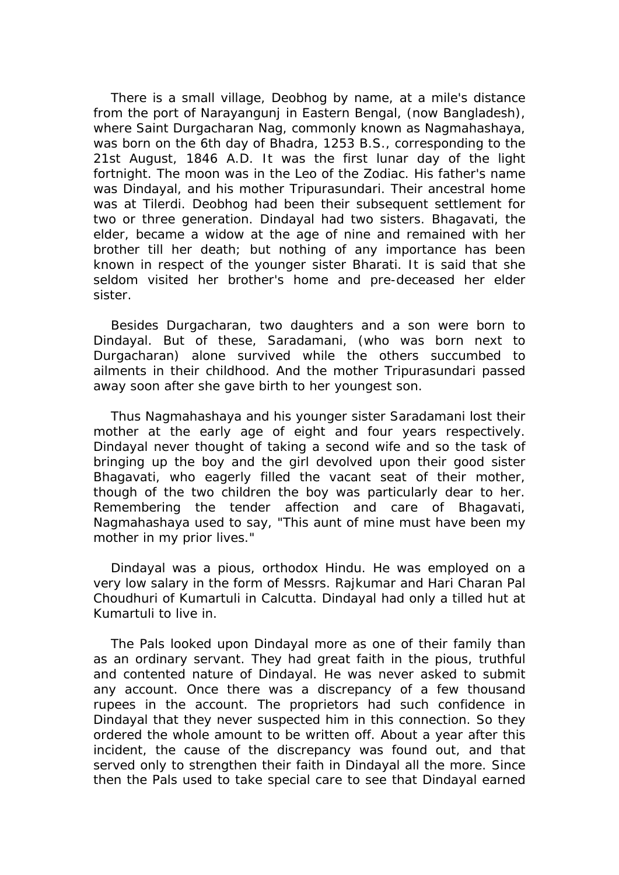There is a small village, Deobhog by name, at a mile's distance from the port of Narayangunj in Eastern Bengal, (now Bangladesh), where Saint Durgacharan Nag, commonly known as Nagmahashaya, was born on the 6th day of Bhadra, 1253 B.S., corresponding to the 21st August, 1846 A.D. It was the first lunar day of the light fortnight. The moon was in the Leo of the Zodiac. His father's name was Dindayal, and his mother Tripurasundari. Their ancestral home was at Tilerdi. Deobhog had been their subsequent settlement for two or three generation. Dindayal had two sisters. Bhagavati, the elder, became a widow at the age of nine and remained with her brother till her death; but nothing of any importance has been known in respect of the younger sister Bharati. It is said that she seldom visited her brother's home and pre-deceased her elder sister.

 Besides Durgacharan, two daughters and a son were born to Dindayal. But of these, Saradamani, (who was born next to Durgacharan) alone survived while the others succumbed to ailments in their childhood. And the mother Tripurasundari passed away soon after she gave birth to her youngest son.

 Thus Nagmahashaya and his younger sister Saradamani lost their mother at the early age of eight and four years respectively. Dindayal never thought of taking a second wife and so the task of bringing up the boy and the girl devolved upon their good sister Bhagavati, who eagerly filled the vacant seat of their mother, though of the two children the boy was particularly dear to her. Remembering the tender affection and care of Bhagavati, Nagmahashaya used to say, "This aunt of mine must have been my mother in my prior lives."

 Dindayal was a pious, orthodox Hindu. He was employed on a very low salary in the form of Messrs. Rajkumar and Hari Charan Pal Choudhuri of Kumartuli in Calcutta. Dindayal had only a tilled hut at Kumartuli to live in.

 The Pals looked upon Dindayal more as one of their family than as an ordinary servant. They had great faith in the pious, truthful and contented nature of Dindayal. He was never asked to submit any account. Once there was a discrepancy of a few thousand rupees in the account. The proprietors had such confidence in Dindayal that they never suspected him in this connection. So they ordered the whole amount to be written off. About a year after this incident, the cause of the discrepancy was found out, and that served only to strengthen their faith in Dindayal all the more. Since then the Pals used to take special care to see that Dindayal earned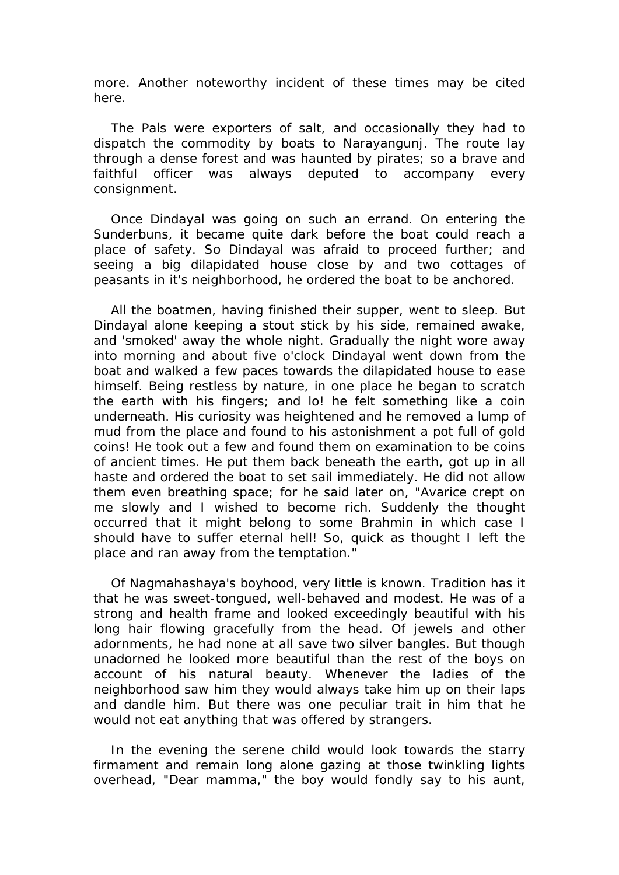more. Another noteworthy incident of these times may be cited here.

 The Pals were exporters of salt, and occasionally they had to dispatch the commodity by boats to Narayangunj. The route lay through a dense forest and was haunted by pirates; so a brave and faithful officer was always deputed to accompany every consignment.

 Once Dindayal was going on such an errand. On entering the Sunderbuns, it became quite dark before the boat could reach a place of safety. So Dindayal was afraid to proceed further; and seeing a big dilapidated house close by and two cottages of peasants in it's neighborhood, he ordered the boat to be anchored.

 All the boatmen, having finished their supper, went to sleep. But Dindayal alone keeping a stout stick by his side, remained awake, and 'smoked' away the whole night. Gradually the night wore away into morning and about five o'clock Dindayal went down from the boat and walked a few paces towards the dilapidated house to ease himself. Being restless by nature, in one place he began to scratch the earth with his fingers; and lo! he felt something like a coin underneath. His curiosity was heightened and he removed a lump of mud from the place and found to his astonishment a pot full of gold coins! He took out a few and found them on examination to be coins of ancient times. He put them back beneath the earth, got up in all haste and ordered the boat to set sail immediately. He did not allow them even breathing space; for he said later on, "Avarice crept on me slowly and I wished to become rich. Suddenly the thought occurred that it might belong to some Brahmin in which case I should have to suffer eternal hell! So, quick as thought I left the place and ran away from the temptation."

 Of Nagmahashaya's boyhood, very little is known. Tradition has it that he was sweet-tongued, well-behaved and modest. He was of a strong and health frame and looked exceedingly beautiful with his long hair flowing gracefully from the head. Of jewels and other adornments, he had none at all save two silver bangles. But though unadorned he looked more beautiful than the rest of the boys on account of his natural beauty. Whenever the ladies of the neighborhood saw him they would always take him up on their laps and dandle him. But there was one peculiar trait in him that he would not eat anything that was offered by strangers.

 In the evening the serene child would look towards the starry firmament and remain long alone gazing at those twinkling lights overhead, "Dear mamma," the boy would fondly say to his aunt,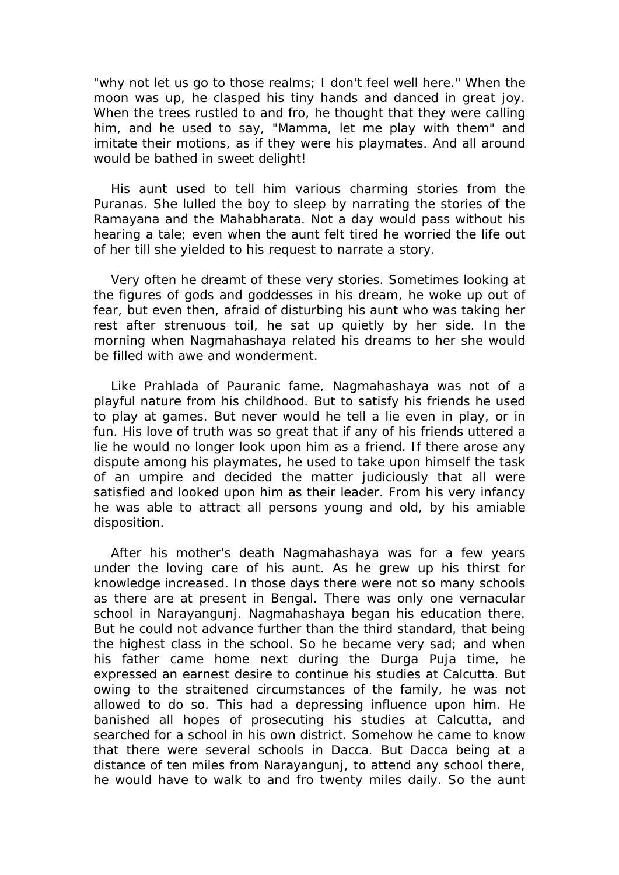"why not let us go to those realms; I don't feel well here." When the moon was up, he clasped his tiny hands and danced in great joy. When the trees rustled to and fro, he thought that they were calling him, and he used to say, "Mamma, let me play with them" and imitate their motions, as if they were his playmates. And all around would be bathed in sweet delight!

 His aunt used to tell him various charming stories from the Puranas. She lulled the boy to sleep by narrating the stories of the Ramayana and the Mahabharata. Not a day would pass without his hearing a tale; even when the aunt felt tired he worried the life out of her till she yielded to his request to narrate a story.

 Very often he dreamt of these very stories. Sometimes looking at the figures of gods and goddesses in his dream, he woke up out of fear, but even then, afraid of disturbing his aunt who was taking her rest after strenuous toil, he sat up quietly by her side. In the morning when Nagmahashaya related his dreams to her she would be filled with awe and wonderment.

 Like Prahlada of Pauranic fame, Nagmahashaya was not of a playful nature from his childhood. But to satisfy his friends he used to play at games. But never would he tell a lie even in play, or in fun. His love of truth was so great that if any of his friends uttered a lie he would no longer look upon him as a friend. If there arose any dispute among his playmates, he used to take upon himself the task of an umpire and decided the matter judiciously that all were satisfied and looked upon him as their leader. From his very infancy he was able to attract all persons young and old, by his amiable disposition.

 After his mother's death Nagmahashaya was for a few years under the loving care of his aunt. As he grew up his thirst for knowledge increased. In those days there were not so many schools as there are at present in Bengal. There was only one vernacular school in Narayangunj. Nagmahashaya began his education there. But he could not advance further than the third standard, that being the highest class in the school. So he became very sad; and when his father came home next during the Durga Puja time, he expressed an earnest desire to continue his studies at Calcutta. But owing to the straitened circumstances of the family, he was not allowed to do so. This had a depressing influence upon him. He banished all hopes of prosecuting his studies at Calcutta, and searched for a school in his own district. Somehow he came to know that there were several schools in Dacca. But Dacca being at a distance of ten miles from Narayangunj, to attend any school there, he would have to walk to and fro twenty miles daily. So the aunt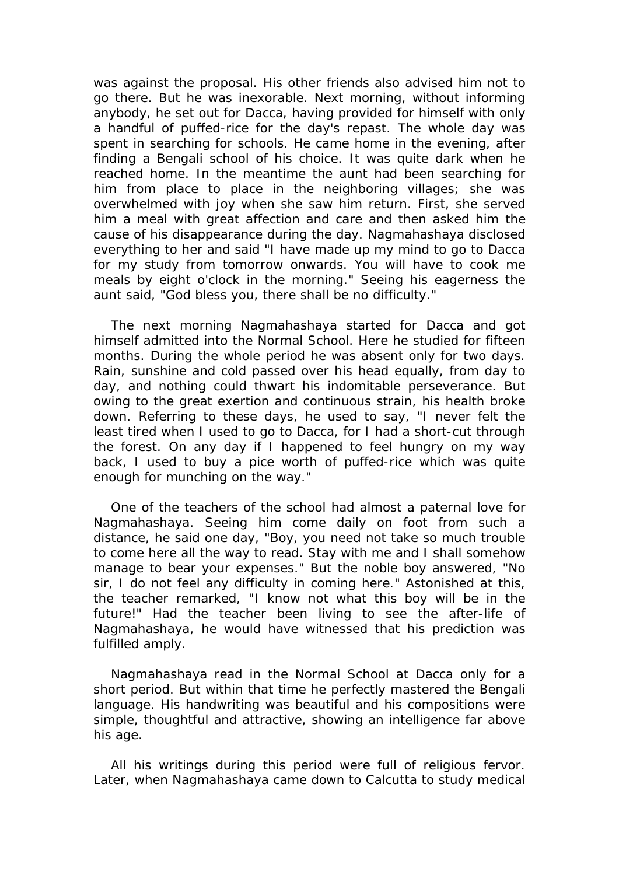was against the proposal. His other friends also advised him not to go there. But he was inexorable. Next morning, without informing anybody, he set out for Dacca, having provided for himself with only a handful of puffed-rice for the day's repast. The whole day was spent in searching for schools. He came home in the evening, after finding a Bengali school of his choice. It was quite dark when he reached home. In the meantime the aunt had been searching for him from place to place in the neighboring villages; she was overwhelmed with joy when she saw him return. First, she served him a meal with great affection and care and then asked him the cause of his disappearance during the day. Nagmahashaya disclosed everything to her and said "I have made up my mind to go to Dacca for my study from tomorrow onwards. You will have to cook me meals by eight o'clock in the morning." Seeing his eagerness the aunt said, "God bless you, there shall be no difficulty."

 The next morning Nagmahashaya started for Dacca and got himself admitted into the Normal School. Here he studied for fifteen months. During the whole period he was absent only for two days. Rain, sunshine and cold passed over his head equally, from day to day, and nothing could thwart his indomitable perseverance. But owing to the great exertion and continuous strain, his health broke down. Referring to these days, he used to say, "I never felt the least tired when I used to go to Dacca, for I had a short-cut through the forest. On any day if I happened to feel hungry on my way back, I used to buy a pice worth of puffed-rice which was quite enough for munching on the way."

 One of the teachers of the school had almost a paternal love for Nagmahashaya. Seeing him come daily on foot from such a distance, he said one day, "Boy, you need not take so much trouble to come here all the way to read. Stay with me and I shall somehow manage to bear your expenses." But the noble boy answered, "No sir, I do not feel any difficulty in coming here." Astonished at this, the teacher remarked, "I know not what this boy will be in the future!" Had the teacher been living to see the after-life of Nagmahashaya, he would have witnessed that his prediction was fulfilled amply.

 Nagmahashaya read in the Normal School at Dacca only for a short period. But within that time he perfectly mastered the Bengali language. His handwriting was beautiful and his compositions were simple, thoughtful and attractive, showing an intelligence far above his age.

 All his writings during this period were full of religious fervor. Later, when Nagmahashaya came down to Calcutta to study medical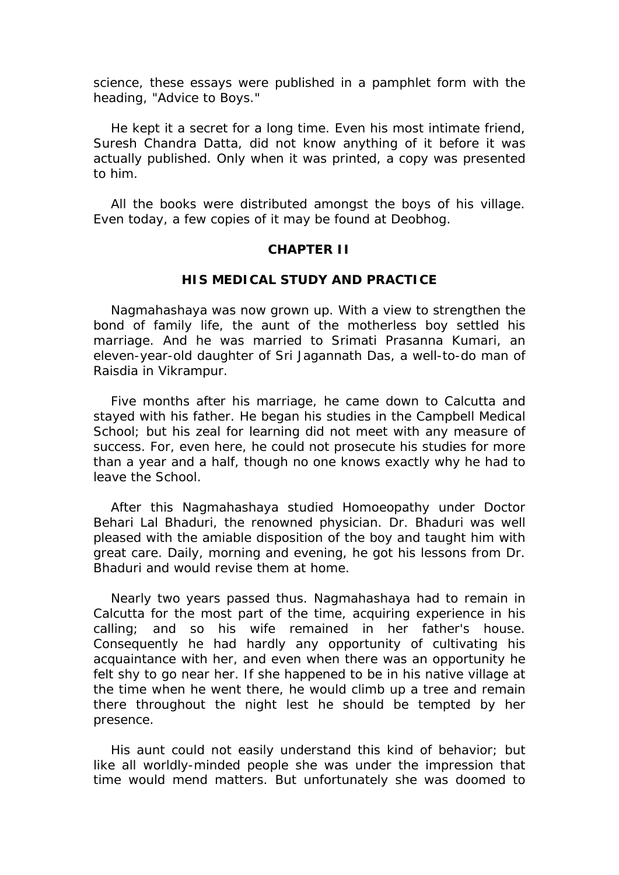science, these essays were published in a pamphlet form with the heading, "Advice to Boys."

 He kept it a secret for a long time. Even his most intimate friend, Suresh Chandra Datta, did not know anything of it before it was actually published. Only when it was printed, a copy was presented to him.

 All the books were distributed amongst the boys of his village. Even today, a few copies of it may be found at Deobhog.

### **CHAPTER II**

### **HIS MEDICAL STUDY AND PRACTICE**

 Nagmahashaya was now grown up. With a view to strengthen the bond of family life, the aunt of the motherless boy settled his marriage. And he was married to Srimati Prasanna Kumari, an eleven-year-old daughter of Sri Jagannath Das, a well-to-do man of Raisdia in Vikrampur.

 Five months after his marriage, he came down to Calcutta and stayed with his father. He began his studies in the Campbell Medical School; but his zeal for learning did not meet with any measure of success. For, even here, he could not prosecute his studies for more than a year and a half, though no one knows exactly why he had to leave the School.

 After this Nagmahashaya studied Homoeopathy under Doctor Behari Lal Bhaduri, the renowned physician. Dr. Bhaduri was well pleased with the amiable disposition of the boy and taught him with great care. Daily, morning and evening, he got his lessons from Dr. Bhaduri and would revise them at home.

 Nearly two years passed thus. Nagmahashaya had to remain in Calcutta for the most part of the time, acquiring experience in his calling; and so his wife remained in her father's house. Consequently he had hardly any opportunity of cultivating his acquaintance with her, and even when there was an opportunity he felt shy to go near her. If she happened to be in his native village at the time when he went there, he would climb up a tree and remain there throughout the night lest he should be tempted by her presence.

 His aunt could not easily understand this kind of behavior; but like all worldly-minded people she was under the impression that time would mend matters. But unfortunately she was doomed to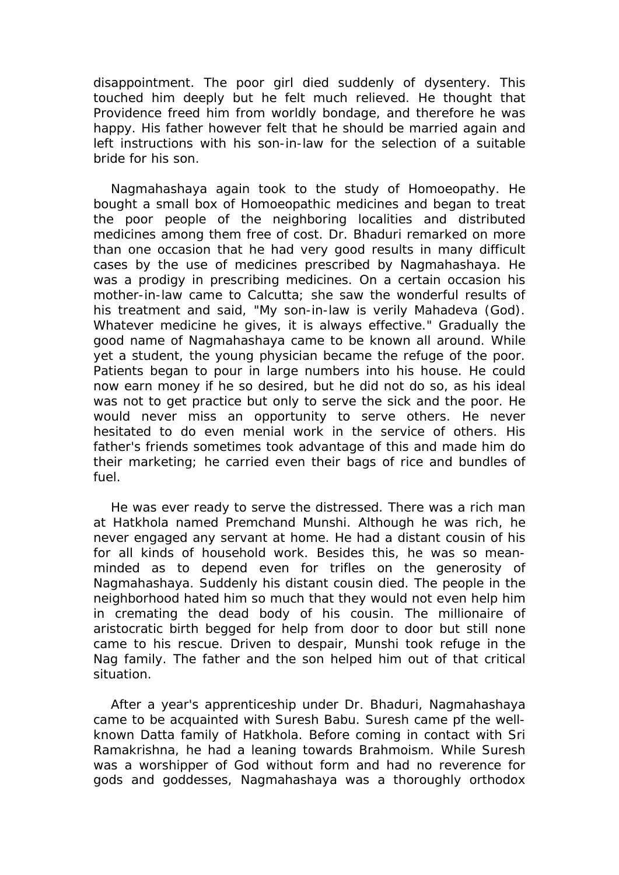disappointment. The poor girl died suddenly of dysentery. This touched him deeply but he felt much relieved. He thought that Providence freed him from worldly bondage, and therefore he was happy. His father however felt that he should be married again and left instructions with his son-in-law for the selection of a suitable bride for his son.

 Nagmahashaya again took to the study of Homoeopathy. He bought a small box of Homoeopathic medicines and began to treat the poor people of the neighboring localities and distributed medicines among them free of cost. Dr. Bhaduri remarked on more than one occasion that he had very good results in many difficult cases by the use of medicines prescribed by Nagmahashaya. He was a prodigy in prescribing medicines. On a certain occasion his mother-in-law came to Calcutta; she saw the wonderful results of his treatment and said, "My son-in-law is verily Mahadeva (God). Whatever medicine he gives, it is always effective." Gradually the good name of Nagmahashaya came to be known all around. While yet a student, the young physician became the refuge of the poor. Patients began to pour in large numbers into his house. He could now earn money if he so desired, but he did not do so, as his ideal was not to get practice but only to serve the sick and the poor. He would never miss an opportunity to serve others. He never hesitated to do even menial work in the service of others. His father's friends sometimes took advantage of this and made him do their marketing; he carried even their bags of rice and bundles of fuel.

 He was ever ready to serve the distressed. There was a rich man at Hatkhola named Premchand Munshi. Although he was rich, he never engaged any servant at home. He had a distant cousin of his for all kinds of household work. Besides this, he was so meanminded as to depend even for trifles on the generosity of Nagmahashaya. Suddenly his distant cousin died. The people in the neighborhood hated him so much that they would not even help him in cremating the dead body of his cousin. The millionaire of aristocratic birth begged for help from door to door but still none came to his rescue. Driven to despair, Munshi took refuge in the Nag family. The father and the son helped him out of that critical situation.

 After a year's apprenticeship under Dr. Bhaduri, Nagmahashaya came to be acquainted with Suresh Babu. Suresh came pf the wellknown Datta family of Hatkhola. Before coming in contact with Sri Ramakrishna, he had a leaning towards Brahmoism. While Suresh was a worshipper of God without form and had no reverence for gods and goddesses, Nagmahashaya was a thoroughly orthodox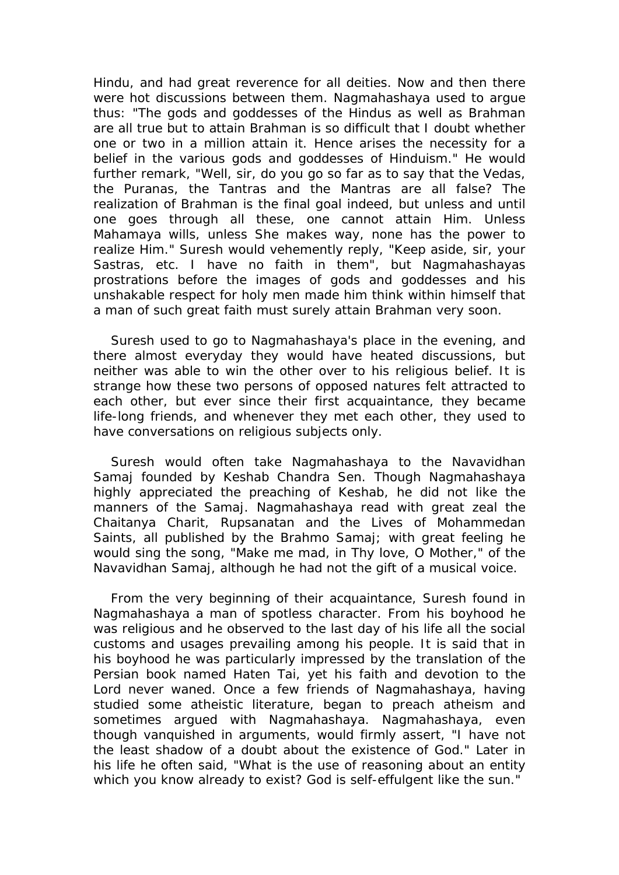Hindu, and had great reverence for all deities. Now and then there were hot discussions between them. Nagmahashaya used to argue thus: "The gods and goddesses of the Hindus as well as Brahman are all true but to attain Brahman is so difficult that I doubt whether one or two in a million attain it. Hence arises the necessity for a belief in the various gods and goddesses of Hinduism." He would further remark, "Well, sir, do you go so far as to say that the Vedas, the Puranas, the Tantras and the Mantras are all false? The realization of Brahman is the final goal indeed, but unless and until one goes through all these, one cannot attain Him. Unless Mahamaya wills, unless She makes way, none has the power to realize Him." Suresh would vehemently reply, "Keep aside, sir, your Sastras, etc. I have no faith in them", but Nagmahashayas prostrations before the images of gods and goddesses and his unshakable respect for holy men made him think within himself that a man of such great faith must surely attain Brahman very soon.

 Suresh used to go to Nagmahashaya's place in the evening, and there almost everyday they would have heated discussions, but neither was able to win the other over to his religious belief. It is strange how these two persons of opposed natures felt attracted to each other, but ever since their first acquaintance, they became life-long friends, and whenever they met each other, they used to have conversations on religious subjects only.

 Suresh would often take Nagmahashaya to the Navavidhan Samaj founded by Keshab Chandra Sen. Though Nagmahashaya highly appreciated the preaching of Keshab, he did not like the manners of the Samaj. Nagmahashaya read with great zeal the Chaitanya Charit, Rupsanatan and the Lives of Mohammedan Saints, all published by the Brahmo Samaj; with great feeling he would sing the song, "Make me mad, in Thy love, O Mother," of the Navavidhan Samaj, although he had not the gift of a musical voice.

 From the very beginning of their acquaintance, Suresh found in Nagmahashaya a man of spotless character. From his boyhood he was religious and he observed to the last day of his life all the social customs and usages prevailing among his people. It is said that in his boyhood he was particularly impressed by the translation of the Persian book named Haten Tai, yet his faith and devotion to the Lord never waned. Once a few friends of Nagmahashaya, having studied some atheistic literature, began to preach atheism and sometimes argued with Nagmahashaya. Nagmahashaya, even though vanquished in arguments, would firmly assert, "I have not the least shadow of a doubt about the existence of God." Later in his life he often said, "What is the use of reasoning about an entity which you know already to exist? God is self-effulgent like the sun."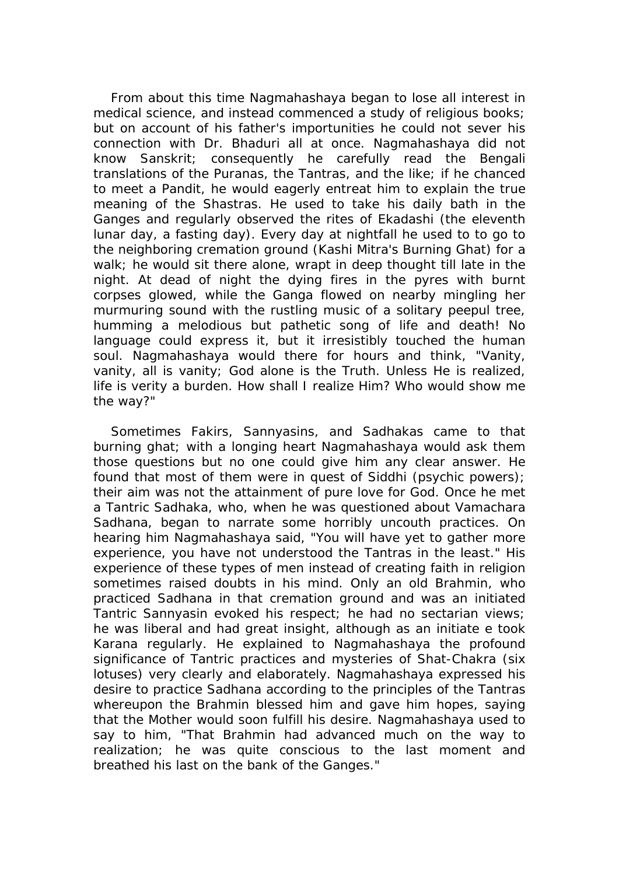From about this time Nagmahashaya began to lose all interest in medical science, and instead commenced a study of religious books; but on account of his father's importunities he could not sever his connection with Dr. Bhaduri all at once. Nagmahashaya did not know Sanskrit; consequently he carefully read the Bengali translations of the Puranas, the Tantras, and the like; if he chanced to meet a Pandit, he would eagerly entreat him to explain the true meaning of the Shastras. He used to take his daily bath in the Ganges and regularly observed the rites of Ekadashi (the eleventh lunar day, a fasting day). Every day at nightfall he used to to go to the neighboring cremation ground (Kashi Mitra's Burning Ghat) for a walk; he would sit there alone, wrapt in deep thought till late in the night. At dead of night the dying fires in the pyres with burnt corpses glowed, while the Ganga flowed on nearby mingling her murmuring sound with the rustling music of a solitary peepul tree, humming a melodious but pathetic song of life and death! No language could express it, but it irresistibly touched the human soul. Nagmahashaya would there for hours and think, "Vanity, vanity, all is vanity; God alone is the Truth. Unless He is realized, life is verity a burden. How shall I realize Him? Who would show me the way?"

 Sometimes Fakirs, Sannyasins, and Sadhakas came to that burning ghat; with a longing heart Nagmahashaya would ask them those questions but no one could give him any clear answer. He found that most of them were in quest of Siddhi (psychic powers); their aim was not the attainment of pure love for God. Once he met a Tantric Sadhaka, who, when he was questioned about Vamachara Sadhana, began to narrate some horribly uncouth practices. On hearing him Nagmahashaya said, "You will have yet to gather more experience, you have not understood the Tantras in the least." His experience of these types of men instead of creating faith in religion sometimes raised doubts in his mind. Only an old Brahmin, who practiced Sadhana in that cremation ground and was an initiated Tantric Sannyasin evoked his respect; he had no sectarian views; he was liberal and had great insight, although as an initiate e took Karana regularly. He explained to Nagmahashaya the profound significance of Tantric practices and mysteries of Shat-Chakra (six lotuses) very clearly and elaborately. Nagmahashaya expressed his desire to practice Sadhana according to the principles of the Tantras whereupon the Brahmin blessed him and gave him hopes, saying that the Mother would soon fulfill his desire. Nagmahashaya used to say to him, "That Brahmin had advanced much on the way to realization; he was quite conscious to the last moment and breathed his last on the bank of the Ganges."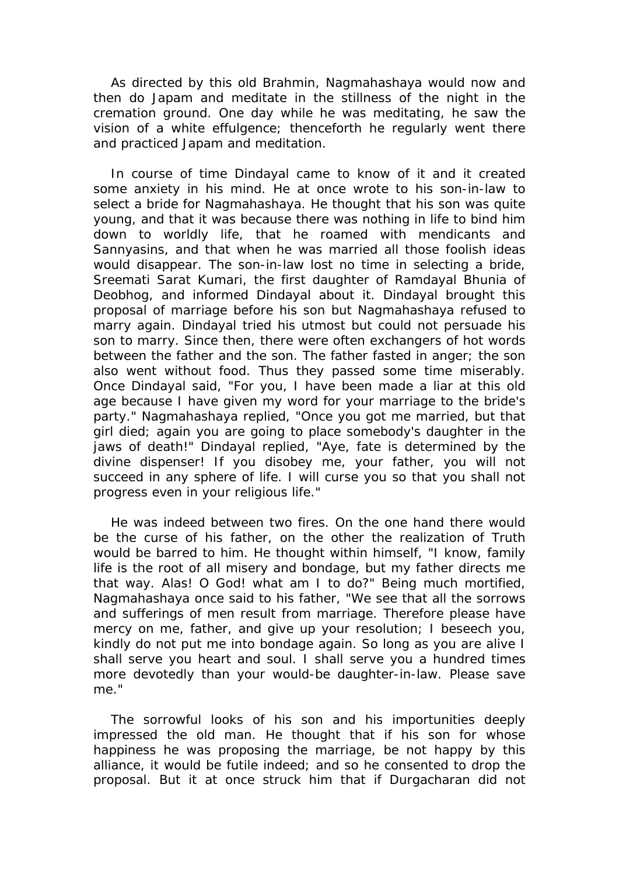As directed by this old Brahmin, Nagmahashaya would now and then do Japam and meditate in the stillness of the night in the cremation ground. One day while he was meditating, he saw the vision of a white effulgence; thenceforth he regularly went there and practiced Japam and meditation.

 In course of time Dindayal came to know of it and it created some anxiety in his mind. He at once wrote to his son-in-law to select a bride for Nagmahashaya. He thought that his son was quite young, and that it was because there was nothing in life to bind him down to worldly life, that he roamed with mendicants and Sannyasins, and that when he was married all those foolish ideas would disappear. The son-in-law lost no time in selecting a bride, Sreemati Sarat Kumari, the first daughter of Ramdayal Bhunia of Deobhog, and informed Dindayal about it. Dindayal brought this proposal of marriage before his son but Nagmahashaya refused to marry again. Dindayal tried his utmost but could not persuade his son to marry. Since then, there were often exchangers of hot words between the father and the son. The father fasted in anger; the son also went without food. Thus they passed some time miserably. Once Dindayal said, "For you, I have been made a liar at this old age because I have given my word for your marriage to the bride's party." Nagmahashaya replied, "Once you got me married, but that girl died; again you are going to place somebody's daughter in the jaws of death!" Dindayal replied, "Aye, fate is determined by the divine dispenser! If you disobey me, your father, you will not succeed in any sphere of life. I will curse you so that you shall not progress even in your religious life."

 He was indeed between two fires. On the one hand there would be the curse of his father, on the other the realization of Truth would be barred to him. He thought within himself, "I know, family life is the root of all misery and bondage, but my father directs me that way. Alas! O God! what am I to do?" Being much mortified, Nagmahashaya once said to his father, "We see that all the sorrows and sufferings of men result from marriage. Therefore please have mercy on me, father, and give up your resolution; I beseech you, kindly do not put me into bondage again. So long as you are alive I shall serve you heart and soul. I shall serve you a hundred times more devotedly than your would-be daughter-in-law. Please save me."

 The sorrowful looks of his son and his importunities deeply impressed the old man. He thought that if his son for whose happiness he was proposing the marriage, be not happy by this alliance, it would be futile indeed; and so he consented to drop the proposal. But it at once struck him that if Durgacharan did not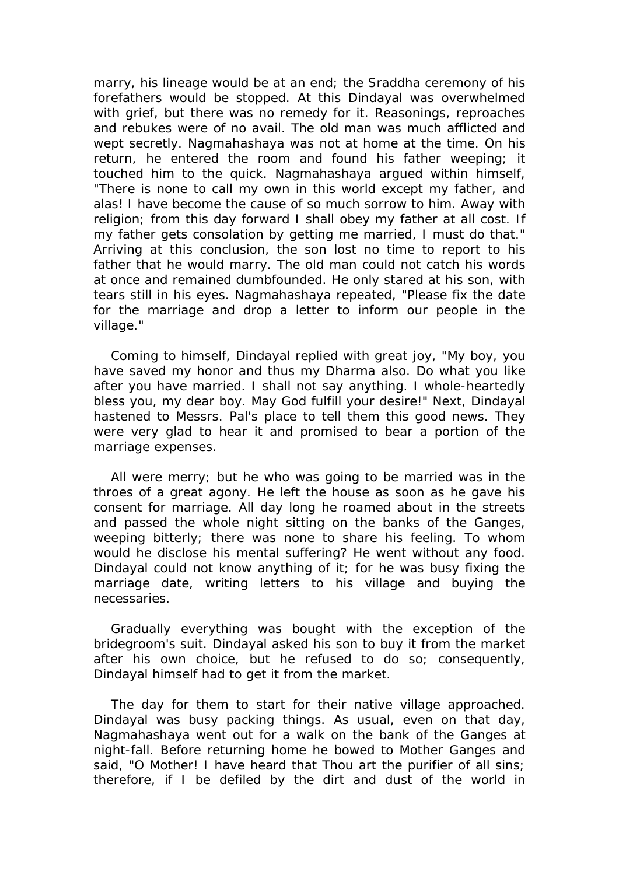marry, his lineage would be at an end; the Sraddha ceremony of his forefathers would be stopped. At this Dindayal was overwhelmed with grief, but there was no remedy for it. Reasonings, reproaches and rebukes were of no avail. The old man was much afflicted and wept secretly. Nagmahashaya was not at home at the time. On his return, he entered the room and found his father weeping; it touched him to the quick. Nagmahashaya argued within himself, "There is none to call my own in this world except my father, and alas! I have become the cause of so much sorrow to him. Away with religion; from this day forward I shall obey my father at all cost. If my father gets consolation by getting me married, I must do that." Arriving at this conclusion, the son lost no time to report to his father that he would marry. The old man could not catch his words at once and remained dumbfounded. He only stared at his son, with tears still in his eyes. Nagmahashaya repeated, "Please fix the date for the marriage and drop a letter to inform our people in the village."

 Coming to himself, Dindayal replied with great joy, "My boy, you have saved my honor and thus my Dharma also. Do what you like after you have married. I shall not say anything. I whole-heartedly bless you, my dear boy. May God fulfill your desire!" Next, Dindayal hastened to Messrs. Pal's place to tell them this good news. They were very glad to hear it and promised to bear a portion of the marriage expenses.

 All were merry; but he who was going to be married was in the throes of a great agony. He left the house as soon as he gave his consent for marriage. All day long he roamed about in the streets and passed the whole night sitting on the banks of the Ganges, weeping bitterly; there was none to share his feeling. To whom would he disclose his mental suffering? He went without any food. Dindayal could not know anything of it; for he was busy fixing the marriage date, writing letters to his village and buying the necessaries.

 Gradually everything was bought with the exception of the bridegroom's suit. Dindayal asked his son to buy it from the market after his own choice, but he refused to do so; consequently, Dindayal himself had to get it from the market.

 The day for them to start for their native village approached. Dindayal was busy packing things. As usual, even on that day, Nagmahashaya went out for a walk on the bank of the Ganges at night-fall. Before returning home he bowed to Mother Ganges and said, "O Mother! I have heard that Thou art the purifier of all sins; therefore, if I be defiled by the dirt and dust of the world in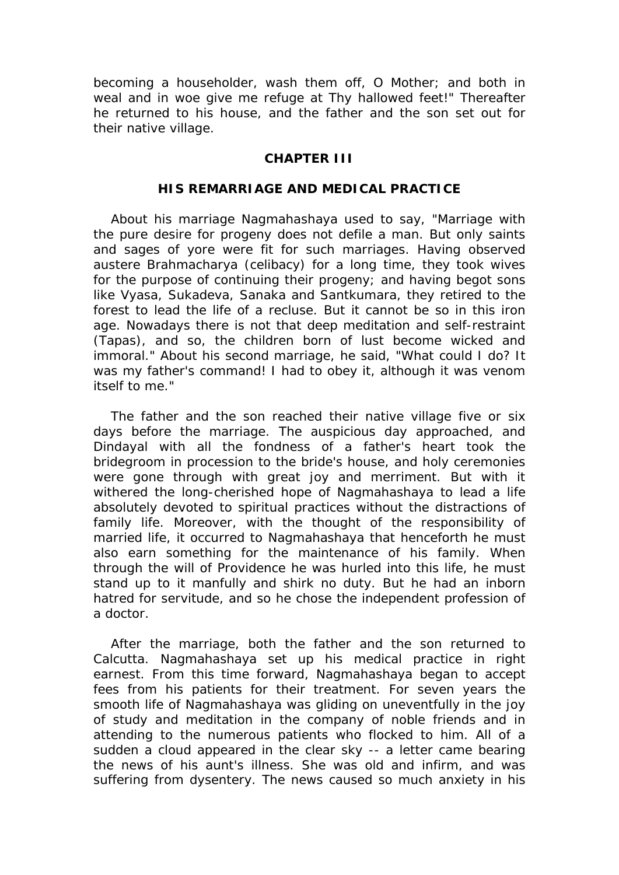becoming a householder, wash them off, O Mother; and both in weal and in woe give me refuge at Thy hallowed feet!" Thereafter he returned to his house, and the father and the son set out for their native village.

### **CHAPTER III**

### **HIS REMARRIAGE AND MEDICAL PRACTICE**

 About his marriage Nagmahashaya used to say, "Marriage with the pure desire for progeny does not defile a man. But only saints and sages of yore were fit for such marriages. Having observed austere Brahmacharya (celibacy) for a long time, they took wives for the purpose of continuing their progeny; and having begot sons like Vyasa, Sukadeva, Sanaka and Santkumara, they retired to the forest to lead the life of a recluse. But it cannot be so in this iron age. Nowadays there is not that deep meditation and self-restraint (Tapas), and so, the children born of lust become wicked and immoral." About his second marriage, he said, "What could I do? It was my father's command! I had to obey it, although it was venom itself to me."

 The father and the son reached their native village five or six days before the marriage. The auspicious day approached, and Dindayal with all the fondness of a father's heart took the bridegroom in procession to the bride's house, and holy ceremonies were gone through with great joy and merriment. But with it withered the long-cherished hope of Nagmahashaya to lead a life absolutely devoted to spiritual practices without the distractions of family life. Moreover, with the thought of the responsibility of married life, it occurred to Nagmahashaya that henceforth he must also earn something for the maintenance of his family. When through the will of Providence he was hurled into this life, he must stand up to it manfully and shirk no duty. But he had an inborn hatred for servitude, and so he chose the independent profession of a doctor.

 After the marriage, both the father and the son returned to Calcutta. Nagmahashaya set up his medical practice in right earnest. From this time forward, Nagmahashaya began to accept fees from his patients for their treatment. For seven years the smooth life of Nagmahashaya was gliding on uneventfully in the joy of study and meditation in the company of noble friends and in attending to the numerous patients who flocked to him. All of a sudden a cloud appeared in the clear sky -- a letter came bearing the news of his aunt's illness. She was old and infirm, and was suffering from dysentery. The news caused so much anxiety in his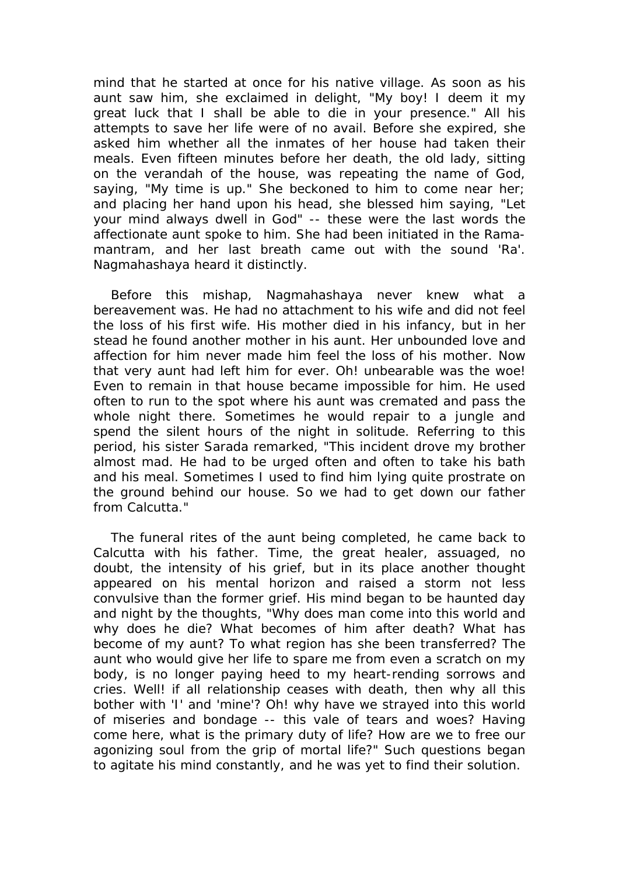mind that he started at once for his native village. As soon as his aunt saw him, she exclaimed in delight, "My boy! I deem it my great luck that I shall be able to die in your presence." All his attempts to save her life were of no avail. Before she expired, she asked him whether all the inmates of her house had taken their meals. Even fifteen minutes before her death, the old lady, sitting on the verandah of the house, was repeating the name of God, saying, "My time is up." She beckoned to him to come near her; and placing her hand upon his head, she blessed him saying, "Let your mind always dwell in God" -- these were the last words the affectionate aunt spoke to him. She had been initiated in the Ramamantram, and her last breath came out with the sound 'Ra'. Nagmahashaya heard it distinctly.

 Before this mishap, Nagmahashaya never knew what a bereavement was. He had no attachment to his wife and did not feel the loss of his first wife. His mother died in his infancy, but in her stead he found another mother in his aunt. Her unbounded love and affection for him never made him feel the loss of his mother. Now that very aunt had left him for ever. Oh! unbearable was the woe! Even to remain in that house became impossible for him. He used often to run to the spot where his aunt was cremated and pass the whole night there. Sometimes he would repair to a jungle and spend the silent hours of the night in solitude. Referring to this period, his sister Sarada remarked, "This incident drove my brother almost mad. He had to be urged often and often to take his bath and his meal. Sometimes I used to find him lying quite prostrate on the ground behind our house. So we had to get down our father from Calcutta."

 The funeral rites of the aunt being completed, he came back to Calcutta with his father. Time, the great healer, assuaged, no doubt, the intensity of his grief, but in its place another thought appeared on his mental horizon and raised a storm not less convulsive than the former grief. His mind began to be haunted day and night by the thoughts, "Why does man come into this world and why does he die? What becomes of him after death? What has become of my aunt? To what region has she been transferred? The aunt who would give her life to spare me from even a scratch on my body, is no longer paying heed to my heart-rending sorrows and cries. Well! if all relationship ceases with death, then why all this bother with 'I' and 'mine'? Oh! why have we strayed into this world of miseries and bondage -- this vale of tears and woes? Having come here, what is the primary duty of life? How are we to free our agonizing soul from the grip of mortal life?" Such questions began to agitate his mind constantly, and he was yet to find their solution.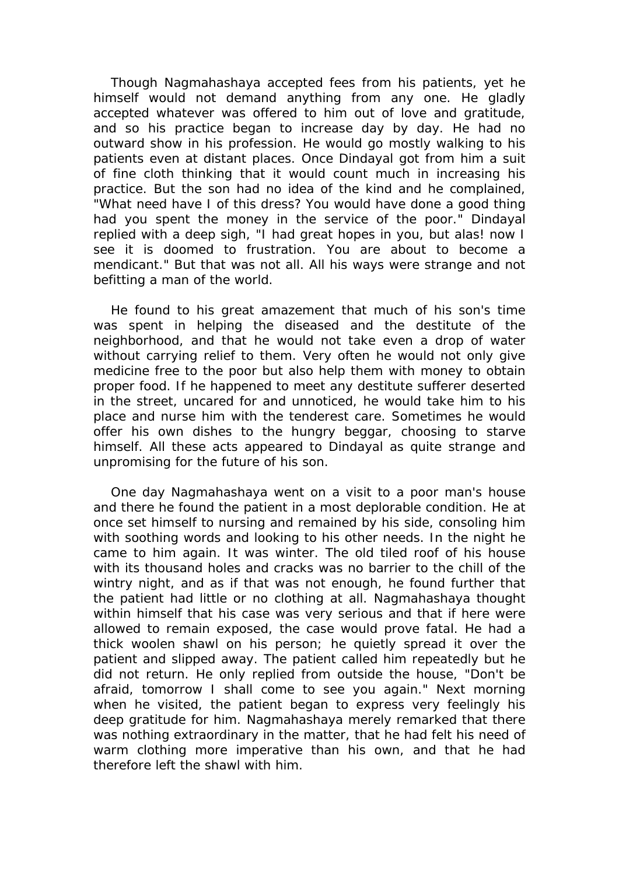Though Nagmahashaya accepted fees from his patients, yet he himself would not demand anything from any one. He gladly accepted whatever was offered to him out of love and gratitude, and so his practice began to increase day by day. He had no outward show in his profession. He would go mostly walking to his patients even at distant places. Once Dindayal got from him a suit of fine cloth thinking that it would count much in increasing his practice. But the son had no idea of the kind and he complained, "What need have I of this dress? You would have done a good thing had you spent the money in the service of the poor." Dindayal replied with a deep sigh, "I had great hopes in you, but alas! now I see it is doomed to frustration. You are about to become a mendicant." But that was not all. All his ways were strange and not befitting a man of the world.

 He found to his great amazement that much of his son's time was spent in helping the diseased and the destitute of the neighborhood, and that he would not take even a drop of water without carrying relief to them. Very often he would not only give medicine free to the poor but also help them with money to obtain proper food. If he happened to meet any destitute sufferer deserted in the street, uncared for and unnoticed, he would take him to his place and nurse him with the tenderest care. Sometimes he would offer his own dishes to the hungry beggar, choosing to starve himself. All these acts appeared to Dindayal as quite strange and unpromising for the future of his son.

 One day Nagmahashaya went on a visit to a poor man's house and there he found the patient in a most deplorable condition. He at once set himself to nursing and remained by his side, consoling him with soothing words and looking to his other needs. In the night he came to him again. It was winter. The old tiled roof of his house with its thousand holes and cracks was no barrier to the chill of the wintry night, and as if that was not enough, he found further that the patient had little or no clothing at all. Nagmahashaya thought within himself that his case was very serious and that if here were allowed to remain exposed, the case would prove fatal. He had a thick woolen shawl on his person; he quietly spread it over the patient and slipped away. The patient called him repeatedly but he did not return. He only replied from outside the house, "Don't be afraid, tomorrow I shall come to see you again." Next morning when he visited, the patient began to express very feelingly his deep gratitude for him. Nagmahashaya merely remarked that there was nothing extraordinary in the matter, that he had felt his need of warm clothing more imperative than his own, and that he had therefore left the shawl with him.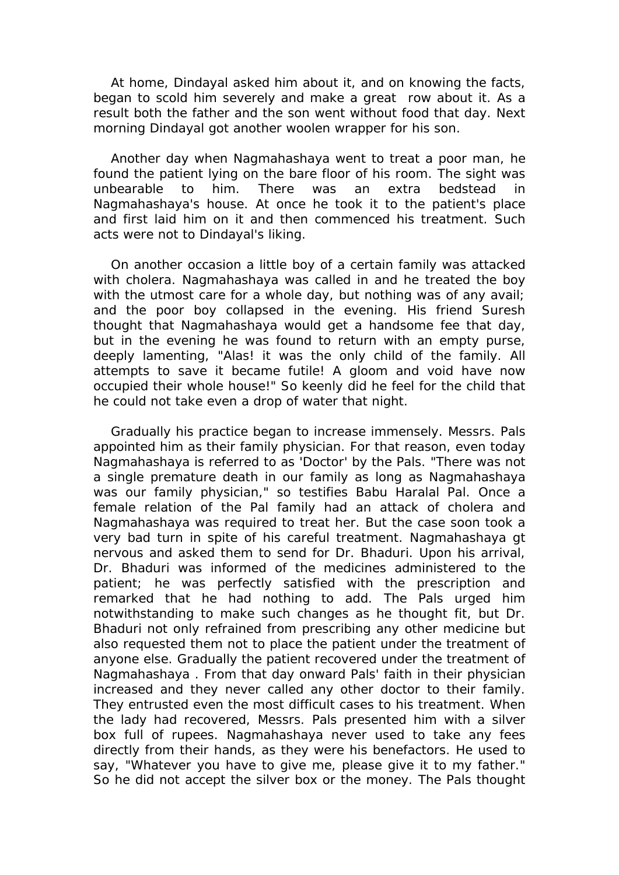At home, Dindayal asked him about it, and on knowing the facts, began to scold him severely and make a great row about it. As a result both the father and the son went without food that day. Next morning Dindayal got another woolen wrapper for his son.

 Another day when Nagmahashaya went to treat a poor man, he found the patient lying on the bare floor of his room. The sight was unbearable to him. There was an extra bedstead in Nagmahashaya's house. At once he took it to the patient's place and first laid him on it and then commenced his treatment. Such acts were not to Dindayal's liking.

 On another occasion a little boy of a certain family was attacked with cholera. Nagmahashaya was called in and he treated the boy with the utmost care for a whole day, but nothing was of any avail; and the poor boy collapsed in the evening. His friend Suresh thought that Nagmahashaya would get a handsome fee that day, but in the evening he was found to return with an empty purse, deeply lamenting, "Alas! it was the only child of the family. All attempts to save it became futile! A gloom and void have now occupied their whole house!" So keenly did he feel for the child that he could not take even a drop of water that night.

 Gradually his practice began to increase immensely. Messrs. Pals appointed him as their family physician. For that reason, even today Nagmahashaya is referred to as 'Doctor' by the Pals. "There was not a single premature death in our family as long as Nagmahashaya was our family physician," so testifies Babu Haralal Pal. Once a female relation of the Pal family had an attack of cholera and Nagmahashaya was required to treat her. But the case soon took a very bad turn in spite of his careful treatment. Nagmahashaya gt nervous and asked them to send for Dr. Bhaduri. Upon his arrival, Dr. Bhaduri was informed of the medicines administered to the patient; he was perfectly satisfied with the prescription and remarked that he had nothing to add. The Pals urged him notwithstanding to make such changes as he thought fit, but Dr. Bhaduri not only refrained from prescribing any other medicine but also requested them not to place the patient under the treatment of anyone else. Gradually the patient recovered under the treatment of Nagmahashaya . From that day onward Pals' faith in their physician increased and they never called any other doctor to their family. They entrusted even the most difficult cases to his treatment. When the lady had recovered, Messrs. Pals presented him with a silver box full of rupees. Nagmahashaya never used to take any fees directly from their hands, as they were his benefactors. He used to say, "Whatever you have to give me, please give it to my father." So he did not accept the silver box or the money. The Pals thought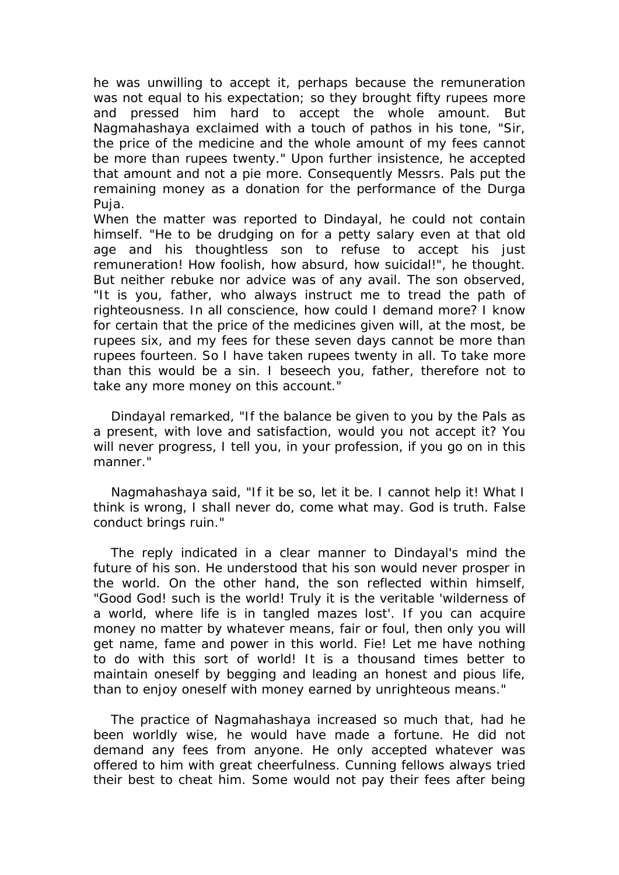he was unwilling to accept it, perhaps because the remuneration was not equal to his expectation; so they brought fifty rupees more and pressed him hard to accept the whole amount. But Nagmahashaya exclaimed with a touch of pathos in his tone, "Sir, the price of the medicine and the whole amount of my fees cannot be more than rupees twenty." Upon further insistence, he accepted that amount and not a pie more. Consequently Messrs. Pals put the remaining money as a donation for the performance of the Durga Puja.

When the matter was reported to Dindayal, he could not contain himself. "He to be drudging on for a petty salary even at that old age and his thoughtless son to refuse to accept his just remuneration! How foolish, how absurd, how suicidal!", he thought. But neither rebuke nor advice was of any avail. The son observed, "It is you, father, who always instruct me to tread the path of righteousness. In all conscience, how could I demand more? I know for certain that the price of the medicines given will, at the most, be rupees six, and my fees for these seven days cannot be more than rupees fourteen. So I have taken rupees twenty in all. To take more than this would be a sin. I beseech you, father, therefore not to take any more money on this account."

 Dindayal remarked, "If the balance be given to you by the Pals as a present, with love and satisfaction, would you not accept it? You will never progress, I tell you, in your profession, if you go on in this manner."

 Nagmahashaya said, "If it be so, let it be. I cannot help it! What I think is wrong, I shall never do, come what may. God is truth. False conduct brings ruin."

 The reply indicated in a clear manner to Dindayal's mind the future of his son. He understood that his son would never prosper in the world. On the other hand, the son reflected within himself, "Good God! such is the world! Truly it is the veritable 'wilderness of a world, where life is in tangled mazes lost'. If you can acquire money no matter by whatever means, fair or foul, then only you will get name, fame and power in this world. Fie! Let me have nothing to do with this sort of world! It is a thousand times better to maintain oneself by begging and leading an honest and pious life, than to enjoy oneself with money earned by unrighteous means."

 The practice of Nagmahashaya increased so much that, had he been worldly wise, he would have made a fortune. He did not demand any fees from anyone. He only accepted whatever was offered to him with great cheerfulness. Cunning fellows always tried their best to cheat him. Some would not pay their fees after being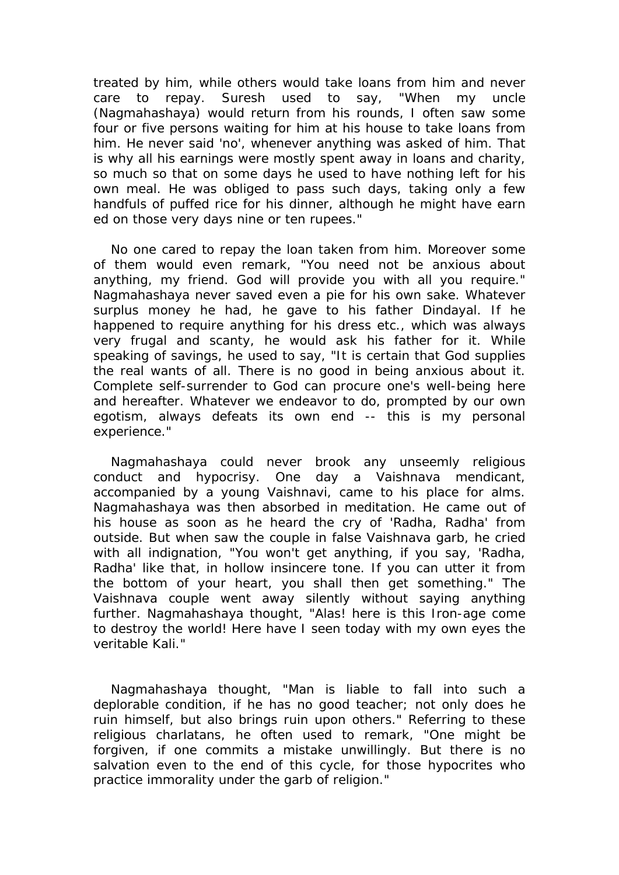treated by him, while others would take loans from him and never care to repay. Suresh used to say, "When my uncle (Nagmahashaya) would return from his rounds, I often saw some four or five persons waiting for him at his house to take loans from him. He never said 'no', whenever anything was asked of him. That is why all his earnings were mostly spent away in loans and charity, so much so that on some days he used to have nothing left for his own meal. He was obliged to pass such days, taking only a few handfuls of puffed rice for his dinner, although he might have earn ed on those very days nine or ten rupees."

 No one cared to repay the loan taken from him. Moreover some of them would even remark, "You need not be anxious about anything, my friend. God will provide you with all you require." Nagmahashaya never saved even a pie for his own sake. Whatever surplus money he had, he gave to his father Dindayal. If he happened to require anything for his dress etc., which was always very frugal and scanty, he would ask his father for it. While speaking of savings, he used to say, "It is certain that God supplies the real wants of all. There is no good in being anxious about it. Complete self-surrender to God can procure one's well-being here and hereafter. Whatever we endeavor to do, prompted by our own egotism, always defeats its own end -- this is my personal experience."

 Nagmahashaya could never brook any unseemly religious conduct and hypocrisy. One day a Vaishnava mendicant, accompanied by a young Vaishnavi, came to his place for alms. Nagmahashaya was then absorbed in meditation. He came out of his house as soon as he heard the cry of 'Radha, Radha' from outside. But when saw the couple in false Vaishnava garb, he cried with all indignation, "You won't get anything, if you say, 'Radha, Radha' like that, in hollow insincere tone. If you can utter it from the bottom of your heart, you shall then get something." The Vaishnava couple went away silently without saying anything further. Nagmahashaya thought, "Alas! here is this Iron-age come to destroy the world! Here have I seen today with my own eyes the veritable Kali."

 Nagmahashaya thought, "Man is liable to fall into such a deplorable condition, if he has no good teacher; not only does he ruin himself, but also brings ruin upon others." Referring to these religious charlatans, he often used to remark, "One might be forgiven, if one commits a mistake unwillingly. But there is no salvation even to the end of this cycle, for those hypocrites who practice immorality under the garb of religion."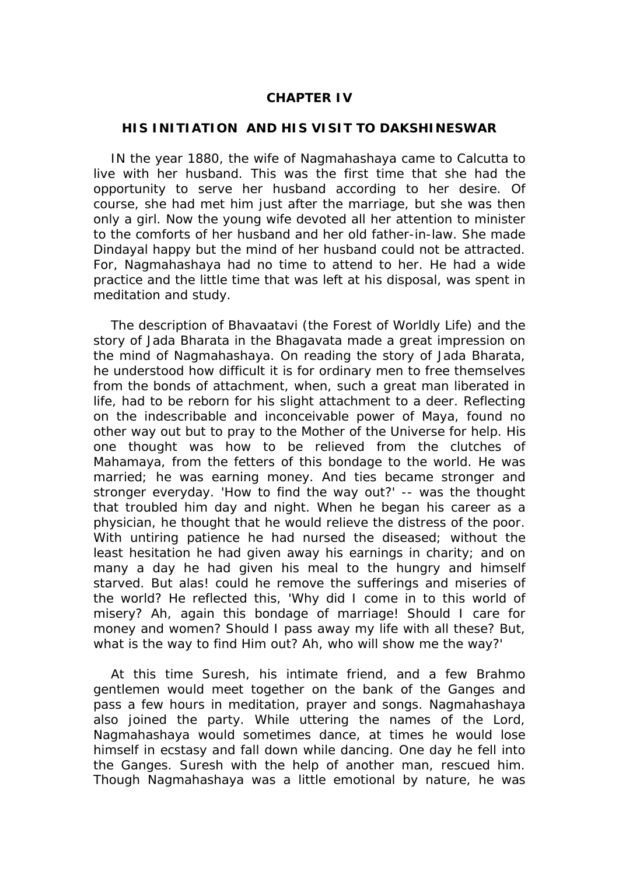# **CHAPTER IV**

#### **HIS INITIATION AND HIS VISIT TO DAKSHINESWAR**

 IN the year 1880, the wife of Nagmahashaya came to Calcutta to live with her husband. This was the first time that she had the opportunity to serve her husband according to her desire. Of course, she had met him just after the marriage, but she was then only a girl. Now the young wife devoted all her attention to minister to the comforts of her husband and her old father-in-law. She made Dindayal happy but the mind of her husband could not be attracted. For, Nagmahashaya had no time to attend to her. He had a wide practice and the little time that was left at his disposal, was spent in meditation and study.

 The description of Bhavaatavi (the Forest of Worldly Life) and the story of Jada Bharata in the Bhagavata made a great impression on the mind of Nagmahashaya. On reading the story of Jada Bharata, he understood how difficult it is for ordinary men to free themselves from the bonds of attachment, when, such a great man liberated in life, had to be reborn for his slight attachment to a deer. Reflecting on the indescribable and inconceivable power of Maya, found no other way out but to pray to the Mother of the Universe for help. His one thought was how to be relieved from the clutches of Mahamaya, from the fetters of this bondage to the world. He was married; he was earning money. And ties became stronger and stronger everyday. 'How to find the way out?' -- was the thought that troubled him day and night. When he began his career as a physician, he thought that he would relieve the distress of the poor. With untiring patience he had nursed the diseased; without the least hesitation he had given away his earnings in charity; and on many a day he had given his meal to the hungry and himself starved. But alas! could he remove the sufferings and miseries of the world? He reflected this, 'Why did I come in to this world of misery? Ah, again this bondage of marriage! Should I care for money and women? Should I pass away my life with all these? But, what is the way to find Him out? Ah, who will show me the way?'

 At this time Suresh, his intimate friend, and a few Brahmo gentlemen would meet together on the bank of the Ganges and pass a few hours in meditation, prayer and songs. Nagmahashaya also joined the party. While uttering the names of the Lord, Nagmahashaya would sometimes dance, at times he would lose himself in ecstasy and fall down while dancing. One day he fell into the Ganges. Suresh with the help of another man, rescued him. Though Nagmahashaya was a little emotional by nature, he was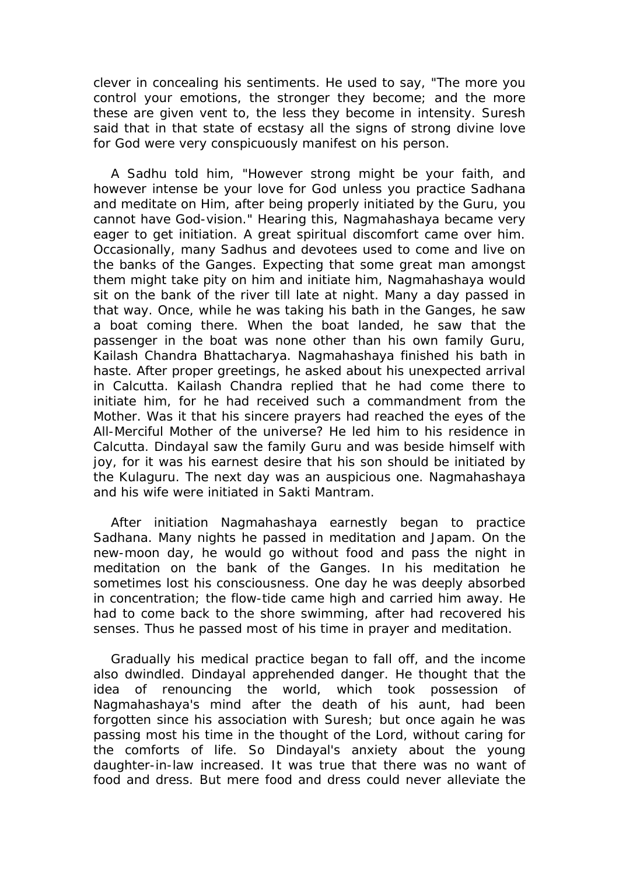clever in concealing his sentiments. He used to say, "The more you control your emotions, the stronger they become; and the more these are given vent to, the less they become in intensity. Suresh said that in that state of ecstasy all the signs of strong divine love for God were very conspicuously manifest on his person.

 A Sadhu told him, "However strong might be your faith, and however intense be your love for God unless you practice Sadhana and meditate on Him, after being properly initiated by the Guru, you cannot have God-vision." Hearing this, Nagmahashaya became very eager to get initiation. A great spiritual discomfort came over him. Occasionally, many Sadhus and devotees used to come and live on the banks of the Ganges. Expecting that some great man amongst them might take pity on him and initiate him, Nagmahashaya would sit on the bank of the river till late at night. Many a day passed in that way. Once, while he was taking his bath in the Ganges, he saw a boat coming there. When the boat landed, he saw that the passenger in the boat was none other than his own family Guru, Kailash Chandra Bhattacharya. Nagmahashaya finished his bath in haste. After proper greetings, he asked about his unexpected arrival in Calcutta. Kailash Chandra replied that he had come there to initiate him, for he had received such a commandment from the Mother. Was it that his sincere prayers had reached the eyes of the All-Merciful Mother of the universe? He led him to his residence in Calcutta. Dindayal saw the family Guru and was beside himself with joy, for it was his earnest desire that his son should be initiated by the Kulaguru. The next day was an auspicious one. Nagmahashaya and his wife were initiated in Sakti Mantram.

 After initiation Nagmahashaya earnestly began to practice Sadhana. Many nights he passed in meditation and Japam. On the new-moon day, he would go without food and pass the night in meditation on the bank of the Ganges. In his meditation he sometimes lost his consciousness. One day he was deeply absorbed in concentration; the flow-tide came high and carried him away. He had to come back to the shore swimming, after had recovered his senses. Thus he passed most of his time in prayer and meditation.

 Gradually his medical practice began to fall off, and the income also dwindled. Dindayal apprehended danger. He thought that the idea of renouncing the world, which took possession of Nagmahashaya's mind after the death of his aunt, had been forgotten since his association with Suresh; but once again he was passing most his time in the thought of the Lord, without caring for the comforts of life. So Dindayal's anxiety about the young daughter-in-law increased. It was true that there was no want of food and dress. But mere food and dress could never alleviate the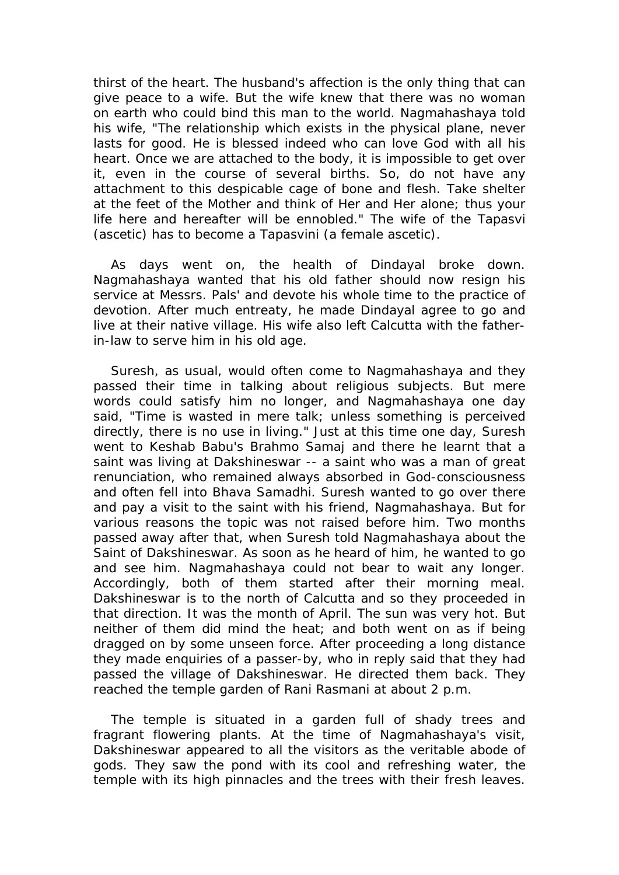thirst of the heart. The husband's affection is the only thing that can give peace to a wife. But the wife knew that there was no woman on earth who could bind this man to the world. Nagmahashaya told his wife, "The relationship which exists in the physical plane, never lasts for good. He is blessed indeed who can love God with all his heart. Once we are attached to the body, it is impossible to get over it, even in the course of several births. So, do not have any attachment to this despicable cage of bone and flesh. Take shelter at the feet of the Mother and think of Her and Her alone; thus your life here and hereafter will be ennobled." The wife of the Tapasvi (ascetic) has to become a Tapasvini (a female ascetic).

 As days went on, the health of Dindayal broke down. Nagmahashaya wanted that his old father should now resign his service at Messrs. Pals' and devote his whole time to the practice of devotion. After much entreaty, he made Dindayal agree to go and live at their native village. His wife also left Calcutta with the fatherin-law to serve him in his old age.

 Suresh, as usual, would often come to Nagmahashaya and they passed their time in talking about religious subjects. But mere words could satisfy him no longer, and Nagmahashaya one day said, "Time is wasted in mere talk; unless something is perceived directly, there is no use in living." Just at this time one day, Suresh went to Keshab Babu's Brahmo Samaj and there he learnt that a saint was living at Dakshineswar -- a saint who was a man of great renunciation, who remained always absorbed in God-consciousness and often fell into Bhava Samadhi. Suresh wanted to go over there and pay a visit to the saint with his friend, Nagmahashaya. But for various reasons the topic was not raised before him. Two months passed away after that, when Suresh told Nagmahashaya about the Saint of Dakshineswar. As soon as he heard of him, he wanted to go and see him. Nagmahashaya could not bear to wait any longer. Accordingly, both of them started after their morning meal. Dakshineswar is to the north of Calcutta and so they proceeded in that direction. It was the month of April. The sun was very hot. But neither of them did mind the heat; and both went on as if being dragged on by some unseen force. After proceeding a long distance they made enquiries of a passer-by, who in reply said that they had passed the village of Dakshineswar. He directed them back. They reached the temple garden of Rani Rasmani at about 2 p.m.

 The temple is situated in a garden full of shady trees and fragrant flowering plants. At the time of Nagmahashaya's visit, Dakshineswar appeared to all the visitors as the veritable abode of gods. They saw the pond with its cool and refreshing water, the temple with its high pinnacles and the trees with their fresh leaves.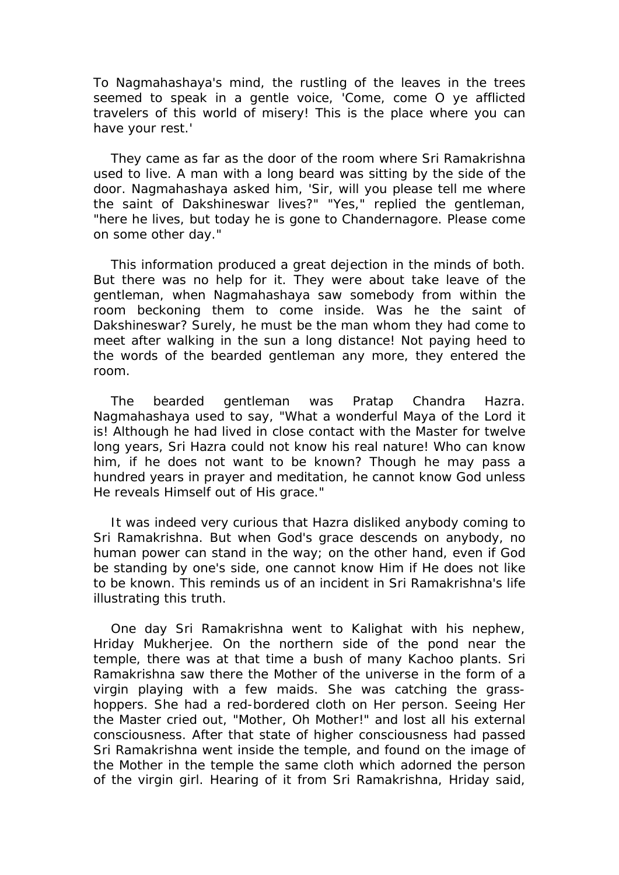To Nagmahashaya's mind, the rustling of the leaves in the trees seemed to speak in a gentle voice, 'Come, come O ye afflicted travelers of this world of misery! This is the place where you can have your rest.'

 They came as far as the door of the room where Sri Ramakrishna used to live. A man with a long beard was sitting by the side of the door. Nagmahashaya asked him, 'Sir, will you please tell me where the saint of Dakshineswar lives?" "Yes," replied the gentleman, "here he lives, but today he is gone to Chandernagore. Please come on some other day."

 This information produced a great dejection in the minds of both. But there was no help for it. They were about take leave of the gentleman, when Nagmahashaya saw somebody from within the room beckoning them to come inside. Was he the saint of Dakshineswar? Surely, he must be the man whom they had come to meet after walking in the sun a long distance! Not paying heed to the words of the bearded gentleman any more, they entered the room.

 The bearded gentleman was Pratap Chandra Hazra. Nagmahashaya used to say, "What a wonderful Maya of the Lord it is! Although he had lived in close contact with the Master for twelve long years, Sri Hazra could not know his real nature! Who can know him, if he does not want to be known? Though he may pass a hundred years in prayer and meditation, he cannot know God unless He reveals Himself out of His grace."

 It was indeed very curious that Hazra disliked anybody coming to Sri Ramakrishna. But when God's grace descends on anybody, no human power can stand in the way; on the other hand, even if God be standing by one's side, one cannot know Him if He does not like to be known. This reminds us of an incident in Sri Ramakrishna's life illustrating this truth.

 One day Sri Ramakrishna went to Kalighat with his nephew, Hriday Mukherjee. On the northern side of the pond near the temple, there was at that time a bush of many Kachoo plants. Sri Ramakrishna saw there the Mother of the universe in the form of a virgin playing with a few maids. She was catching the grasshoppers. She had a red-bordered cloth on Her person. Seeing Her the Master cried out, "Mother, Oh Mother!" and lost all his external consciousness. After that state of higher consciousness had passed Sri Ramakrishna went inside the temple, and found on the image of the Mother in the temple the same cloth which adorned the person of the virgin girl. Hearing of it from Sri Ramakrishna, Hriday said,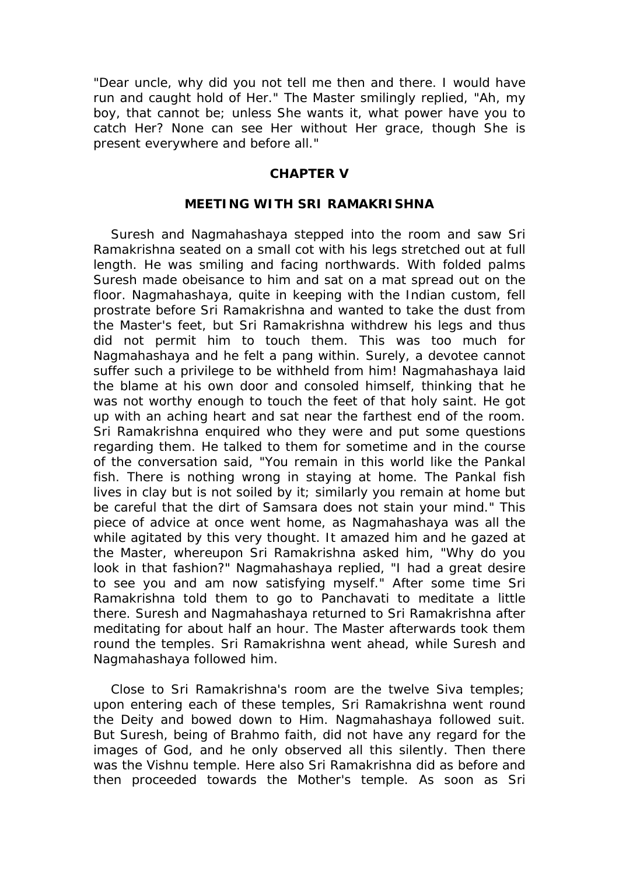"Dear uncle, why did you not tell me then and there. I would have run and caught hold of Her." The Master smilingly replied, "Ah, my boy, that cannot be; unless She wants it, what power have you to catch Her? None can see Her without Her grace, though She is present everywhere and before all."

### **CHAPTER V**

### **MEETING WITH SRI RAMAKRISHNA**

 Suresh and Nagmahashaya stepped into the room and saw Sri Ramakrishna seated on a small cot with his legs stretched out at full length. He was smiling and facing northwards. With folded palms Suresh made obeisance to him and sat on a mat spread out on the floor. Nagmahashaya, quite in keeping with the Indian custom, fell prostrate before Sri Ramakrishna and wanted to take the dust from the Master's feet, but Sri Ramakrishna withdrew his legs and thus did not permit him to touch them. This was too much for Nagmahashaya and he felt a pang within. Surely, a devotee cannot suffer such a privilege to be withheld from him! Nagmahashaya laid the blame at his own door and consoled himself, thinking that he was not worthy enough to touch the feet of that holy saint. He got up with an aching heart and sat near the farthest end of the room. Sri Ramakrishna enquired who they were and put some questions regarding them. He talked to them for sometime and in the course of the conversation said, "You remain in this world like the Pankal fish. There is nothing wrong in staying at home. The Pankal fish lives in clay but is not soiled by it; similarly you remain at home but be careful that the dirt of Samsara does not stain your mind." This piece of advice at once went home, as Nagmahashaya was all the while agitated by this very thought. It amazed him and he gazed at the Master, whereupon Sri Ramakrishna asked him, "Why do you look in that fashion?" Nagmahashaya replied, "I had a great desire to see you and am now satisfying myself." After some time Sri Ramakrishna told them to go to Panchavati to meditate a little there. Suresh and Nagmahashaya returned to Sri Ramakrishna after meditating for about half an hour. The Master afterwards took them round the temples. Sri Ramakrishna went ahead, while Suresh and Nagmahashaya followed him.

 Close to Sri Ramakrishna's room are the twelve Siva temples; upon entering each of these temples, Sri Ramakrishna went round the Deity and bowed down to Him. Nagmahashaya followed suit. But Suresh, being of Brahmo faith, did not have any regard for the images of God, and he only observed all this silently. Then there was the Vishnu temple. Here also Sri Ramakrishna did as before and then proceeded towards the Mother's temple. As soon as Sri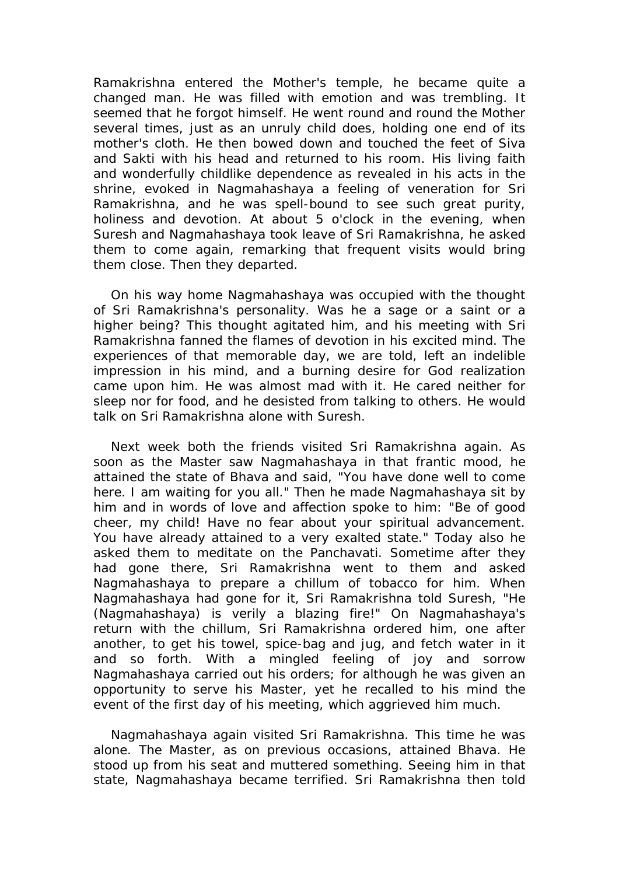Ramakrishna entered the Mother's temple, he became quite a changed man. He was filled with emotion and was trembling. It seemed that he forgot himself. He went round and round the Mother several times, just as an unruly child does, holding one end of its mother's cloth. He then bowed down and touched the feet of Siva and Sakti with his head and returned to his room. His living faith and wonderfully childlike dependence as revealed in his acts in the shrine, evoked in Nagmahashaya a feeling of veneration for Sri Ramakrishna, and he was spell-bound to see such great purity, holiness and devotion. At about 5 o'clock in the evening, when Suresh and Nagmahashaya took leave of Sri Ramakrishna, he asked them to come again, remarking that frequent visits would bring them close. Then they departed.

 On his way home Nagmahashaya was occupied with the thought of Sri Ramakrishna's personality. Was he a sage or a saint or a higher being? This thought agitated him, and his meeting with Sri Ramakrishna fanned the flames of devotion in his excited mind. The experiences of that memorable day, we are told, left an indelible impression in his mind, and a burning desire for God realization came upon him. He was almost mad with it. He cared neither for sleep nor for food, and he desisted from talking to others. He would talk on Sri Ramakrishna alone with Suresh.

 Next week both the friends visited Sri Ramakrishna again. As soon as the Master saw Nagmahashaya in that frantic mood, he attained the state of Bhava and said, "You have done well to come here. I am waiting for you all." Then he made Nagmahashaya sit by him and in words of love and affection spoke to him: "Be of good cheer, my child! Have no fear about your spiritual advancement. You have already attained to a very exalted state." Today also he asked them to meditate on the Panchavati. Sometime after they had gone there, Sri Ramakrishna went to them and asked Nagmahashaya to prepare a chillum of tobacco for him. When Nagmahashaya had gone for it, Sri Ramakrishna told Suresh, "He (Nagmahashaya) is verily a blazing fire!" On Nagmahashaya's return with the chillum, Sri Ramakrishna ordered him, one after another, to get his towel, spice-bag and jug, and fetch water in it and so forth. With a mingled feeling of joy and sorrow Nagmahashaya carried out his orders; for although he was given an opportunity to serve his Master, yet he recalled to his mind the event of the first day of his meeting, which aggrieved him much.

 Nagmahashaya again visited Sri Ramakrishna. This time he was alone. The Master, as on previous occasions, attained Bhava. He stood up from his seat and muttered something. Seeing him in that state, Nagmahashaya became terrified. Sri Ramakrishna then told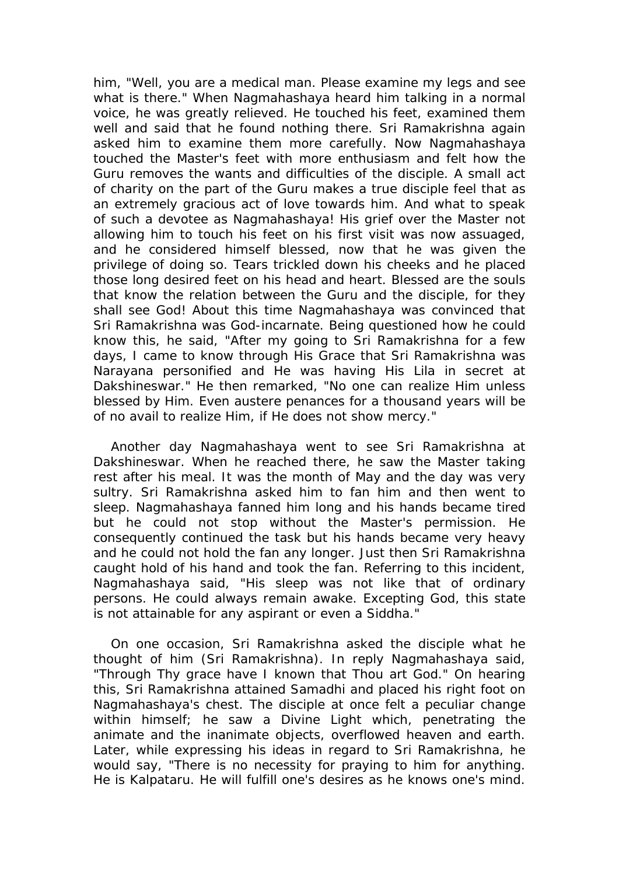him, "Well, you are a medical man. Please examine my legs and see what is there." When Nagmahashaya heard him talking in a normal voice, he was greatly relieved. He touched his feet, examined them well and said that he found nothing there. Sri Ramakrishna again asked him to examine them more carefully. Now Nagmahashaya touched the Master's feet with more enthusiasm and felt how the Guru removes the wants and difficulties of the disciple. A small act of charity on the part of the Guru makes a true disciple feel that as an extremely gracious act of love towards him. And what to speak of such a devotee as Nagmahashaya! His grief over the Master not allowing him to touch his feet on his first visit was now assuaged, and he considered himself blessed, now that he was given the privilege of doing so. Tears trickled down his cheeks and he placed those long desired feet on his head and heart. Blessed are the souls that know the relation between the Guru and the disciple, for they shall see God! About this time Nagmahashaya was convinced that Sri Ramakrishna was God-incarnate. Being questioned how he could know this, he said, "After my going to Sri Ramakrishna for a few days, I came to know through His Grace that Sri Ramakrishna was Narayana personified and He was having His Lila in secret at Dakshineswar." He then remarked, "No one can realize Him unless blessed by Him. Even austere penances for a thousand years will be of no avail to realize Him, if He does not show mercy."

 Another day Nagmahashaya went to see Sri Ramakrishna at Dakshineswar. When he reached there, he saw the Master taking rest after his meal. It was the month of May and the day was very sultry. Sri Ramakrishna asked him to fan him and then went to sleep. Nagmahashaya fanned him long and his hands became tired but he could not stop without the Master's permission. He consequently continued the task but his hands became very heavy and he could not hold the fan any longer. Just then Sri Ramakrishna caught hold of his hand and took the fan. Referring to this incident, Nagmahashaya said, "His sleep was not like that of ordinary persons. He could always remain awake. Excepting God, this state is not attainable for any aspirant or even a Siddha."

 On one occasion, Sri Ramakrishna asked the disciple what he thought of him (Sri Ramakrishna). In reply Nagmahashaya said, "Through Thy grace have I known that Thou art God." On hearing this, Sri Ramakrishna attained Samadhi and placed his right foot on Nagmahashaya's chest. The disciple at once felt a peculiar change within himself; he saw a Divine Light which, penetrating the animate and the inanimate objects, overflowed heaven and earth. Later, while expressing his ideas in regard to Sri Ramakrishna, he would say, "There is no necessity for praying to him for anything. He is Kalpataru. He will fulfill one's desires as he knows one's mind.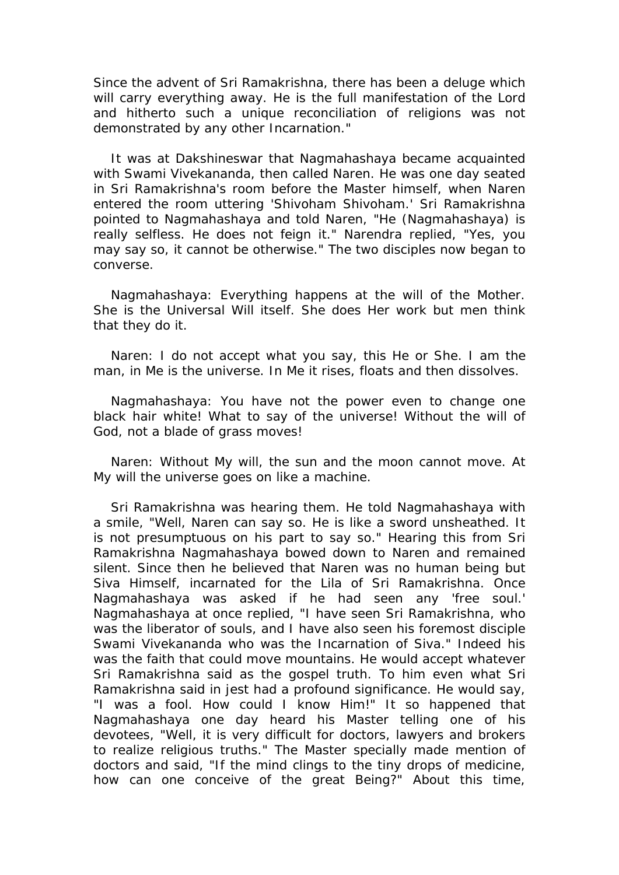Since the advent of Sri Ramakrishna, there has been a deluge which will carry everything away. He is the full manifestation of the Lord and hitherto such a unique reconciliation of religions was not demonstrated by any other Incarnation."

 It was at Dakshineswar that Nagmahashaya became acquainted with Swami Vivekananda, then called Naren. He was one day seated in Sri Ramakrishna's room before the Master himself, when Naren entered the room uttering 'Shivoham Shivoham.' Sri Ramakrishna pointed to Nagmahashaya and told Naren, "He (Nagmahashaya) is really selfless. He does not feign it." Narendra replied, "Yes, you may say so, it cannot be otherwise." The two disciples now began to converse.

 Nagmahashaya: Everything happens at the will of the Mother. She is the Universal Will itself. She does Her work but men think that they do it.

 Naren: I do not accept what you say, this He or She. I am the man, in Me is the universe. In Me it rises, floats and then dissolves.

 Nagmahashaya: You have not the power even to change one black hair white! What to say of the universe! Without the will of God, not a blade of grass moves!

 Naren: Without My will, the sun and the moon cannot move. At My will the universe goes on like a machine.

 Sri Ramakrishna was hearing them. He told Nagmahashaya with a smile, "Well, Naren can say so. He is like a sword unsheathed. It is not presumptuous on his part to say so." Hearing this from Sri Ramakrishna Nagmahashaya bowed down to Naren and remained silent. Since then he believed that Naren was no human being but Siva Himself, incarnated for the Lila of Sri Ramakrishna. Once Nagmahashaya was asked if he had seen any 'free soul.' Nagmahashaya at once replied, "I have seen Sri Ramakrishna, who was the liberator of souls, and I have also seen his foremost disciple Swami Vivekananda who was the Incarnation of Siva." Indeed his was the faith that could move mountains. He would accept whatever Sri Ramakrishna said as the gospel truth. To him even what Sri Ramakrishna said in jest had a profound significance. He would say, "I was a fool. How could I know Him!" It so happened that Nagmahashaya one day heard his Master telling one of his devotees, "Well, it is very difficult for doctors, lawyers and brokers to realize religious truths." The Master specially made mention of doctors and said, "If the mind clings to the tiny drops of medicine, how can one conceive of the great Being?" About this time,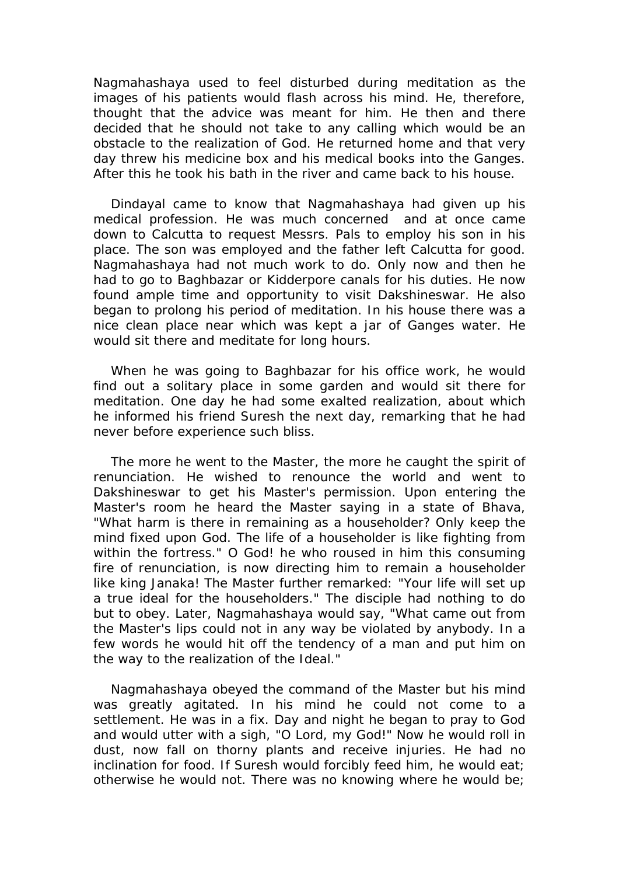Nagmahashaya used to feel disturbed during meditation as the images of his patients would flash across his mind. He, therefore, thought that the advice was meant for him. He then and there decided that he should not take to any calling which would be an obstacle to the realization of God. He returned home and that very day threw his medicine box and his medical books into the Ganges. After this he took his bath in the river and came back to his house.

 Dindayal came to know that Nagmahashaya had given up his medical profession. He was much concerned and at once came down to Calcutta to request Messrs. Pals to employ his son in his place. The son was employed and the father left Calcutta for good. Nagmahashaya had not much work to do. Only now and then he had to go to Baghbazar or Kidderpore canals for his duties. He now found ample time and opportunity to visit Dakshineswar. He also began to prolong his period of meditation. In his house there was a nice clean place near which was kept a jar of Ganges water. He would sit there and meditate for long hours.

 When he was going to Baghbazar for his office work, he would find out a solitary place in some garden and would sit there for meditation. One day he had some exalted realization, about which he informed his friend Suresh the next day, remarking that he had never before experience such bliss.

 The more he went to the Master, the more he caught the spirit of renunciation. He wished to renounce the world and went to Dakshineswar to get his Master's permission. Upon entering the Master's room he heard the Master saying in a state of Bhava, "What harm is there in remaining as a householder? Only keep the mind fixed upon God. The life of a householder is like fighting from within the fortress." O God! he who roused in him this consuming fire of renunciation, is now directing him to remain a householder like king Janaka! The Master further remarked: "Your life will set up a true ideal for the householders." The disciple had nothing to do but to obey. Later, Nagmahashaya would say, "What came out from the Master's lips could not in any way be violated by anybody. In a few words he would hit off the tendency of a man and put him on the way to the realization of the Ideal."

 Nagmahashaya obeyed the command of the Master but his mind was greatly agitated. In his mind he could not come to a settlement. He was in a fix. Day and night he began to pray to God and would utter with a sigh, "O Lord, my God!" Now he would roll in dust, now fall on thorny plants and receive injuries. He had no inclination for food. If Suresh would forcibly feed him, he would eat; otherwise he would not. There was no knowing where he would be;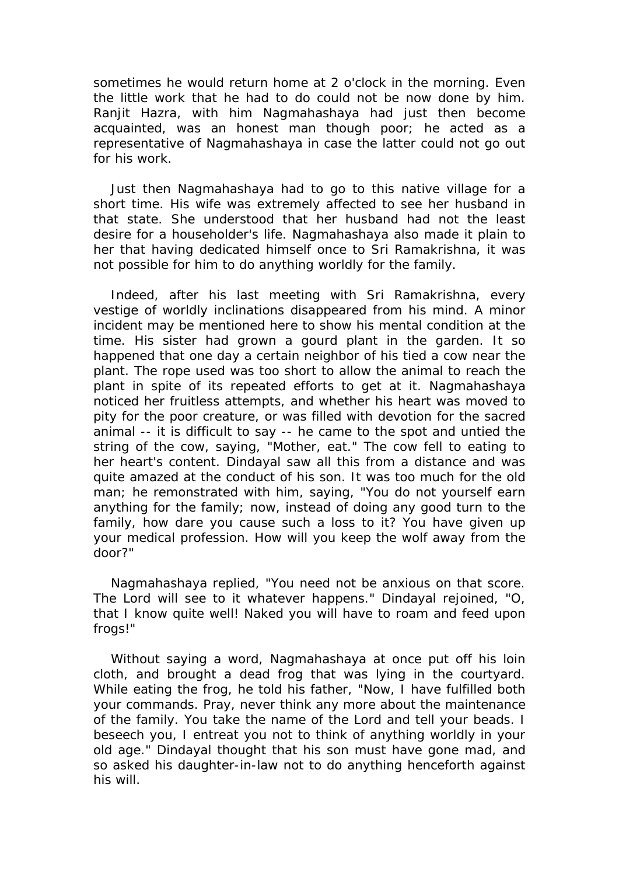sometimes he would return home at 2 o'clock in the morning. Even the little work that he had to do could not be now done by him. Ranjit Hazra, with him Nagmahashaya had just then become acquainted, was an honest man though poor; he acted as a representative of Nagmahashaya in case the latter could not go out for his work.

 Just then Nagmahashaya had to go to this native village for a short time. His wife was extremely affected to see her husband in that state. She understood that her husband had not the least desire for a householder's life. Nagmahashaya also made it plain to her that having dedicated himself once to Sri Ramakrishna, it was not possible for him to do anything worldly for the family.

 Indeed, after his last meeting with Sri Ramakrishna, every vestige of worldly inclinations disappeared from his mind. A minor incident may be mentioned here to show his mental condition at the time. His sister had grown a gourd plant in the garden. It so happened that one day a certain neighbor of his tied a cow near the plant. The rope used was too short to allow the animal to reach the plant in spite of its repeated efforts to get at it. Nagmahashaya noticed her fruitless attempts, and whether his heart was moved to pity for the poor creature, or was filled with devotion for the sacred animal -- it is difficult to say -- he came to the spot and untied the string of the cow, saying, "Mother, eat." The cow fell to eating to her heart's content. Dindayal saw all this from a distance and was quite amazed at the conduct of his son. It was too much for the old man; he remonstrated with him, saying, "You do not yourself earn anything for the family; now, instead of doing any good turn to the family, how dare you cause such a loss to it? You have given up your medical profession. How will you keep the wolf away from the door?"

 Nagmahashaya replied, "You need not be anxious on that score. The Lord will see to it whatever happens." Dindayal rejoined, "O, that I know quite well! Naked you will have to roam and feed upon frogs!"

 Without saying a word, Nagmahashaya at once put off his loin cloth, and brought a dead frog that was lying in the courtyard. While eating the frog, he told his father, "Now, I have fulfilled both your commands. Pray, never think any more about the maintenance of the family. You take the name of the Lord and tell your beads. I beseech you, I entreat you not to think of anything worldly in your old age." Dindayal thought that his son must have gone mad, and so asked his daughter-in-law not to do anything henceforth against his will.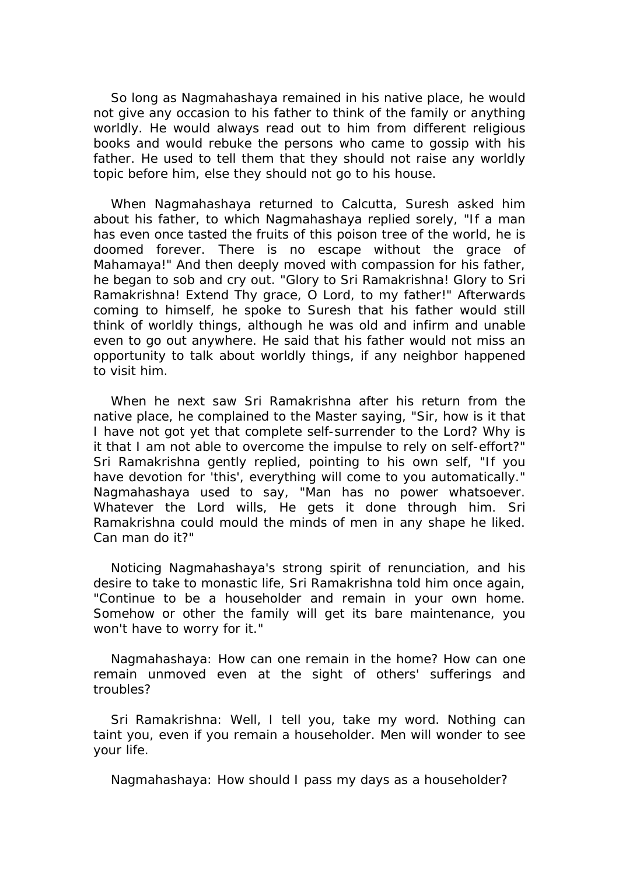So long as Nagmahashaya remained in his native place, he would not give any occasion to his father to think of the family or anything worldly. He would always read out to him from different religious books and would rebuke the persons who came to gossip with his father. He used to tell them that they should not raise any worldly topic before him, else they should not go to his house.

 When Nagmahashaya returned to Calcutta, Suresh asked him about his father, to which Nagmahashaya replied sorely, "If a man has even once tasted the fruits of this poison tree of the world, he is doomed forever. There is no escape without the grace of Mahamaya!" And then deeply moved with compassion for his father, he began to sob and cry out. "Glory to Sri Ramakrishna! Glory to Sri Ramakrishna! Extend Thy grace, O Lord, to my father!" Afterwards coming to himself, he spoke to Suresh that his father would still think of worldly things, although he was old and infirm and unable even to go out anywhere. He said that his father would not miss an opportunity to talk about worldly things, if any neighbor happened to visit him.

 When he next saw Sri Ramakrishna after his return from the native place, he complained to the Master saying, "Sir, how is it that I have not got yet that complete self-surrender to the Lord? Why is it that I am not able to overcome the impulse to rely on self-effort?" Sri Ramakrishna gently replied, pointing to his own self, "If you have devotion for 'this', everything will come to you automatically." Nagmahashaya used to say, "Man has no power whatsoever. Whatever the Lord wills, He gets it done through him. Sri Ramakrishna could mould the minds of men in any shape he liked. Can man do it?"

 Noticing Nagmahashaya's strong spirit of renunciation, and his desire to take to monastic life, Sri Ramakrishna told him once again, "Continue to be a householder and remain in your own home. Somehow or other the family will get its bare maintenance, you won't have to worry for it."

 Nagmahashaya: How can one remain in the home? How can one remain unmoved even at the sight of others' sufferings and troubles?

 Sri Ramakrishna: Well, I tell you, take my word. Nothing can taint you, even if you remain a householder. Men will wonder to see your life.

Nagmahashaya: How should I pass my days as a householder?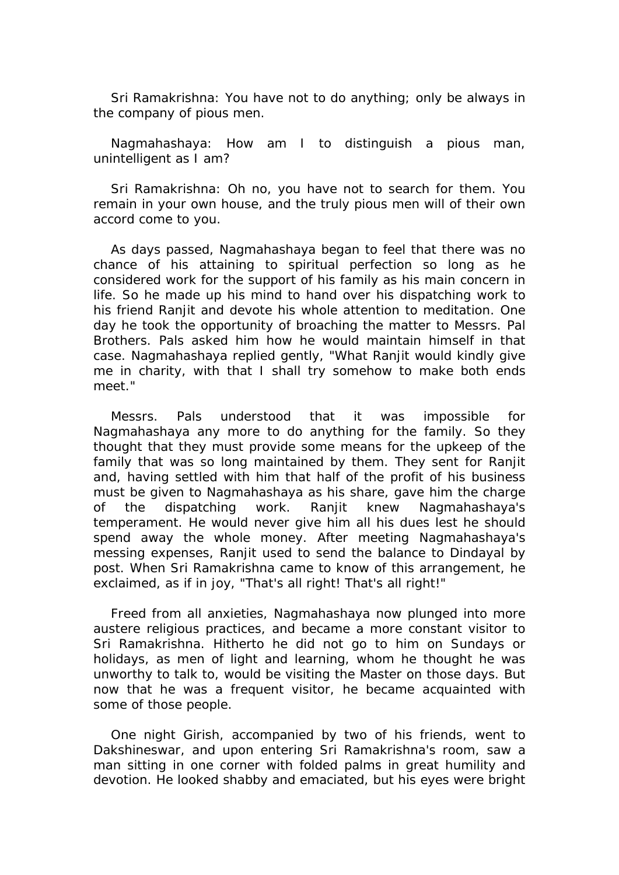Sri Ramakrishna: You have not to do anything; only be always in the company of pious men.

 Nagmahashaya: How am I to distinguish a pious man, unintelligent as I am?

 Sri Ramakrishna: Oh no, you have not to search for them. You remain in your own house, and the truly pious men will of their own accord come to you.

 As days passed, Nagmahashaya began to feel that there was no chance of his attaining to spiritual perfection so long as he considered work for the support of his family as his main concern in life. So he made up his mind to hand over his dispatching work to his friend Ranjit and devote his whole attention to meditation. One day he took the opportunity of broaching the matter to Messrs. Pal Brothers. Pals asked him how he would maintain himself in that case. Nagmahashaya replied gently, "What Ranjit would kindly give me in charity, with that I shall try somehow to make both ends meet."

 Messrs. Pals understood that it was impossible for Nagmahashaya any more to do anything for the family. So they thought that they must provide some means for the upkeep of the family that was so long maintained by them. They sent for Ranjit and, having settled with him that half of the profit of his business must be given to Nagmahashaya as his share, gave him the charge of the dispatching work. Ranjit knew Nagmahashaya's temperament. He would never give him all his dues lest he should spend away the whole money. After meeting Nagmahashaya's messing expenses, Ranjit used to send the balance to Dindayal by post. When Sri Ramakrishna came to know of this arrangement, he exclaimed, as if in joy, "That's all right! That's all right!"

 Freed from all anxieties, Nagmahashaya now plunged into more austere religious practices, and became a more constant visitor to Sri Ramakrishna. Hitherto he did not go to him on Sundays or holidays, as men of light and learning, whom he thought he was unworthy to talk to, would be visiting the Master on those days. But now that he was a frequent visitor, he became acquainted with some of those people.

 One night Girish, accompanied by two of his friends, went to Dakshineswar, and upon entering Sri Ramakrishna's room, saw a man sitting in one corner with folded palms in great humility and devotion. He looked shabby and emaciated, but his eyes were bright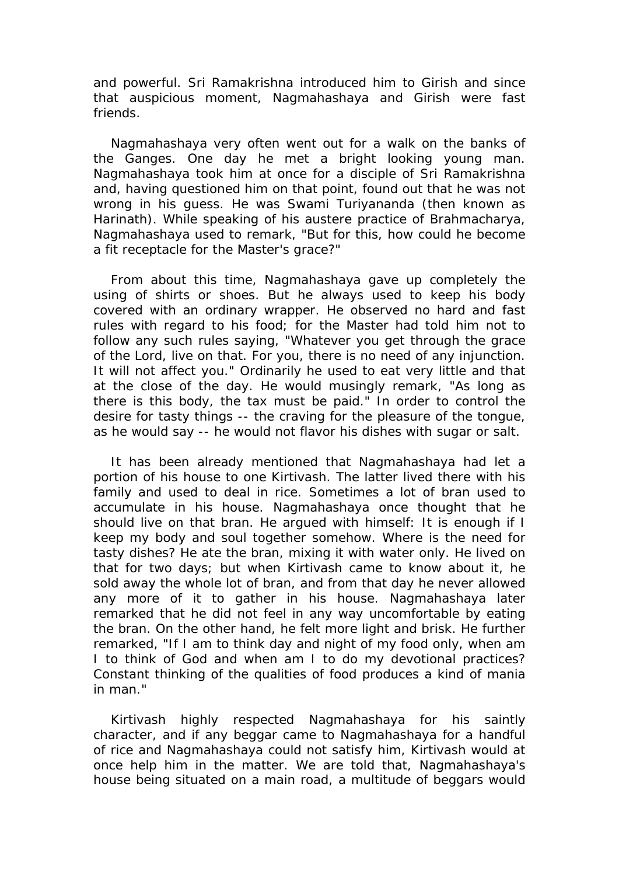and powerful. Sri Ramakrishna introduced him to Girish and since that auspicious moment, Nagmahashaya and Girish were fast friends.

 Nagmahashaya very often went out for a walk on the banks of the Ganges. One day he met a bright looking young man. Nagmahashaya took him at once for a disciple of Sri Ramakrishna and, having questioned him on that point, found out that he was not wrong in his guess. He was Swami Turiyananda (then known as Harinath). While speaking of his austere practice of Brahmacharya, Nagmahashaya used to remark, "But for this, how could he become a fit receptacle for the Master's grace?"

 From about this time, Nagmahashaya gave up completely the using of shirts or shoes. But he always used to keep his body covered with an ordinary wrapper. He observed no hard and fast rules with regard to his food; for the Master had told him not to follow any such rules saying, "Whatever you get through the grace of the Lord, live on that. For you, there is no need of any injunction. It will not affect you." Ordinarily he used to eat very little and that at the close of the day. He would musingly remark, "As long as there is this body, the tax must be paid." In order to control the desire for tasty things -- the craving for the pleasure of the tongue, as he would say -- he would not flavor his dishes with sugar or salt.

 It has been already mentioned that Nagmahashaya had let a portion of his house to one Kirtivash. The latter lived there with his family and used to deal in rice. Sometimes a lot of bran used to accumulate in his house. Nagmahashaya once thought that he should live on that bran. He argued with himself: It is enough if I keep my body and soul together somehow. Where is the need for tasty dishes? He ate the bran, mixing it with water only. He lived on that for two days; but when Kirtivash came to know about it, he sold away the whole lot of bran, and from that day he never allowed any more of it to gather in his house. Nagmahashaya later remarked that he did not feel in any way uncomfortable by eating the bran. On the other hand, he felt more light and brisk. He further remarked, "If I am to think day and night of my food only, when am I to think of God and when am I to do my devotional practices? Constant thinking of the qualities of food produces a kind of mania in man."

 Kirtivash highly respected Nagmahashaya for his saintly character, and if any beggar came to Nagmahashaya for a handful of rice and Nagmahashaya could not satisfy him, Kirtivash would at once help him in the matter. We are told that, Nagmahashaya's house being situated on a main road, a multitude of beggars would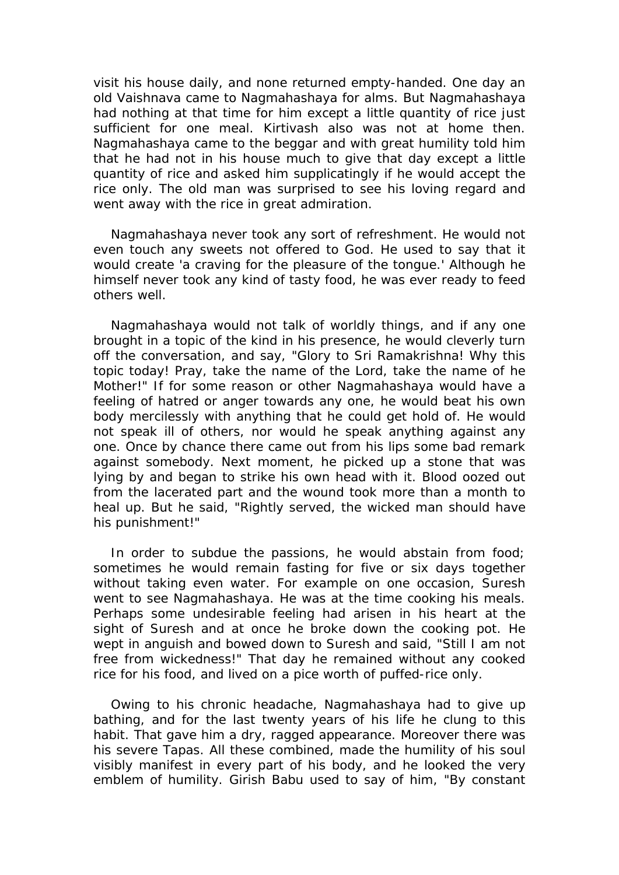visit his house daily, and none returned empty-handed. One day an old Vaishnava came to Nagmahashaya for alms. But Nagmahashaya had nothing at that time for him except a little quantity of rice just sufficient for one meal. Kirtivash also was not at home then. Nagmahashaya came to the beggar and with great humility told him that he had not in his house much to give that day except a little quantity of rice and asked him supplicatingly if he would accept the rice only. The old man was surprised to see his loving regard and went away with the rice in great admiration.

 Nagmahashaya never took any sort of refreshment. He would not even touch any sweets not offered to God. He used to say that it would create 'a craving for the pleasure of the tongue.' Although he himself never took any kind of tasty food, he was ever ready to feed others well.

 Nagmahashaya would not talk of worldly things, and if any one brought in a topic of the kind in his presence, he would cleverly turn off the conversation, and say, "Glory to Sri Ramakrishna! Why this topic today! Pray, take the name of the Lord, take the name of he Mother!" If for some reason or other Nagmahashaya would have a feeling of hatred or anger towards any one, he would beat his own body mercilessly with anything that he could get hold of. He would not speak ill of others, nor would he speak anything against any one. Once by chance there came out from his lips some bad remark against somebody. Next moment, he picked up a stone that was lying by and began to strike his own head with it. Blood oozed out from the lacerated part and the wound took more than a month to heal up. But he said, "Rightly served, the wicked man should have his punishment!"

 In order to subdue the passions, he would abstain from food; sometimes he would remain fasting for five or six days together without taking even water. For example on one occasion, Suresh went to see Nagmahashaya. He was at the time cooking his meals. Perhaps some undesirable feeling had arisen in his heart at the sight of Suresh and at once he broke down the cooking pot. He wept in anguish and bowed down to Suresh and said. "Still I am not free from wickedness!" That day he remained without any cooked rice for his food, and lived on a pice worth of puffed-rice only.

 Owing to his chronic headache, Nagmahashaya had to give up bathing, and for the last twenty years of his life he clung to this habit. That gave him a dry, ragged appearance. Moreover there was his severe Tapas. All these combined, made the humility of his soul visibly manifest in every part of his body, and he looked the very emblem of humility. Girish Babu used to say of him, "By constant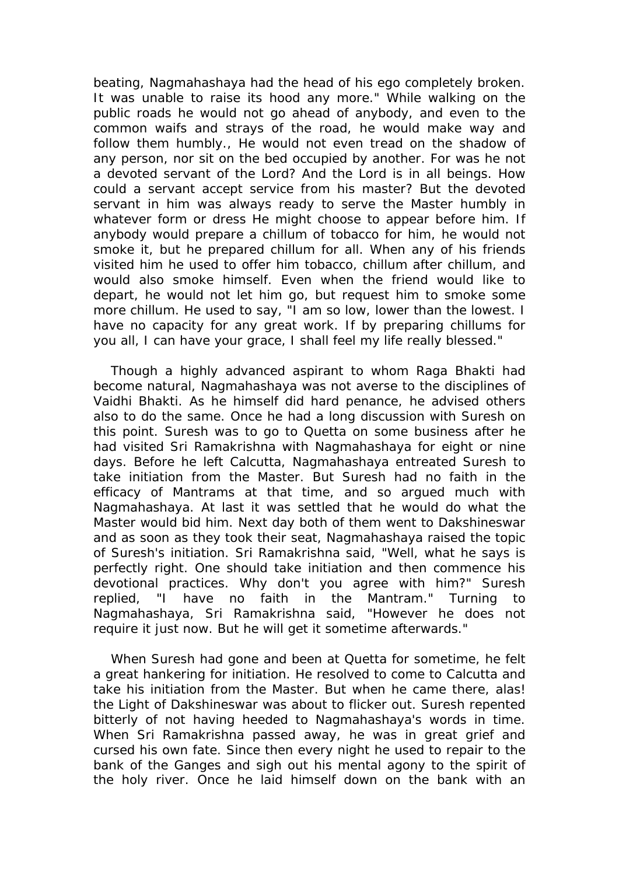beating, Nagmahashaya had the head of his ego completely broken. It was unable to raise its hood any more." While walking on the public roads he would not go ahead of anybody, and even to the common waifs and strays of the road, he would make way and follow them humbly., He would not even tread on the shadow of any person, nor sit on the bed occupied by another. For was he not a devoted servant of the Lord? And the Lord is in all beings. How could a servant accept service from his master? But the devoted servant in him was always ready to serve the Master humbly in whatever form or dress He might choose to appear before him. If anybody would prepare a chillum of tobacco for him, he would not smoke it, but he prepared chillum for all. When any of his friends visited him he used to offer him tobacco, chillum after chillum, and would also smoke himself. Even when the friend would like to depart, he would not let him go, but request him to smoke some more chillum. He used to say, "I am so low, lower than the lowest. I have no capacity for any great work. If by preparing chillums for you all, I can have your grace, I shall feel my life really blessed."

 Though a highly advanced aspirant to whom Raga Bhakti had become natural, Nagmahashaya was not averse to the disciplines of Vaidhi Bhakti. As he himself did hard penance, he advised others also to do the same. Once he had a long discussion with Suresh on this point. Suresh was to go to Quetta on some business after he had visited Sri Ramakrishna with Nagmahashaya for eight or nine days. Before he left Calcutta, Nagmahashaya entreated Suresh to take initiation from the Master. But Suresh had no faith in the efficacy of Mantrams at that time, and so argued much with Nagmahashaya. At last it was settled that he would do what the Master would bid him. Next day both of them went to Dakshineswar and as soon as they took their seat, Nagmahashaya raised the topic of Suresh's initiation. Sri Ramakrishna said, "Well, what he says is perfectly right. One should take initiation and then commence his devotional practices. Why don't you agree with him?" Suresh replied, "I have no faith in the Mantram." Turning to Nagmahashaya, Sri Ramakrishna said, "However he does not require it just now. But he will get it sometime afterwards."

 When Suresh had gone and been at Quetta for sometime, he felt a great hankering for initiation. He resolved to come to Calcutta and take his initiation from the Master. But when he came there, alas! the Light of Dakshineswar was about to flicker out. Suresh repented bitterly of not having heeded to Nagmahashaya's words in time. When Sri Ramakrishna passed away, he was in great grief and cursed his own fate. Since then every night he used to repair to the bank of the Ganges and sigh out his mental agony to the spirit of the holy river. Once he laid himself down on the bank with an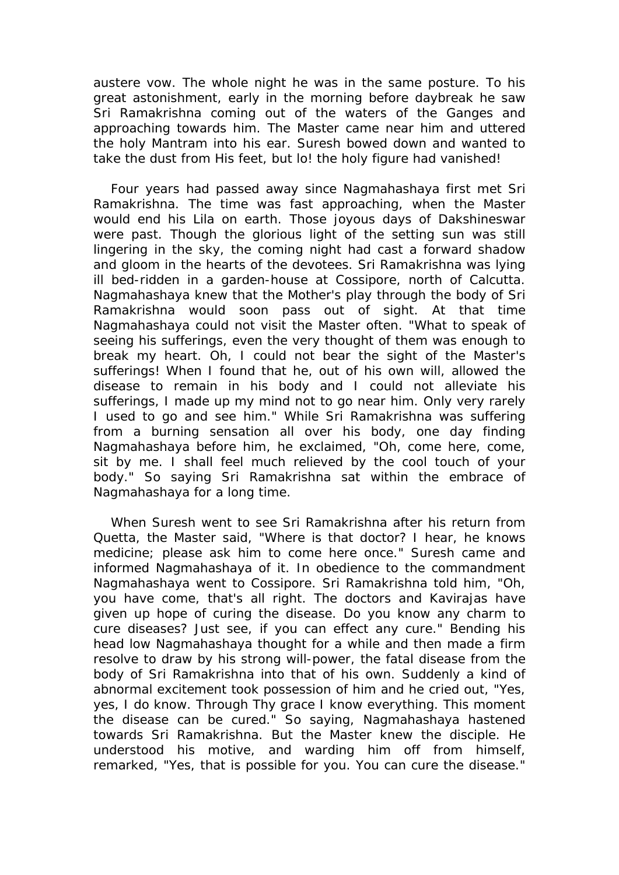austere vow. The whole night he was in the same posture. To his great astonishment, early in the morning before daybreak he saw Sri Ramakrishna coming out of the waters of the Ganges and approaching towards him. The Master came near him and uttered the holy Mantram into his ear. Suresh bowed down and wanted to take the dust from His feet, but lo! the holy figure had vanished!

 Four years had passed away since Nagmahashaya first met Sri Ramakrishna. The time was fast approaching, when the Master would end his Lila on earth. Those joyous days of Dakshineswar were past. Though the glorious light of the setting sun was still lingering in the sky, the coming night had cast a forward shadow and gloom in the hearts of the devotees. Sri Ramakrishna was lying ill bed-ridden in a garden-house at Cossipore, north of Calcutta. Nagmahashaya knew that the Mother's play through the body of Sri Ramakrishna would soon pass out of sight. At that time Nagmahashaya could not visit the Master often. "What to speak of seeing his sufferings, even the very thought of them was enough to break my heart. Oh, I could not bear the sight of the Master's sufferings! When I found that he, out of his own will, allowed the disease to remain in his body and I could not alleviate his sufferings, I made up my mind not to go near him. Only very rarely I used to go and see him." While Sri Ramakrishna was suffering from a burning sensation all over his body, one day finding Nagmahashaya before him, he exclaimed, "Oh, come here, come, sit by me. I shall feel much relieved by the cool touch of your body." So saying Sri Ramakrishna sat within the embrace of Nagmahashaya for a long time.

 When Suresh went to see Sri Ramakrishna after his return from Quetta, the Master said, "Where is that doctor? I hear, he knows medicine; please ask him to come here once." Suresh came and informed Nagmahashaya of it. In obedience to the commandment Nagmahashaya went to Cossipore. Sri Ramakrishna told him, "Oh, you have come, that's all right. The doctors and Kavirajas have given up hope of curing the disease. Do you know any charm to cure diseases? Just see, if you can effect any cure." Bending his head low Nagmahashaya thought for a while and then made a firm resolve to draw by his strong will-power, the fatal disease from the body of Sri Ramakrishna into that of his own. Suddenly a kind of abnormal excitement took possession of him and he cried out, "Yes, yes, I do know. Through Thy grace I know everything. This moment the disease can be cured." So saying, Nagmahashaya hastened towards Sri Ramakrishna. But the Master knew the disciple. He understood his motive, and warding him off from himself, remarked, "Yes, that is possible for you. You can cure the disease."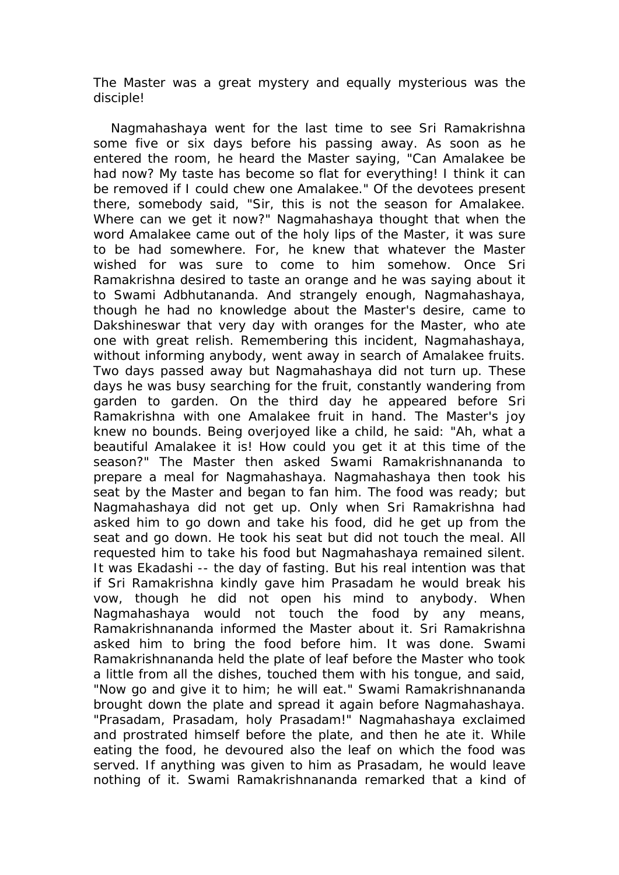The Master was a great mystery and equally mysterious was the disciple!

 Nagmahashaya went for the last time to see Sri Ramakrishna some five or six days before his passing away. As soon as he entered the room, he heard the Master saying, "Can Amalakee be had now? My taste has become so flat for everything! I think it can be removed if I could chew one Amalakee." Of the devotees present there, somebody said, "Sir, this is not the season for Amalakee. Where can we get it now?" Nagmahashaya thought that when the word Amalakee came out of the holy lips of the Master, it was sure to be had somewhere. For, he knew that whatever the Master wished for was sure to come to him somehow. Once Sri Ramakrishna desired to taste an orange and he was saying about it to Swami Adbhutananda. And strangely enough, Nagmahashaya, though he had no knowledge about the Master's desire, came to Dakshineswar that very day with oranges for the Master, who ate one with great relish. Remembering this incident, Nagmahashaya, without informing anybody, went away in search of Amalakee fruits. Two days passed away but Nagmahashaya did not turn up. These days he was busy searching for the fruit, constantly wandering from garden to garden. On the third day he appeared before Sri Ramakrishna with one Amalakee fruit in hand. The Master's joy knew no bounds. Being overjoyed like a child, he said: "Ah, what a beautiful Amalakee it is! How could you get it at this time of the season?" The Master then asked Swami Ramakrishnananda to prepare a meal for Nagmahashaya. Nagmahashaya then took his seat by the Master and began to fan him. The food was ready; but Nagmahashaya did not get up. Only when Sri Ramakrishna had asked him to go down and take his food, did he get up from the seat and go down. He took his seat but did not touch the meal. All requested him to take his food but Nagmahashaya remained silent. It was Ekadashi -- the day of fasting. But his real intention was that if Sri Ramakrishna kindly gave him Prasadam he would break his vow, though he did not open his mind to anybody. When Nagmahashaya would not touch the food by any means, Ramakrishnananda informed the Master about it. Sri Ramakrishna asked him to bring the food before him. It was done. Swami Ramakrishnananda held the plate of leaf before the Master who took a little from all the dishes, touched them with his tongue, and said, "Now go and give it to him; he will eat." Swami Ramakrishnananda brought down the plate and spread it again before Nagmahashaya. "Prasadam, Prasadam, holy Prasadam!" Nagmahashaya exclaimed and prostrated himself before the plate, and then he ate it. While eating the food, he devoured also the leaf on which the food was served. If anything was given to him as Prasadam, he would leave nothing of it. Swami Ramakrishnananda remarked that a kind of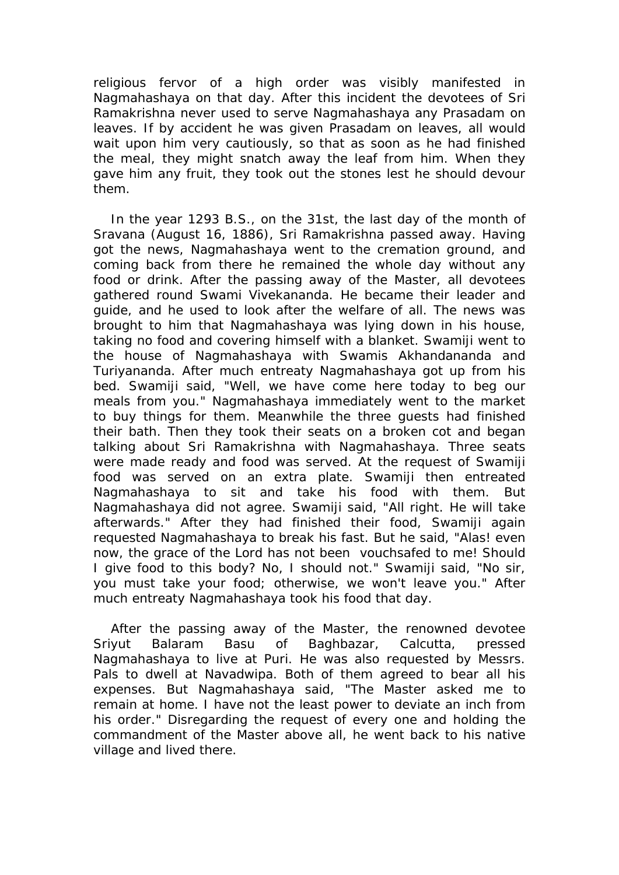religious fervor of a high order was visibly manifested in Nagmahashaya on that day. After this incident the devotees of Sri Ramakrishna never used to serve Nagmahashaya any Prasadam on leaves. If by accident he was given Prasadam on leaves, all would wait upon him very cautiously, so that as soon as he had finished the meal, they might snatch away the leaf from him. When they gave him any fruit, they took out the stones lest he should devour them.

 In the year 1293 B.S., on the 31st, the last day of the month of Sravana (August 16, 1886), Sri Ramakrishna passed away. Having got the news, Nagmahashaya went to the cremation ground, and coming back from there he remained the whole day without any food or drink. After the passing away of the Master, all devotees gathered round Swami Vivekananda. He became their leader and guide, and he used to look after the welfare of all. The news was brought to him that Nagmahashaya was lying down in his house, taking no food and covering himself with a blanket. Swamiji went to the house of Nagmahashaya with Swamis Akhandananda and Turiyananda. After much entreaty Nagmahashaya got up from his bed. Swamiji said, "Well, we have come here today to beg our meals from you." Nagmahashaya immediately went to the market to buy things for them. Meanwhile the three guests had finished their bath. Then they took their seats on a broken cot and began talking about Sri Ramakrishna with Nagmahashaya. Three seats were made ready and food was served. At the request of Swamiji food was served on an extra plate. Swamiji then entreated Nagmahashaya to sit and take his food with them. But Nagmahashaya did not agree. Swamiji said, "All right. He will take afterwards." After they had finished their food, Swamiji again requested Nagmahashaya to break his fast. But he said, "Alas! even now, the grace of the Lord has not been vouchsafed to me! Should I give food to this body? No, I should not." Swamiji said, "No sir, you must take your food; otherwise, we won't leave you." After much entreaty Nagmahashaya took his food that day.

 After the passing away of the Master, the renowned devotee Sriyut Balaram Basu of Baghbazar, Calcutta, pressed Nagmahashaya to live at Puri. He was also requested by Messrs. Pals to dwell at Navadwipa. Both of them agreed to bear all his expenses. But Nagmahashaya said, "The Master asked me to remain at home. I have not the least power to deviate an inch from his order." Disregarding the request of every one and holding the commandment of the Master above all, he went back to his native village and lived there.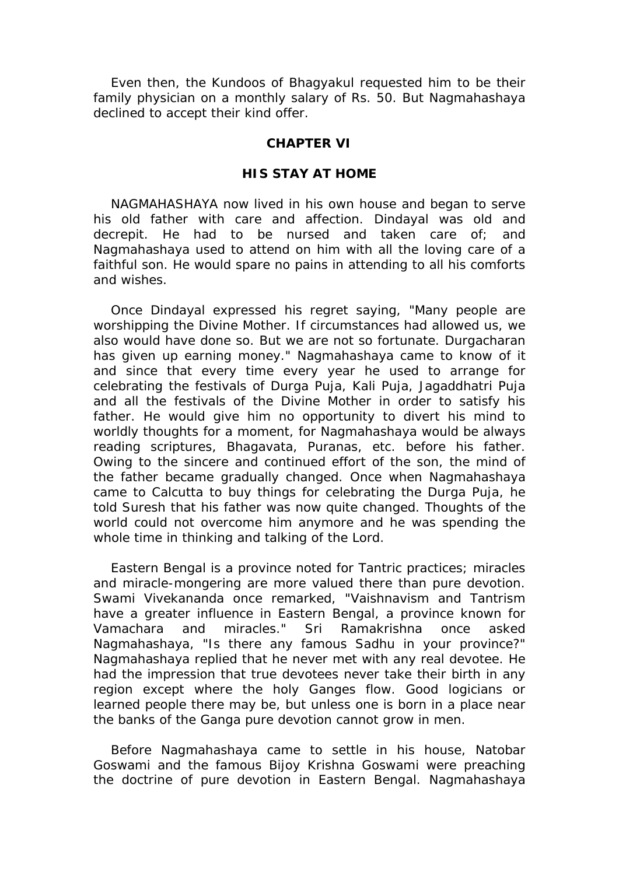Even then, the Kundoos of Bhagyakul requested him to be their family physician on a monthly salary of Rs. 50. But Nagmahashaya declined to accept their kind offer.

### **CHAPTER VI**

#### **HIS STAY AT HOME**

 NAGMAHASHAYA now lived in his own house and began to serve his old father with care and affection. Dindayal was old and decrepit. He had to be nursed and taken care of; and Nagmahashaya used to attend on him with all the loving care of a faithful son. He would spare no pains in attending to all his comforts and wishes.

 Once Dindayal expressed his regret saying, "Many people are worshipping the Divine Mother. If circumstances had allowed us, we also would have done so. But we are not so fortunate. Durgacharan has given up earning money." Nagmahashaya came to know of it and since that every time every year he used to arrange for celebrating the festivals of Durga Puja, Kali Puja, Jagaddhatri Puja and all the festivals of the Divine Mother in order to satisfy his father. He would give him no opportunity to divert his mind to worldly thoughts for a moment, for Nagmahashaya would be always reading scriptures, Bhagavata, Puranas, etc. before his father. Owing to the sincere and continued effort of the son, the mind of the father became gradually changed. Once when Nagmahashaya came to Calcutta to buy things for celebrating the Durga Puja, he told Suresh that his father was now quite changed. Thoughts of the world could not overcome him anymore and he was spending the whole time in thinking and talking of the Lord.

 Eastern Bengal is a province noted for Tantric practices; miracles and miracle-mongering are more valued there than pure devotion. Swami Vivekananda once remarked, "Vaishnavism and Tantrism have a greater influence in Eastern Bengal, a province known for Vamachara and miracles." Sri Ramakrishna once asked Nagmahashaya, "Is there any famous Sadhu in your province?" Nagmahashaya replied that he never met with any real devotee. He had the impression that true devotees never take their birth in any region except where the holy Ganges flow. Good logicians or learned people there may be, but unless one is born in a place near the banks of the Ganga pure devotion cannot grow in men.

 Before Nagmahashaya came to settle in his house, Natobar Goswami and the famous Bijoy Krishna Goswami were preaching the doctrine of pure devotion in Eastern Bengal. Nagmahashaya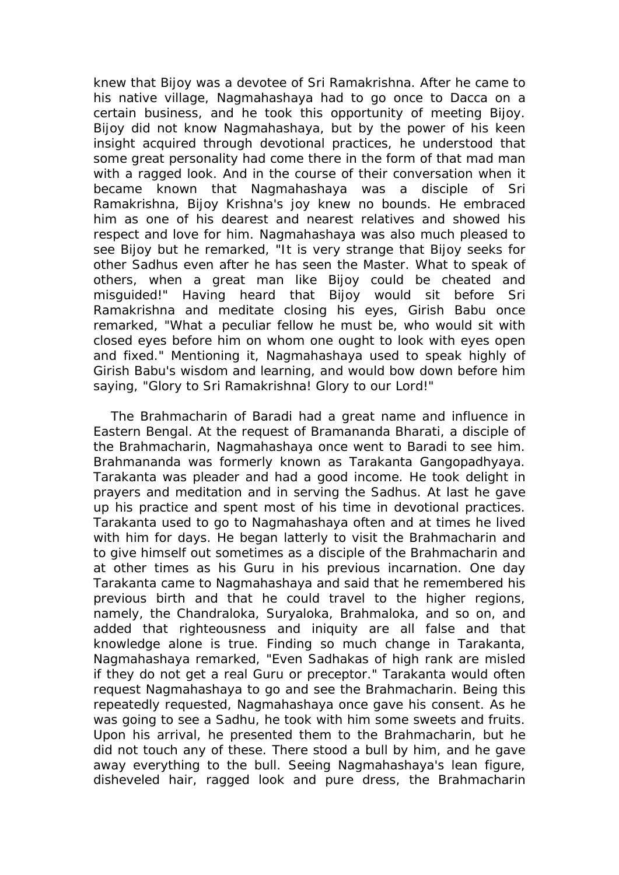knew that Bijoy was a devotee of Sri Ramakrishna. After he came to his native village, Nagmahashaya had to go once to Dacca on a certain business, and he took this opportunity of meeting Bijoy. Bijoy did not know Nagmahashaya, but by the power of his keen insight acquired through devotional practices, he understood that some great personality had come there in the form of that mad man with a ragged look. And in the course of their conversation when it became known that Nagmahashaya was a disciple of Sri Ramakrishna, Bijoy Krishna's joy knew no bounds. He embraced him as one of his dearest and nearest relatives and showed his respect and love for him. Nagmahashaya was also much pleased to see Bijoy but he remarked, "It is very strange that Bijoy seeks for other Sadhus even after he has seen the Master. What to speak of others, when a great man like Bijoy could be cheated and misguided!" Having heard that Bijoy would sit before Sri Ramakrishna and meditate closing his eyes, Girish Babu once remarked, "What a peculiar fellow he must be, who would sit with closed eyes before him on whom one ought to look with eyes open and fixed." Mentioning it, Nagmahashaya used to speak highly of Girish Babu's wisdom and learning, and would bow down before him saying, "Glory to Sri Ramakrishna! Glory to our Lord!"

 The Brahmacharin of Baradi had a great name and influence in Eastern Bengal. At the request of Bramananda Bharati, a disciple of the Brahmacharin, Nagmahashaya once went to Baradi to see him. Brahmananda was formerly known as Tarakanta Gangopadhyaya. Tarakanta was pleader and had a good income. He took delight in prayers and meditation and in serving the Sadhus. At last he gave up his practice and spent most of his time in devotional practices. Tarakanta used to go to Nagmahashaya often and at times he lived with him for days. He began latterly to visit the Brahmacharin and to give himself out sometimes as a disciple of the Brahmacharin and at other times as his Guru in his previous incarnation. One day Tarakanta came to Nagmahashaya and said that he remembered his previous birth and that he could travel to the higher regions, namely, the Chandraloka, Suryaloka, Brahmaloka, and so on, and added that righteousness and iniquity are all false and that knowledge alone is true. Finding so much change in Tarakanta, Nagmahashaya remarked, "Even Sadhakas of high rank are misled if they do not get a real Guru or preceptor." Tarakanta would often request Nagmahashaya to go and see the Brahmacharin. Being this repeatedly requested, Nagmahashaya once gave his consent. As he was going to see a Sadhu, he took with him some sweets and fruits. Upon his arrival, he presented them to the Brahmacharin, but he did not touch any of these. There stood a bull by him, and he gave away everything to the bull. Seeing Nagmahashaya's lean figure, disheveled hair, ragged look and pure dress, the Brahmacharin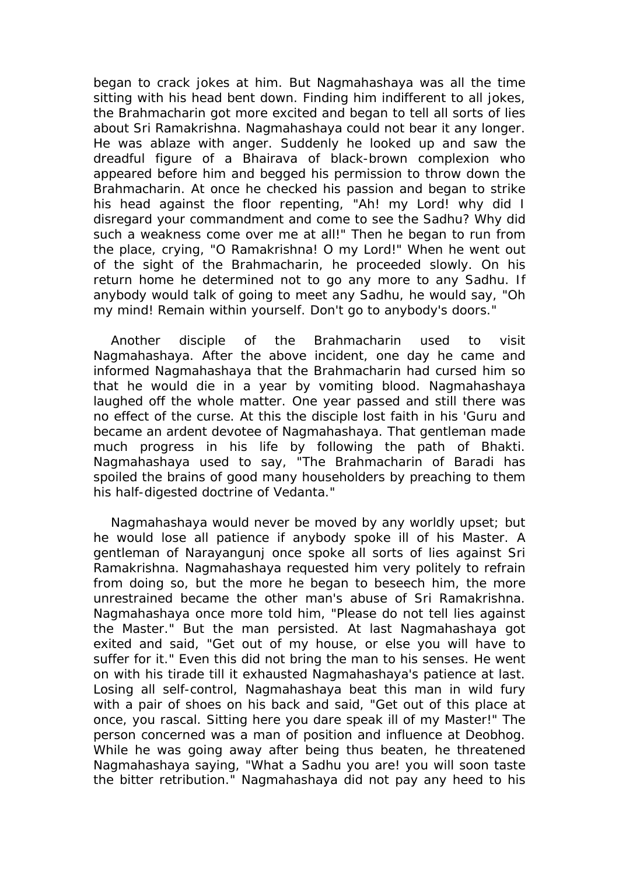began to crack jokes at him. But Nagmahashaya was all the time sitting with his head bent down. Finding him indifferent to all jokes, the Brahmacharin got more excited and began to tell all sorts of lies about Sri Ramakrishna. Nagmahashaya could not bear it any longer. He was ablaze with anger. Suddenly he looked up and saw the dreadful figure of a Bhairava of black-brown complexion who appeared before him and begged his permission to throw down the Brahmacharin. At once he checked his passion and began to strike his head against the floor repenting, "Ah! my Lord! why did I disregard your commandment and come to see the Sadhu? Why did such a weakness come over me at all!" Then he began to run from the place, crying, "O Ramakrishna! O my Lord!" When he went out of the sight of the Brahmacharin, he proceeded slowly. On his return home he determined not to go any more to any Sadhu. If anybody would talk of going to meet any Sadhu, he would say, "Oh my mind! Remain within yourself. Don't go to anybody's doors."

 Another disciple of the Brahmacharin used to visit Nagmahashaya. After the above incident, one day he came and informed Nagmahashaya that the Brahmacharin had cursed him so that he would die in a year by vomiting blood. Nagmahashaya laughed off the whole matter. One year passed and still there was no effect of the curse. At this the disciple lost faith in his 'Guru and became an ardent devotee of Nagmahashaya. That gentleman made much progress in his life by following the path of Bhakti. Nagmahashaya used to say, "The Brahmacharin of Baradi has spoiled the brains of good many householders by preaching to them his half-digested doctrine of Vedanta."

 Nagmahashaya would never be moved by any worldly upset; but he would lose all patience if anybody spoke ill of his Master. A gentleman of Narayangunj once spoke all sorts of lies against Sri Ramakrishna. Nagmahashaya requested him very politely to refrain from doing so, but the more he began to beseech him, the more unrestrained became the other man's abuse of Sri Ramakrishna. Nagmahashaya once more told him, "Please do not tell lies against the Master." But the man persisted. At last Nagmahashaya got exited and said, "Get out of my house, or else you will have to suffer for it." Even this did not bring the man to his senses. He went on with his tirade till it exhausted Nagmahashaya's patience at last. Losing all self-control, Nagmahashaya beat this man in wild fury with a pair of shoes on his back and said, "Get out of this place at once, you rascal. Sitting here you dare speak ill of my Master!" The person concerned was a man of position and influence at Deobhog. While he was going away after being thus beaten, he threatened Nagmahashaya saying, "What a Sadhu you are! you will soon taste the bitter retribution." Nagmahashaya did not pay any heed to his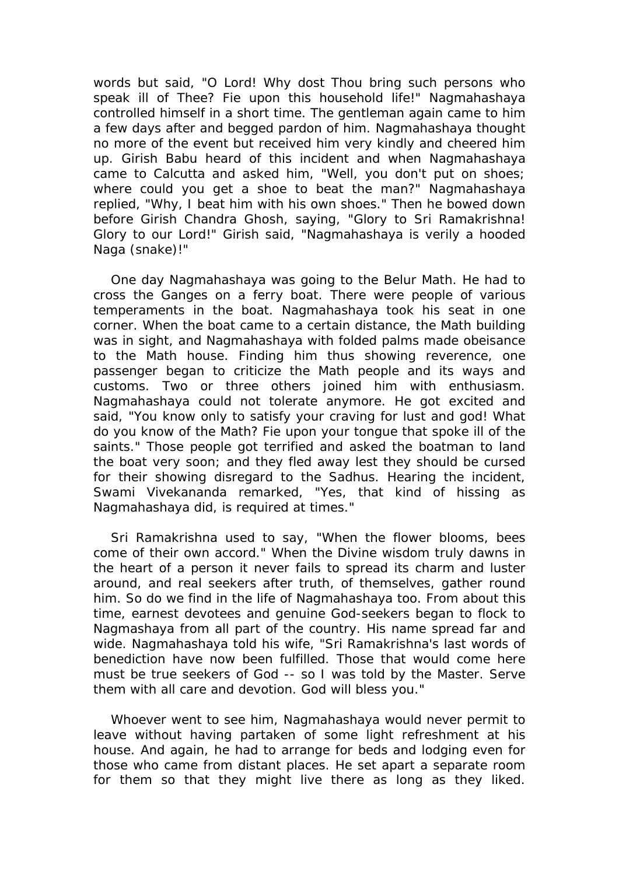words but said, "O Lord! Why dost Thou bring such persons who speak ill of Thee? Fie upon this household life!" Nagmahashaya controlled himself in a short time. The gentleman again came to him a few days after and begged pardon of him. Nagmahashaya thought no more of the event but received him very kindly and cheered him up. Girish Babu heard of this incident and when Nagmahashaya came to Calcutta and asked him, "Well, you don't put on shoes; where could you get a shoe to beat the man?" Nagmahashaya replied, "Why, I beat him with his own shoes." Then he bowed down before Girish Chandra Ghosh, saying, "Glory to Sri Ramakrishna! Glory to our Lord!" Girish said, "Nagmahashaya is verily a hooded Naga (snake)!"

 One day Nagmahashaya was going to the Belur Math. He had to cross the Ganges on a ferry boat. There were people of various temperaments in the boat. Nagmahashaya took his seat in one corner. When the boat came to a certain distance, the Math building was in sight, and Nagmahashaya with folded palms made obeisance to the Math house. Finding him thus showing reverence, one passenger began to criticize the Math people and its ways and customs. Two or three others joined him with enthusiasm. Nagmahashaya could not tolerate anymore. He got excited and said, "You know only to satisfy your craving for lust and god! What do you know of the Math? Fie upon your tongue that spoke ill of the saints." Those people got terrified and asked the boatman to land the boat very soon; and they fled away lest they should be cursed for their showing disregard to the Sadhus. Hearing the incident, Swami Vivekananda remarked, "Yes, that kind of hissing as Nagmahashaya did, is required at times."

 Sri Ramakrishna used to say, "When the flower blooms, bees come of their own accord." When the Divine wisdom truly dawns in the heart of a person it never fails to spread its charm and luster around, and real seekers after truth, of themselves, gather round him. So do we find in the life of Nagmahashaya too. From about this time, earnest devotees and genuine God-seekers began to flock to Nagmashaya from all part of the country. His name spread far and wide. Nagmahashaya told his wife, "Sri Ramakrishna's last words of benediction have now been fulfilled. Those that would come here must be true seekers of God -- so I was told by the Master. Serve them with all care and devotion. God will bless you."

 Whoever went to see him, Nagmahashaya would never permit to leave without having partaken of some light refreshment at his house. And again, he had to arrange for beds and lodging even for those who came from distant places. He set apart a separate room for them so that they might live there as long as they liked.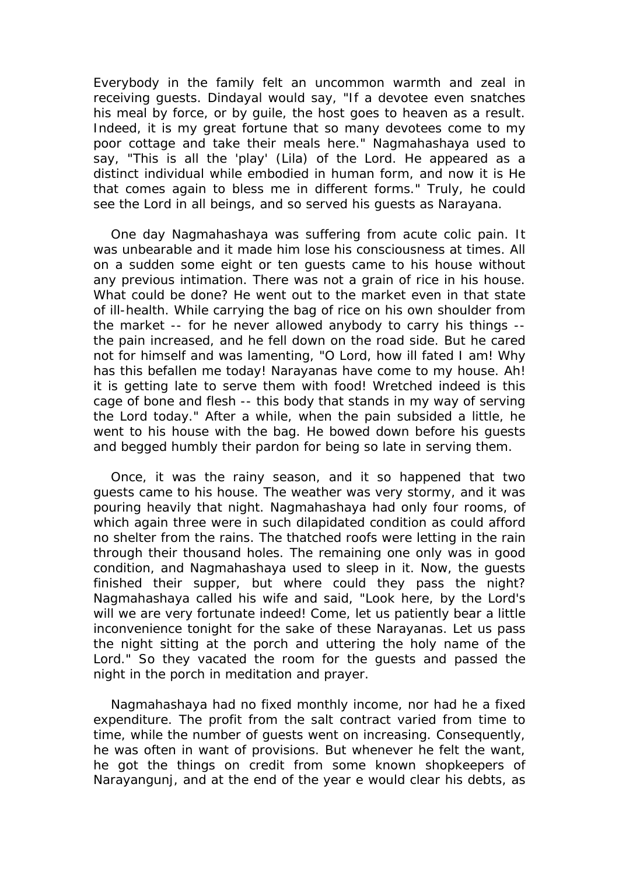Everybody in the family felt an uncommon warmth and zeal in receiving guests. Dindayal would say, "If a devotee even snatches his meal by force, or by guile, the host goes to heaven as a result. Indeed, it is my great fortune that so many devotees come to my poor cottage and take their meals here." Nagmahashaya used to say, "This is all the 'play' (Lila) of the Lord. He appeared as a distinct individual while embodied in human form, and now it is He that comes again to bless me in different forms." Truly, he could see the Lord in all beings, and so served his guests as Narayana.

 One day Nagmahashaya was suffering from acute colic pain. It was unbearable and it made him lose his consciousness at times. All on a sudden some eight or ten guests came to his house without any previous intimation. There was not a grain of rice in his house. What could be done? He went out to the market even in that state of ill-health. While carrying the bag of rice on his own shoulder from the market -- for he never allowed anybody to carry his things - the pain increased, and he fell down on the road side. But he cared not for himself and was lamenting, "O Lord, how ill fated I am! Why has this befallen me today! Narayanas have come to my house. Ah! it is getting late to serve them with food! Wretched indeed is this cage of bone and flesh -- this body that stands in my way of serving the Lord today." After a while, when the pain subsided a little, he went to his house with the bag. He bowed down before his guests and begged humbly their pardon for being so late in serving them.

 Once, it was the rainy season, and it so happened that two guests came to his house. The weather was very stormy, and it was pouring heavily that night. Nagmahashaya had only four rooms, of which again three were in such dilapidated condition as could afford no shelter from the rains. The thatched roofs were letting in the rain through their thousand holes. The remaining one only was in good condition, and Nagmahashaya used to sleep in it. Now, the guests finished their supper, but where could they pass the night? Nagmahashaya called his wife and said, "Look here, by the Lord's will we are very fortunate indeed! Come, let us patiently bear a little inconvenience tonight for the sake of these Narayanas. Let us pass the night sitting at the porch and uttering the holy name of the Lord." So they vacated the room for the guests and passed the night in the porch in meditation and prayer.

 Nagmahashaya had no fixed monthly income, nor had he a fixed expenditure. The profit from the salt contract varied from time to time, while the number of guests went on increasing. Consequently, he was often in want of provisions. But whenever he felt the want, he got the things on credit from some known shopkeepers of Narayangunj, and at the end of the year e would clear his debts, as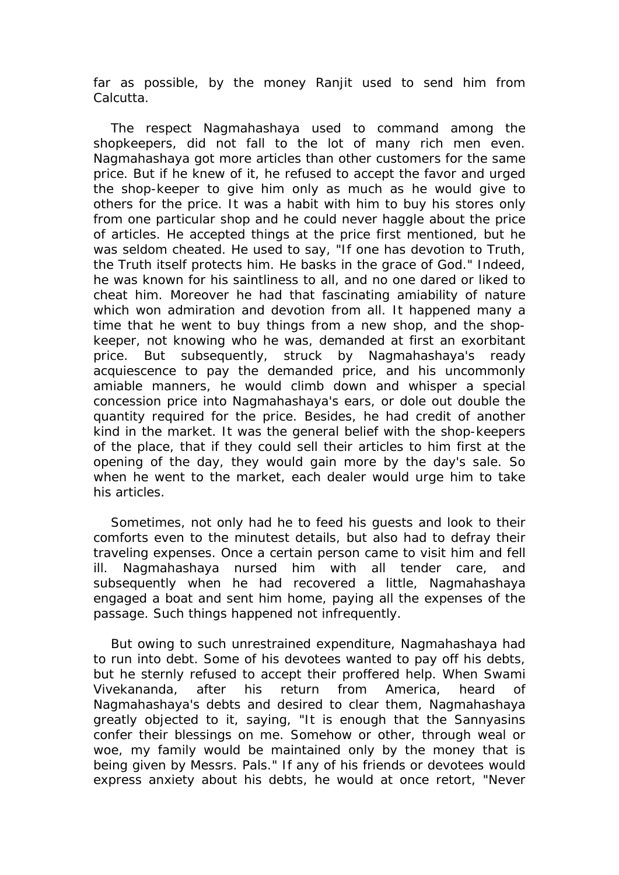far as possible, by the money Ranjit used to send him from Calcutta.

 The respect Nagmahashaya used to command among the shopkeepers, did not fall to the lot of many rich men even. Nagmahashaya got more articles than other customers for the same price. But if he knew of it, he refused to accept the favor and urged the shop-keeper to give him only as much as he would give to others for the price. It was a habit with him to buy his stores only from one particular shop and he could never haggle about the price of articles. He accepted things at the price first mentioned, but he was seldom cheated. He used to say, "If one has devotion to Truth, the Truth itself protects him. He basks in the grace of God." Indeed, he was known for his saintliness to all, and no one dared or liked to cheat him. Moreover he had that fascinating amiability of nature which won admiration and devotion from all. It happened many a time that he went to buy things from a new shop, and the shopkeeper, not knowing who he was, demanded at first an exorbitant price. But subsequently, struck by Nagmahashaya's ready acquiescence to pay the demanded price, and his uncommonly amiable manners, he would climb down and whisper a special concession price into Nagmahashaya's ears, or dole out double the quantity required for the price. Besides, he had credit of another kind in the market. It was the general belief with the shop-keepers of the place, that if they could sell their articles to him first at the opening of the day, they would gain more by the day's sale. So when he went to the market, each dealer would urge him to take his articles.

 Sometimes, not only had he to feed his guests and look to their comforts even to the minutest details, but also had to defray their traveling expenses. Once a certain person came to visit him and fell ill. Nagmahashaya nursed him with all tender care, and subsequently when he had recovered a little, Nagmahashaya engaged a boat and sent him home, paying all the expenses of the passage. Such things happened not infrequently.

 But owing to such unrestrained expenditure, Nagmahashaya had to run into debt. Some of his devotees wanted to pay off his debts, but he sternly refused to accept their proffered help. When Swami Vivekananda, after his return from America, heard of Nagmahashaya's debts and desired to clear them, Nagmahashaya greatly objected to it, saying, "It is enough that the Sannyasins confer their blessings on me. Somehow or other, through weal or woe, my family would be maintained only by the money that is being given by Messrs. Pals." If any of his friends or devotees would express anxiety about his debts, he would at once retort, "Never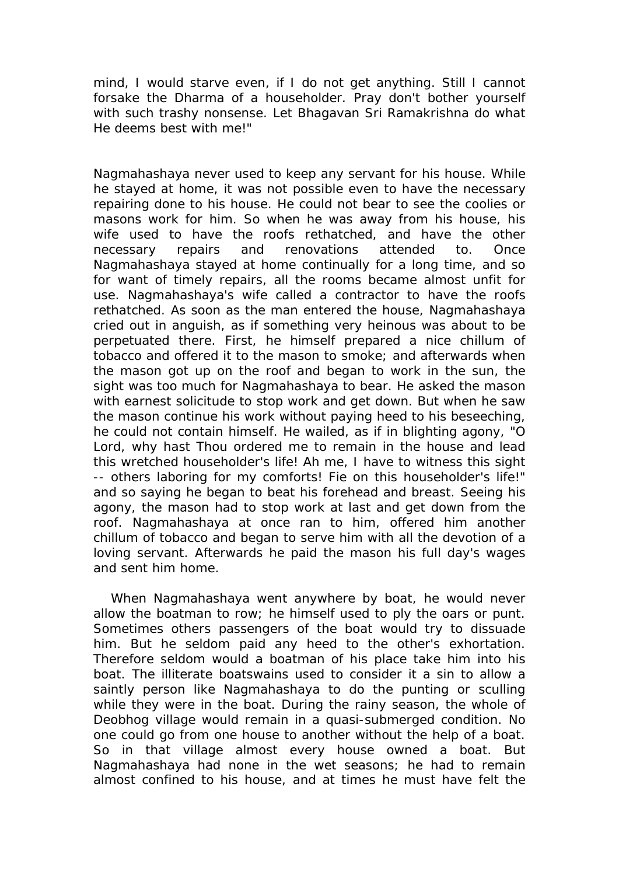mind, I would starve even, if I do not get anything. Still I cannot forsake the Dharma of a householder. Pray don't bother yourself with such trashy nonsense. Let Bhagavan Sri Ramakrishna do what He deems best with me!"

Nagmahashaya never used to keep any servant for his house. While he stayed at home, it was not possible even to have the necessary repairing done to his house. He could not bear to see the coolies or masons work for him. So when he was away from his house, his wife used to have the roofs rethatched, and have the other necessary repairs and renovations attended to. Once Nagmahashaya stayed at home continually for a long time, and so for want of timely repairs, all the rooms became almost unfit for use. Nagmahashaya's wife called a contractor to have the roofs rethatched. As soon as the man entered the house, Nagmahashaya cried out in anguish, as if something very heinous was about to be perpetuated there. First, he himself prepared a nice chillum of tobacco and offered it to the mason to smoke; and afterwards when the mason got up on the roof and began to work in the sun, the sight was too much for Nagmahashaya to bear. He asked the mason with earnest solicitude to stop work and get down. But when he saw the mason continue his work without paying heed to his beseeching, he could not contain himself. He wailed, as if in blighting agony, "O Lord, why hast Thou ordered me to remain in the house and lead this wretched householder's life! Ah me, I have to witness this sight -- others laboring for my comforts! Fie on this householder's life!" and so saying he began to beat his forehead and breast. Seeing his agony, the mason had to stop work at last and get down from the roof. Nagmahashaya at once ran to him, offered him another chillum of tobacco and began to serve him with all the devotion of a loving servant. Afterwards he paid the mason his full day's wages and sent him home.

 When Nagmahashaya went anywhere by boat, he would never allow the boatman to row; he himself used to ply the oars or punt. Sometimes others passengers of the boat would try to dissuade him. But he seldom paid any heed to the other's exhortation. Therefore seldom would a boatman of his place take him into his boat. The illiterate boatswains used to consider it a sin to allow a saintly person like Nagmahashaya to do the punting or sculling while they were in the boat. During the rainy season, the whole of Deobhog village would remain in a quasi-submerged condition. No one could go from one house to another without the help of a boat. So in that village almost every house owned a boat. But Nagmahashaya had none in the wet seasons; he had to remain almost confined to his house, and at times he must have felt the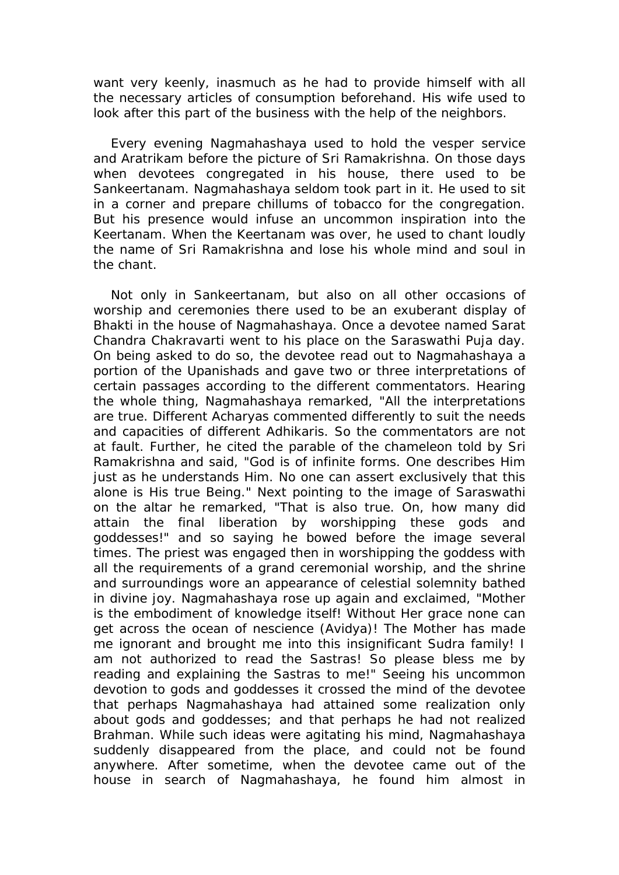want very keenly, inasmuch as he had to provide himself with all the necessary articles of consumption beforehand. His wife used to look after this part of the business with the help of the neighbors.

 Every evening Nagmahashaya used to hold the vesper service and Aratrikam before the picture of Sri Ramakrishna. On those days when devotees congregated in his house, there used to be Sankeertanam. Nagmahashaya seldom took part in it. He used to sit in a corner and prepare chillums of tobacco for the congregation. But his presence would infuse an uncommon inspiration into the Keertanam. When the Keertanam was over, he used to chant loudly the name of Sri Ramakrishna and lose his whole mind and soul in the chant.

 Not only in Sankeertanam, but also on all other occasions of worship and ceremonies there used to be an exuberant display of Bhakti in the house of Nagmahashaya. Once a devotee named Sarat Chandra Chakravarti went to his place on the Saraswathi Puja day. On being asked to do so, the devotee read out to Nagmahashaya a portion of the Upanishads and gave two or three interpretations of certain passages according to the different commentators. Hearing the whole thing, Nagmahashaya remarked, "All the interpretations are true. Different Acharyas commented differently to suit the needs and capacities of different Adhikaris. So the commentators are not at fault. Further, he cited the parable of the chameleon told by Sri Ramakrishna and said, "God is of infinite forms. One describes Him just as he understands Him. No one can assert exclusively that this alone is His true Being." Next pointing to the image of Saraswathi on the altar he remarked, "That is also true. On, how many did attain the final liberation by worshipping these gods and goddesses!" and so saying he bowed before the image several times. The priest was engaged then in worshipping the goddess with all the requirements of a grand ceremonial worship, and the shrine and surroundings wore an appearance of celestial solemnity bathed in divine joy. Nagmahashaya rose up again and exclaimed, "Mother is the embodiment of knowledge itself! Without Her grace none can get across the ocean of nescience (Avidya)! The Mother has made me ignorant and brought me into this insignificant Sudra family! I am not authorized to read the Sastras! So please bless me by reading and explaining the Sastras to me!" Seeing his uncommon devotion to gods and goddesses it crossed the mind of the devotee that perhaps Nagmahashaya had attained some realization only about gods and goddesses; and that perhaps he had not realized Brahman. While such ideas were agitating his mind, Nagmahashaya suddenly disappeared from the place, and could not be found anywhere. After sometime, when the devotee came out of the house in search of Nagmahashaya, he found him almost in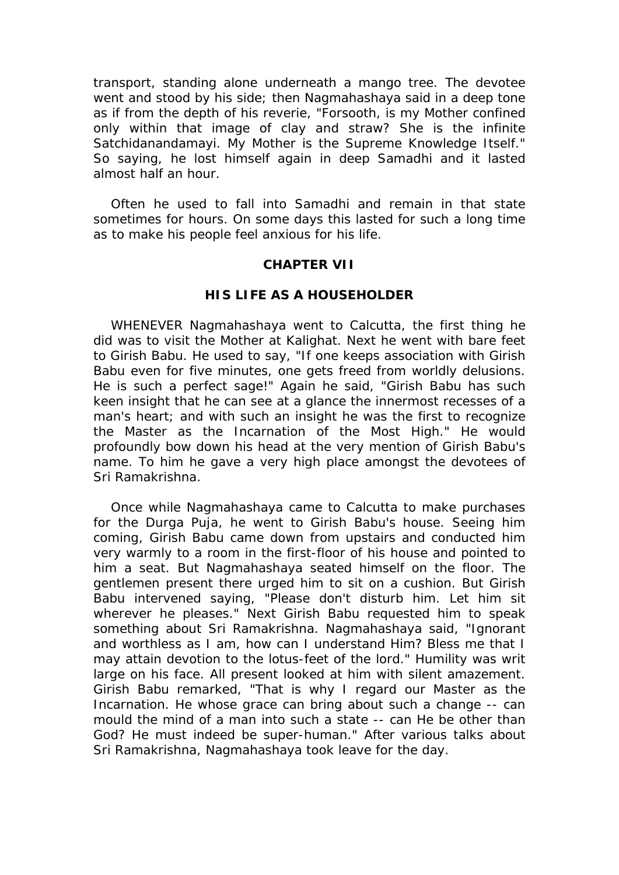transport, standing alone underneath a mango tree. The devotee went and stood by his side; then Nagmahashaya said in a deep tone as if from the depth of his reverie, "Forsooth, is my Mother confined only within that image of clay and straw? She is the infinite Satchidanandamayi. My Mother is the Supreme Knowledge Itself." So saying, he lost himself again in deep Samadhi and it lasted almost half an hour.

 Often he used to fall into Samadhi and remain in that state sometimes for hours. On some days this lasted for such a long time as to make his people feel anxious for his life.

### **CHAPTER VII**

### **HIS LIFE AS A HOUSEHOLDER**

 WHENEVER Nagmahashaya went to Calcutta, the first thing he did was to visit the Mother at Kalighat. Next he went with bare feet to Girish Babu. He used to say, "If one keeps association with Girish Babu even for five minutes, one gets freed from worldly delusions. He is such a perfect sage!" Again he said, "Girish Babu has such keen insight that he can see at a glance the innermost recesses of a man's heart; and with such an insight he was the first to recognize the Master as the Incarnation of the Most High." He would profoundly bow down his head at the very mention of Girish Babu's name. To him he gave a very high place amongst the devotees of Sri Ramakrishna.

 Once while Nagmahashaya came to Calcutta to make purchases for the Durga Puja, he went to Girish Babu's house. Seeing him coming, Girish Babu came down from upstairs and conducted him very warmly to a room in the first-floor of his house and pointed to him a seat. But Nagmahashaya seated himself on the floor. The gentlemen present there urged him to sit on a cushion. But Girish Babu intervened saying, "Please don't disturb him. Let him sit wherever he pleases." Next Girish Babu requested him to speak something about Sri Ramakrishna. Nagmahashaya said, "Ignorant and worthless as I am, how can I understand Him? Bless me that I may attain devotion to the lotus-feet of the lord." Humility was writ large on his face. All present looked at him with silent amazement. Girish Babu remarked, "That is why I regard our Master as the Incarnation. He whose grace can bring about such a change -- can mould the mind of a man into such a state -- can He be other than God? He must indeed be super-human." After various talks about Sri Ramakrishna, Nagmahashaya took leave for the day.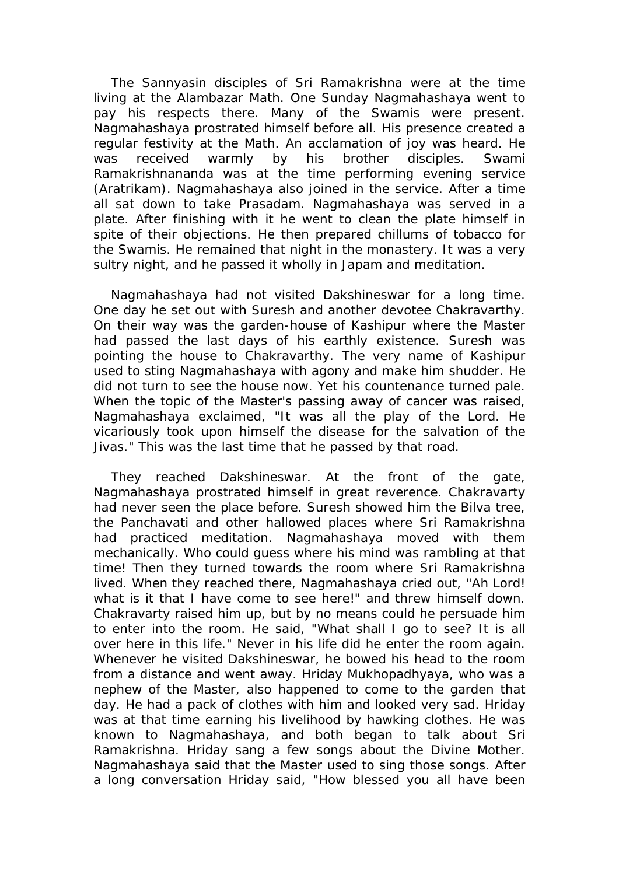The Sannyasin disciples of Sri Ramakrishna were at the time living at the Alambazar Math. One Sunday Nagmahashaya went to pay his respects there. Many of the Swamis were present. Nagmahashaya prostrated himself before all. His presence created a regular festivity at the Math. An acclamation of joy was heard. He was received warmly by his brother disciples. Swami Ramakrishnananda was at the time performing evening service (Aratrikam). Nagmahashaya also joined in the service. After a time all sat down to take Prasadam. Nagmahashaya was served in a plate. After finishing with it he went to clean the plate himself in spite of their objections. He then prepared chillums of tobacco for the Swamis. He remained that night in the monastery. It was a very sultry night, and he passed it wholly in Japam and meditation.

 Nagmahashaya had not visited Dakshineswar for a long time. One day he set out with Suresh and another devotee Chakravarthy. On their way was the garden-house of Kashipur where the Master had passed the last days of his earthly existence. Suresh was pointing the house to Chakravarthy. The very name of Kashipur used to sting Nagmahashaya with agony and make him shudder. He did not turn to see the house now. Yet his countenance turned pale. When the topic of the Master's passing away of cancer was raised, Nagmahashaya exclaimed, "It was all the play of the Lord. He vicariously took upon himself the disease for the salvation of the Jivas." This was the last time that he passed by that road.

 They reached Dakshineswar. At the front of the gate, Nagmahashaya prostrated himself in great reverence. Chakravarty had never seen the place before. Suresh showed him the Bilva tree, the Panchavati and other hallowed places where Sri Ramakrishna had practiced meditation. Nagmahashaya moved with them mechanically. Who could guess where his mind was rambling at that time! Then they turned towards the room where Sri Ramakrishna lived. When they reached there, Nagmahashaya cried out, "Ah Lord! what is it that I have come to see here!" and threw himself down. Chakravarty raised him up, but by no means could he persuade him to enter into the room. He said, "What shall I go to see? It is all over here in this life." Never in his life did he enter the room again. Whenever he visited Dakshineswar, he bowed his head to the room from a distance and went away. Hriday Mukhopadhyaya, who was a nephew of the Master, also happened to come to the garden that day. He had a pack of clothes with him and looked very sad. Hriday was at that time earning his livelihood by hawking clothes. He was known to Nagmahashaya, and both began to talk about Sri Ramakrishna. Hriday sang a few songs about the Divine Mother. Nagmahashaya said that the Master used to sing those songs. After a long conversation Hriday said, "How blessed you all have been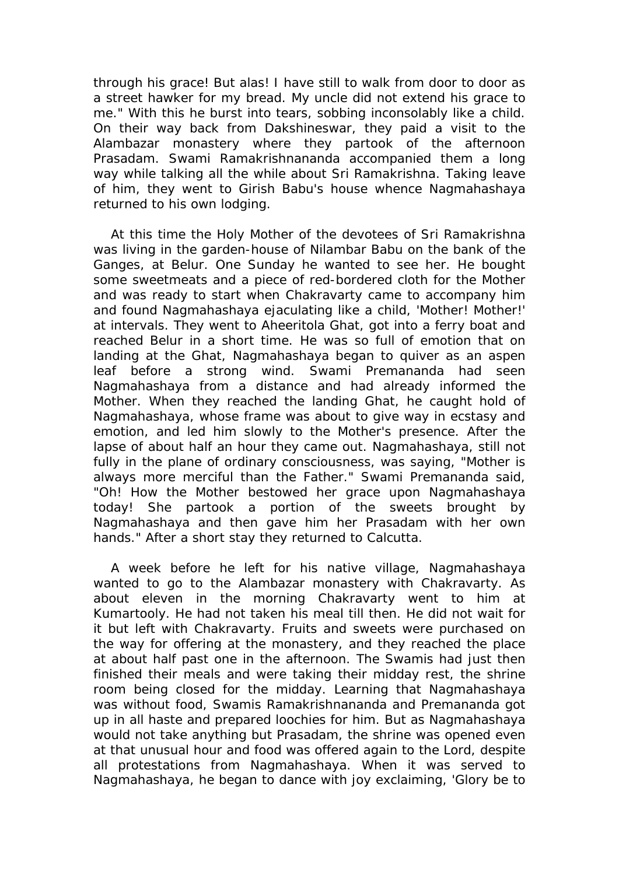through his grace! But alas! I have still to walk from door to door as a street hawker for my bread. My uncle did not extend his grace to me." With this he burst into tears, sobbing inconsolably like a child. On their way back from Dakshineswar, they paid a visit to the Alambazar monastery where they partook of the afternoon Prasadam. Swami Ramakrishnananda accompanied them a long way while talking all the while about Sri Ramakrishna. Taking leave of him, they went to Girish Babu's house whence Nagmahashaya returned to his own lodging.

 At this time the Holy Mother of the devotees of Sri Ramakrishna was living in the garden-house of Nilambar Babu on the bank of the Ganges, at Belur. One Sunday he wanted to see her. He bought some sweetmeats and a piece of red-bordered cloth for the Mother and was ready to start when Chakravarty came to accompany him and found Nagmahashaya ejaculating like a child, 'Mother! Mother!' at intervals. They went to Aheeritola Ghat, got into a ferry boat and reached Belur in a short time. He was so full of emotion that on landing at the Ghat, Nagmahashaya began to quiver as an aspen leaf before a strong wind. Swami Premananda had seen Nagmahashaya from a distance and had already informed the Mother. When they reached the landing Ghat, he caught hold of Nagmahashaya, whose frame was about to give way in ecstasy and emotion, and led him slowly to the Mother's presence. After the lapse of about half an hour they came out. Nagmahashaya, still not fully in the plane of ordinary consciousness, was saying, "Mother is always more merciful than the Father." Swami Premananda said, "Oh! How the Mother bestowed her grace upon Nagmahashaya today! She partook a portion of the sweets brought by Nagmahashaya and then gave him her Prasadam with her own hands." After a short stay they returned to Calcutta.

 A week before he left for his native village, Nagmahashaya wanted to go to the Alambazar monastery with Chakravarty. As about eleven in the morning Chakravarty went to him at Kumartooly. He had not taken his meal till then. He did not wait for it but left with Chakravarty. Fruits and sweets were purchased on the way for offering at the monastery, and they reached the place at about half past one in the afternoon. The Swamis had just then finished their meals and were taking their midday rest, the shrine room being closed for the midday. Learning that Nagmahashaya was without food, Swamis Ramakrishnananda and Premananda got up in all haste and prepared loochies for him. But as Nagmahashaya would not take anything but Prasadam, the shrine was opened even at that unusual hour and food was offered again to the Lord, despite all protestations from Nagmahashaya. When it was served to Nagmahashaya, he began to dance with joy exclaiming, 'Glory be to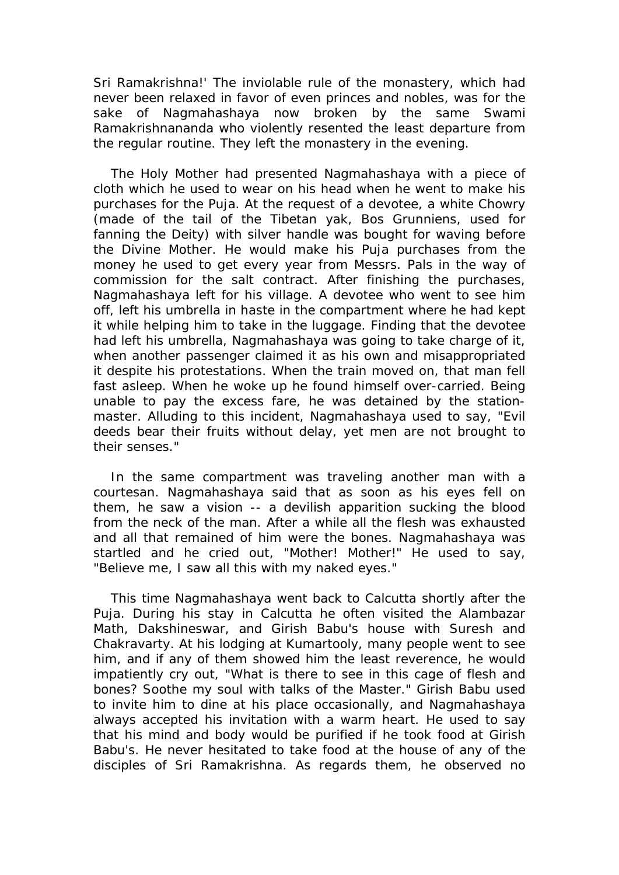Sri Ramakrishna!' The inviolable rule of the monastery, which had never been relaxed in favor of even princes and nobles, was for the sake of Nagmahashaya now broken by the same Swami Ramakrishnananda who violently resented the least departure from the regular routine. They left the monastery in the evening.

 The Holy Mother had presented Nagmahashaya with a piece of cloth which he used to wear on his head when he went to make his purchases for the Puja. At the request of a devotee, a white Chowry (made of the tail of the Tibetan yak, Bos Grunniens, used for fanning the Deity) with silver handle was bought for waving before the Divine Mother. He would make his Puja purchases from the money he used to get every year from Messrs. Pals in the way of commission for the salt contract. After finishing the purchases, Nagmahashaya left for his village. A devotee who went to see him off, left his umbrella in haste in the compartment where he had kept it while helping him to take in the luggage. Finding that the devotee had left his umbrella, Nagmahashaya was going to take charge of it, when another passenger claimed it as his own and misappropriated it despite his protestations. When the train moved on, that man fell fast asleep. When he woke up he found himself over-carried. Being unable to pay the excess fare, he was detained by the stationmaster. Alluding to this incident, Nagmahashaya used to say, "Evil deeds bear their fruits without delay, yet men are not brought to their senses."

 In the same compartment was traveling another man with a courtesan. Nagmahashaya said that as soon as his eyes fell on them, he saw a vision -- a devilish apparition sucking the blood from the neck of the man. After a while all the flesh was exhausted and all that remained of him were the bones. Nagmahashaya was startled and he cried out, "Mother! Mother!" He used to say, "Believe me, I saw all this with my naked eyes."

 This time Nagmahashaya went back to Calcutta shortly after the Puja. During his stay in Calcutta he often visited the Alambazar Math, Dakshineswar, and Girish Babu's house with Suresh and Chakravarty. At his lodging at Kumartooly, many people went to see him, and if any of them showed him the least reverence, he would impatiently cry out, "What is there to see in this cage of flesh and bones? Soothe my soul with talks of the Master." Girish Babu used to invite him to dine at his place occasionally, and Nagmahashaya always accepted his invitation with a warm heart. He used to say that his mind and body would be purified if he took food at Girish Babu's. He never hesitated to take food at the house of any of the disciples of Sri Ramakrishna. As regards them, he observed no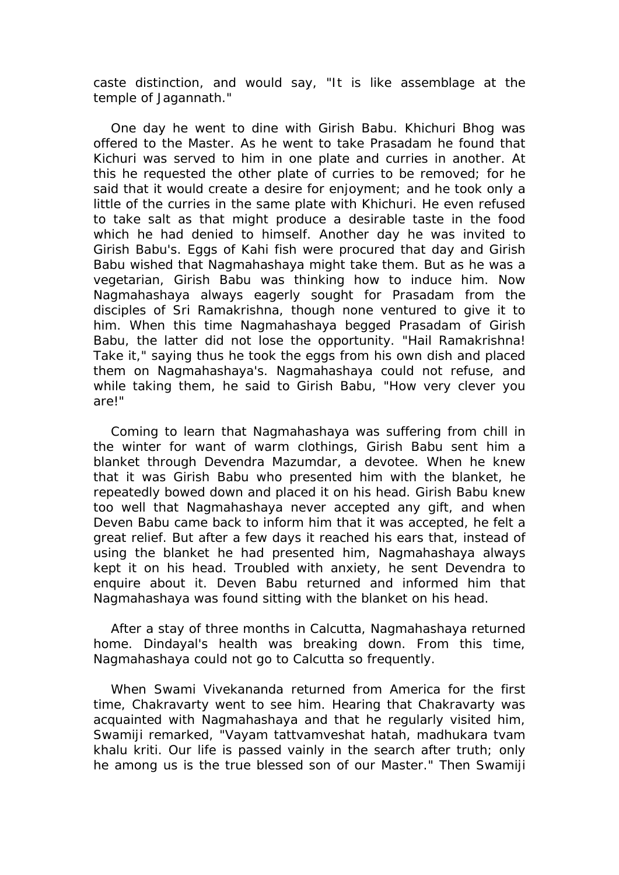caste distinction, and would say, "It is like assemblage at the temple of Jagannath."

 One day he went to dine with Girish Babu. Khichuri Bhog was offered to the Master. As he went to take Prasadam he found that Kichuri was served to him in one plate and curries in another. At this he requested the other plate of curries to be removed; for he said that it would create a desire for enjoyment; and he took only a little of the curries in the same plate with Khichuri. He even refused to take salt as that might produce a desirable taste in the food which he had denied to himself. Another day he was invited to Girish Babu's. Eggs of Kahi fish were procured that day and Girish Babu wished that Nagmahashaya might take them. But as he was a vegetarian, Girish Babu was thinking how to induce him. Now Nagmahashaya always eagerly sought for Prasadam from the disciples of Sri Ramakrishna, though none ventured to give it to him. When this time Nagmahashaya begged Prasadam of Girish Babu, the latter did not lose the opportunity. "Hail Ramakrishna! Take it," saying thus he took the eggs from his own dish and placed them on Nagmahashaya's. Nagmahashaya could not refuse, and while taking them, he said to Girish Babu, "How very clever you are!"

 Coming to learn that Nagmahashaya was suffering from chill in the winter for want of warm clothings, Girish Babu sent him a blanket through Devendra Mazumdar, a devotee. When he knew that it was Girish Babu who presented him with the blanket, he repeatedly bowed down and placed it on his head. Girish Babu knew too well that Nagmahashaya never accepted any gift, and when Deven Babu came back to inform him that it was accepted, he felt a great relief. But after a few days it reached his ears that, instead of using the blanket he had presented him, Nagmahashaya always kept it on his head. Troubled with anxiety, he sent Devendra to enquire about it. Deven Babu returned and informed him that Nagmahashaya was found sitting with the blanket on his head.

 After a stay of three months in Calcutta, Nagmahashaya returned home. Dindayal's health was breaking down. From this time, Nagmahashaya could not go to Calcutta so frequently.

 When Swami Vivekananda returned from America for the first time, Chakravarty went to see him. Hearing that Chakravarty was acquainted with Nagmahashaya and that he regularly visited him, Swamiji remarked, "Vayam tattvamveshat hatah, madhukara tvam khalu kriti. Our life is passed vainly in the search after truth; only he among us is the true blessed son of our Master." Then Swamiji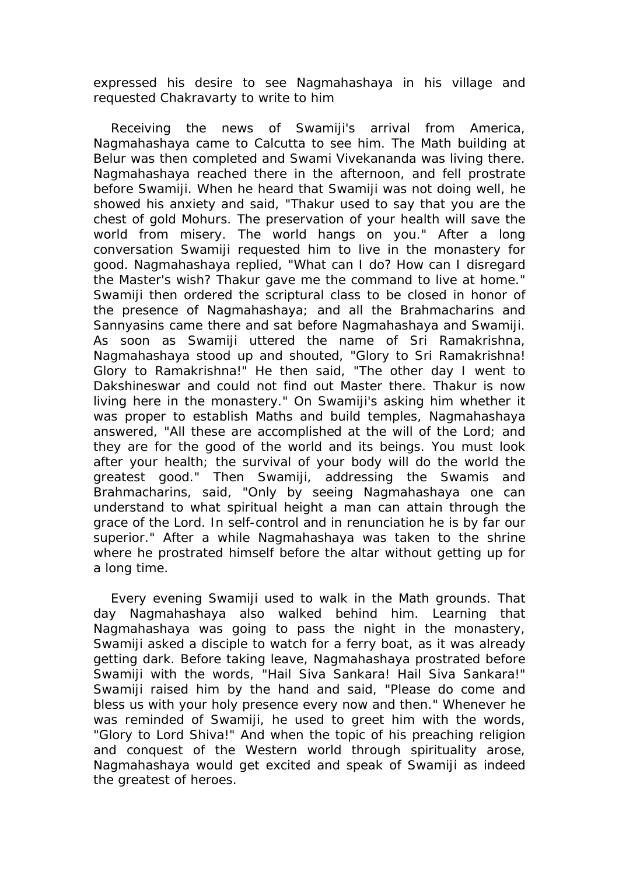expressed his desire to see Nagmahashaya in his village and requested Chakravarty to write to him

 Receiving the news of Swamiji's arrival from America, Nagmahashaya came to Calcutta to see him. The Math building at Belur was then completed and Swami Vivekananda was living there. Nagmahashaya reached there in the afternoon, and fell prostrate before Swamiji. When he heard that Swamiji was not doing well, he showed his anxiety and said, "Thakur used to say that you are the chest of gold Mohurs. The preservation of your health will save the world from misery. The world hangs on you." After a long conversation Swamiji requested him to live in the monastery for good. Nagmahashaya replied, "What can I do? How can I disregard the Master's wish? Thakur gave me the command to live at home." Swamiji then ordered the scriptural class to be closed in honor of the presence of Nagmahashaya; and all the Brahmacharins and Sannyasins came there and sat before Nagmahashaya and Swamiji. As soon as Swamiji uttered the name of Sri Ramakrishna, Nagmahashaya stood up and shouted, "Glory to Sri Ramakrishna! Glory to Ramakrishna!" He then said, "The other day I went to Dakshineswar and could not find out Master there. Thakur is now living here in the monastery." On Swamiji's asking him whether it was proper to establish Maths and build temples, Nagmahashaya answered, "All these are accomplished at the will of the Lord; and they are for the good of the world and its beings. You must look after your health; the survival of your body will do the world the greatest good." Then Swamiji, addressing the Swamis and Brahmacharins, said, "Only by seeing Nagmahashaya one can understand to what spiritual height a man can attain through the grace of the Lord. In self-control and in renunciation he is by far our superior." After a while Nagmahashaya was taken to the shrine where he prostrated himself before the altar without getting up for a long time.

 Every evening Swamiji used to walk in the Math grounds. That day Nagmahashaya also walked behind him. Learning that Nagmahashaya was going to pass the night in the monastery, Swamiji asked a disciple to watch for a ferry boat, as it was already getting dark. Before taking leave, Nagmahashaya prostrated before Swamiji with the words, "Hail Siva Sankara! Hail Siva Sankara!" Swamiji raised him by the hand and said, "Please do come and bless us with your holy presence every now and then." Whenever he was reminded of Swamiji, he used to greet him with the words, "Glory to Lord Shiva!" And when the topic of his preaching religion and conquest of the Western world through spirituality arose, Nagmahashaya would get excited and speak of Swamiji as indeed the greatest of heroes.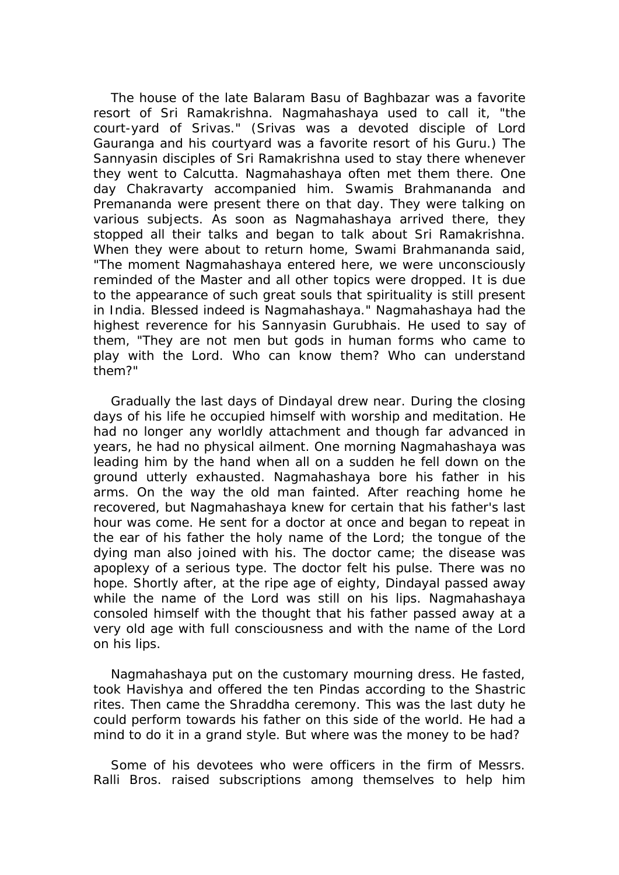The house of the late Balaram Basu of Baghbazar was a favorite resort of Sri Ramakrishna. Nagmahashaya used to call it, "the court-yard of Srivas." (Srivas was a devoted disciple of Lord Gauranga and his courtyard was a favorite resort of his Guru.) The Sannyasin disciples of Sri Ramakrishna used to stay there whenever they went to Calcutta. Nagmahashaya often met them there. One day Chakravarty accompanied him. Swamis Brahmananda and Premananda were present there on that day. They were talking on various subjects. As soon as Nagmahashaya arrived there, they stopped all their talks and began to talk about Sri Ramakrishna. When they were about to return home, Swami Brahmananda said, "The moment Nagmahashaya entered here, we were unconsciously reminded of the Master and all other topics were dropped. It is due to the appearance of such great souls that spirituality is still present in India. Blessed indeed is Nagmahashaya." Nagmahashaya had the highest reverence for his Sannyasin Gurubhais. He used to say of them, "They are not men but gods in human forms who came to play with the Lord. Who can know them? Who can understand them?"

 Gradually the last days of Dindayal drew near. During the closing days of his life he occupied himself with worship and meditation. He had no longer any worldly attachment and though far advanced in years, he had no physical ailment. One morning Nagmahashaya was leading him by the hand when all on a sudden he fell down on the ground utterly exhausted. Nagmahashaya bore his father in his arms. On the way the old man fainted. After reaching home he recovered, but Nagmahashaya knew for certain that his father's last hour was come. He sent for a doctor at once and began to repeat in the ear of his father the holy name of the Lord; the tongue of the dying man also joined with his. The doctor came; the disease was apoplexy of a serious type. The doctor felt his pulse. There was no hope. Shortly after, at the ripe age of eighty, Dindayal passed away while the name of the Lord was still on his lips. Nagmahashaya consoled himself with the thought that his father passed away at a very old age with full consciousness and with the name of the Lord on his lips.

 Nagmahashaya put on the customary mourning dress. He fasted, took Havishya and offered the ten Pindas according to the Shastric rites. Then came the Shraddha ceremony. This was the last duty he could perform towards his father on this side of the world. He had a mind to do it in a grand style. But where was the money to be had?

 Some of his devotees who were officers in the firm of Messrs. Ralli Bros. raised subscriptions among themselves to help him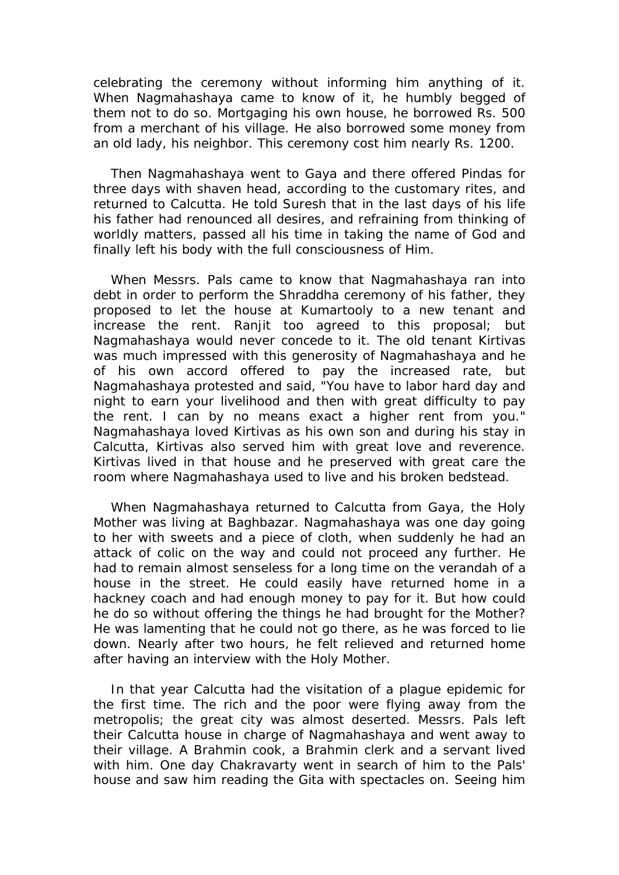celebrating the ceremony without informing him anything of it. When Nagmahashaya came to know of it, he humbly begged of them not to do so. Mortgaging his own house, he borrowed Rs. 500 from a merchant of his village. He also borrowed some money from an old lady, his neighbor. This ceremony cost him nearly Rs. 1200.

 Then Nagmahashaya went to Gaya and there offered Pindas for three days with shaven head, according to the customary rites, and returned to Calcutta. He told Suresh that in the last days of his life his father had renounced all desires, and refraining from thinking of worldly matters, passed all his time in taking the name of God and finally left his body with the full consciousness of Him.

 When Messrs. Pals came to know that Nagmahashaya ran into debt in order to perform the Shraddha ceremony of his father, they proposed to let the house at Kumartooly to a new tenant and increase the rent. Ranjit too agreed to this proposal; but Nagmahashaya would never concede to it. The old tenant Kirtivas was much impressed with this generosity of Nagmahashaya and he of his own accord offered to pay the increased rate, but Nagmahashaya protested and said, "You have to labor hard day and night to earn your livelihood and then with great difficulty to pay the rent. I can by no means exact a higher rent from you." Nagmahashaya loved Kirtivas as his own son and during his stay in Calcutta, Kirtivas also served him with great love and reverence. Kirtivas lived in that house and he preserved with great care the room where Nagmahashaya used to live and his broken bedstead.

 When Nagmahashaya returned to Calcutta from Gaya, the Holy Mother was living at Baghbazar. Nagmahashaya was one day going to her with sweets and a piece of cloth, when suddenly he had an attack of colic on the way and could not proceed any further. He had to remain almost senseless for a long time on the verandah of a house in the street. He could easily have returned home in a hackney coach and had enough money to pay for it. But how could he do so without offering the things he had brought for the Mother? He was lamenting that he could not go there, as he was forced to lie down. Nearly after two hours, he felt relieved and returned home after having an interview with the Holy Mother.

 In that year Calcutta had the visitation of a plague epidemic for the first time. The rich and the poor were flying away from the metropolis; the great city was almost deserted. Messrs. Pals left their Calcutta house in charge of Nagmahashaya and went away to their village. A Brahmin cook, a Brahmin clerk and a servant lived with him. One day Chakravarty went in search of him to the Pals' house and saw him reading the Gita with spectacles on. Seeing him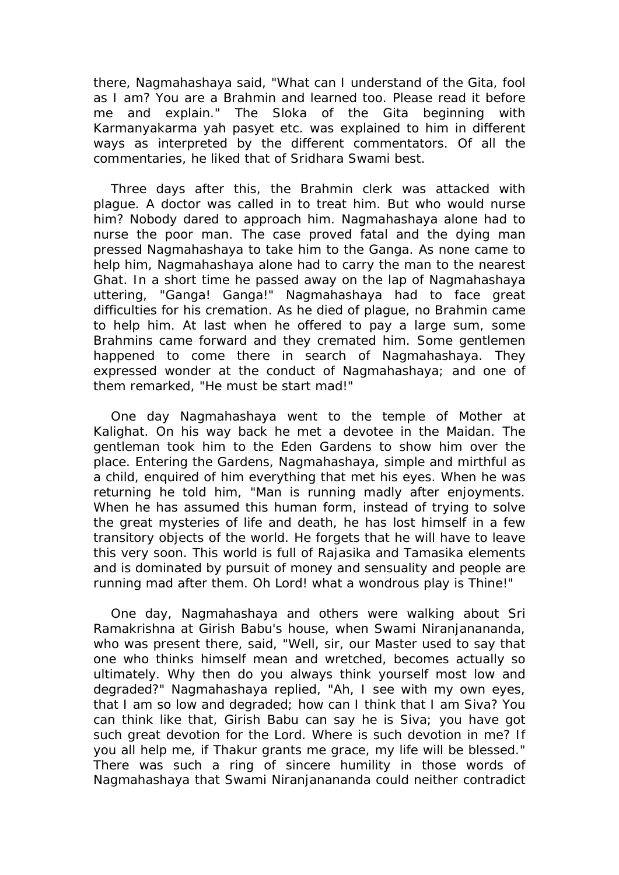there, Nagmahashaya said, "What can I understand of the Gita, fool as I am? You are a Brahmin and learned too. Please read it before me and explain." The Sloka of the Gita beginning with Karmanyakarma yah pasyet etc. was explained to him in different ways as interpreted by the different commentators. Of all the commentaries, he liked that of Sridhara Swami best.

 Three days after this, the Brahmin clerk was attacked with plague. A doctor was called in to treat him. But who would nurse him? Nobody dared to approach him. Nagmahashaya alone had to nurse the poor man. The case proved fatal and the dying man pressed Nagmahashaya to take him to the Ganga. As none came to help him, Nagmahashaya alone had to carry the man to the nearest Ghat. In a short time he passed away on the lap of Nagmahashaya uttering, "Ganga! Ganga!" Nagmahashaya had to face great difficulties for his cremation. As he died of plague, no Brahmin came to help him. At last when he offered to pay a large sum, some Brahmins came forward and they cremated him. Some gentlemen happened to come there in search of Nagmahashaya. They expressed wonder at the conduct of Nagmahashaya; and one of them remarked, "He must be start mad!"

 One day Nagmahashaya went to the temple of Mother at Kalighat. On his way back he met a devotee in the Maidan. The gentleman took him to the Eden Gardens to show him over the place. Entering the Gardens, Nagmahashaya, simple and mirthful as a child, enquired of him everything that met his eyes. When he was returning he told him, "Man is running madly after enjoyments. When he has assumed this human form, instead of trying to solve the great mysteries of life and death, he has lost himself in a few transitory objects of the world. He forgets that he will have to leave this very soon. This world is full of Rajasika and Tamasika elements and is dominated by pursuit of money and sensuality and people are running mad after them. Oh Lord! what a wondrous play is Thine!"

 One day, Nagmahashaya and others were walking about Sri Ramakrishna at Girish Babu's house, when Swami Niranjanananda, who was present there, said, "Well, sir, our Master used to say that one who thinks himself mean and wretched, becomes actually so ultimately. Why then do you always think yourself most low and degraded?" Nagmahashaya replied, "Ah, I see with my own eyes, that I am so low and degraded; how can I think that I am Siva? You can think like that, Girish Babu can say he is Siva; you have got such great devotion for the Lord. Where is such devotion in me? If you all help me, if Thakur grants me grace, my life will be blessed." There was such a ring of sincere humility in those words of Nagmahashaya that Swami Niranjanananda could neither contradict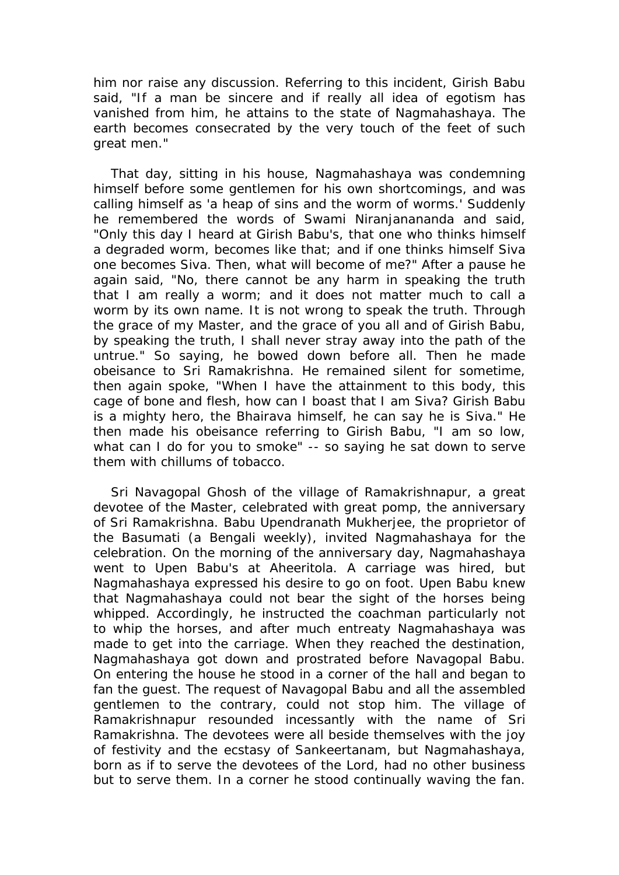him nor raise any discussion. Referring to this incident, Girish Babu said, "If a man be sincere and if really all idea of egotism has vanished from him, he attains to the state of Nagmahashaya. The earth becomes consecrated by the very touch of the feet of such great men."

 That day, sitting in his house, Nagmahashaya was condemning himself before some gentlemen for his own shortcomings, and was calling himself as 'a heap of sins and the worm of worms.' Suddenly he remembered the words of Swami Niranjanananda and said, "Only this day I heard at Girish Babu's, that one who thinks himself a degraded worm, becomes like that; and if one thinks himself Siva one becomes Siva. Then, what will become of me?" After a pause he again said, "No, there cannot be any harm in speaking the truth that I am really a worm; and it does not matter much to call a worm by its own name. It is not wrong to speak the truth. Through the grace of my Master, and the grace of you all and of Girish Babu, by speaking the truth, I shall never stray away into the path of the untrue." So saying, he bowed down before all. Then he made obeisance to Sri Ramakrishna. He remained silent for sometime, then again spoke, "When I have the attainment to this body, this cage of bone and flesh, how can I boast that I am Siva? Girish Babu is a mighty hero, the Bhairava himself, he can say he is Siva." He then made his obeisance referring to Girish Babu, "I am so low, what can I do for you to smoke" -- so saying he sat down to serve them with chillums of tobacco.

 Sri Navagopal Ghosh of the village of Ramakrishnapur, a great devotee of the Master, celebrated with great pomp, the anniversary of Sri Ramakrishna. Babu Upendranath Mukherjee, the proprietor of the Basumati (a Bengali weekly), invited Nagmahashaya for the celebration. On the morning of the anniversary day, Nagmahashaya went to Upen Babu's at Aheeritola. A carriage was hired, but Nagmahashaya expressed his desire to go on foot. Upen Babu knew that Nagmahashaya could not bear the sight of the horses being whipped. Accordingly, he instructed the coachman particularly not to whip the horses, and after much entreaty Nagmahashaya was made to get into the carriage. When they reached the destination, Nagmahashaya got down and prostrated before Navagopal Babu. On entering the house he stood in a corner of the hall and began to fan the guest. The request of Navagopal Babu and all the assembled gentlemen to the contrary, could not stop him. The village of Ramakrishnapur resounded incessantly with the name of Sri Ramakrishna. The devotees were all beside themselves with the joy of festivity and the ecstasy of Sankeertanam, but Nagmahashaya, born as if to serve the devotees of the Lord, had no other business but to serve them. In a corner he stood continually waving the fan.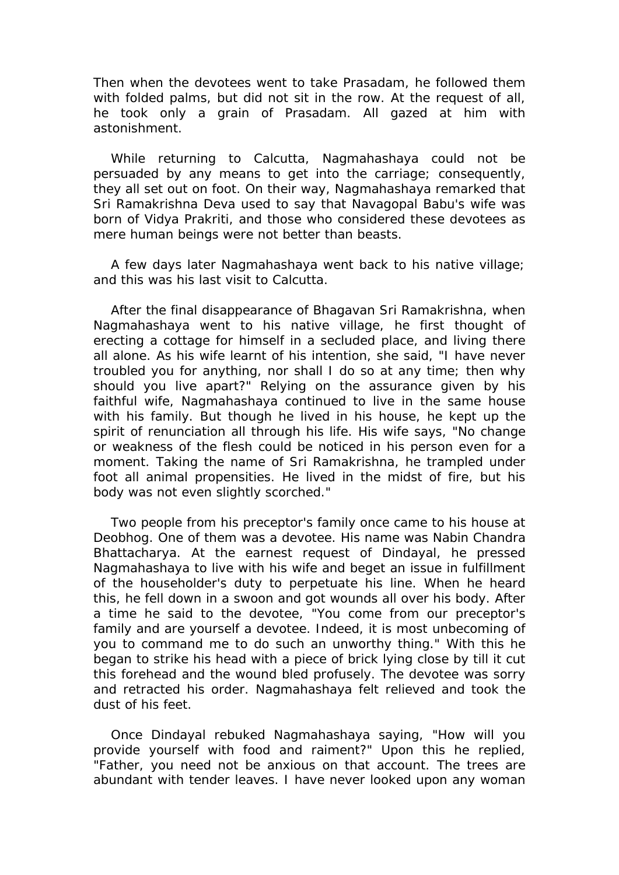Then when the devotees went to take Prasadam, he followed them with folded palms, but did not sit in the row. At the request of all, he took only a grain of Prasadam. All gazed at him with astonishment.

 While returning to Calcutta, Nagmahashaya could not be persuaded by any means to get into the carriage; consequently, they all set out on foot. On their way, Nagmahashaya remarked that Sri Ramakrishna Deva used to say that Navagopal Babu's wife was born of Vidya Prakriti, and those who considered these devotees as mere human beings were not better than beasts.

 A few days later Nagmahashaya went back to his native village; and this was his last visit to Calcutta.

 After the final disappearance of Bhagavan Sri Ramakrishna, when Nagmahashaya went to his native village, he first thought of erecting a cottage for himself in a secluded place, and living there all alone. As his wife learnt of his intention, she said, "I have never troubled you for anything, nor shall I do so at any time; then why should you live apart?" Relying on the assurance given by his faithful wife, Nagmahashaya continued to live in the same house with his family. But though he lived in his house, he kept up the spirit of renunciation all through his life. His wife says, "No change or weakness of the flesh could be noticed in his person even for a moment. Taking the name of Sri Ramakrishna, he trampled under foot all animal propensities. He lived in the midst of fire, but his body was not even slightly scorched."

 Two people from his preceptor's family once came to his house at Deobhog. One of them was a devotee. His name was Nabin Chandra Bhattacharya. At the earnest request of Dindayal, he pressed Nagmahashaya to live with his wife and beget an issue in fulfillment of the householder's duty to perpetuate his line. When he heard this, he fell down in a swoon and got wounds all over his body. After a time he said to the devotee, "You come from our preceptor's family and are yourself a devotee. Indeed, it is most unbecoming of you to command me to do such an unworthy thing." With this he began to strike his head with a piece of brick lying close by till it cut this forehead and the wound bled profusely. The devotee was sorry and retracted his order. Nagmahashaya felt relieved and took the dust of his feet.

 Once Dindayal rebuked Nagmahashaya saying, "How will you provide yourself with food and raiment?" Upon this he replied, "Father, you need not be anxious on that account. The trees are abundant with tender leaves. I have never looked upon any woman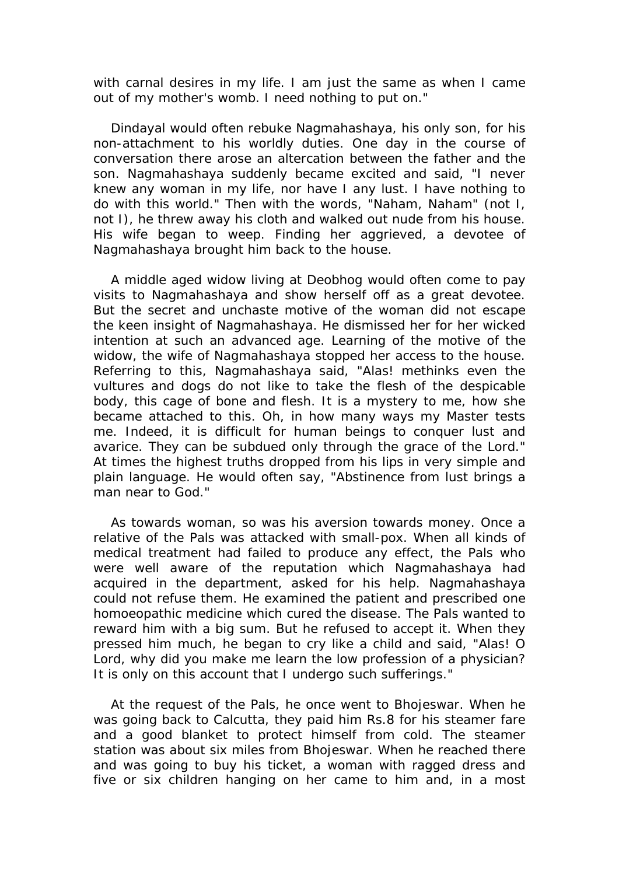with carnal desires in my life. I am just the same as when I came out of my mother's womb. I need nothing to put on."

 Dindayal would often rebuke Nagmahashaya, his only son, for his non-attachment to his worldly duties. One day in the course of conversation there arose an altercation between the father and the son. Nagmahashaya suddenly became excited and said, "I never knew any woman in my life, nor have I any lust. I have nothing to do with this world." Then with the words, "Naham, Naham" (not I, not I), he threw away his cloth and walked out nude from his house. His wife began to weep. Finding her aggrieved, a devotee of Nagmahashaya brought him back to the house.

 A middle aged widow living at Deobhog would often come to pay visits to Nagmahashaya and show herself off as a great devotee. But the secret and unchaste motive of the woman did not escape the keen insight of Nagmahashaya. He dismissed her for her wicked intention at such an advanced age. Learning of the motive of the widow, the wife of Nagmahashaya stopped her access to the house. Referring to this, Nagmahashaya said, "Alas! methinks even the vultures and dogs do not like to take the flesh of the despicable body, this cage of bone and flesh. It is a mystery to me, how she became attached to this. Oh, in how many ways my Master tests me. Indeed, it is difficult for human beings to conquer lust and avarice. They can be subdued only through the grace of the Lord." At times the highest truths dropped from his lips in very simple and plain language. He would often say, "Abstinence from lust brings a man near to God."

 As towards woman, so was his aversion towards money. Once a relative of the Pals was attacked with small-pox. When all kinds of medical treatment had failed to produce any effect, the Pals who were well aware of the reputation which Nagmahashaya had acquired in the department, asked for his help. Nagmahashaya could not refuse them. He examined the patient and prescribed one homoeopathic medicine which cured the disease. The Pals wanted to reward him with a big sum. But he refused to accept it. When they pressed him much, he began to cry like a child and said, "Alas! O Lord, why did you make me learn the low profession of a physician? It is only on this account that I undergo such sufferings."

 At the request of the Pals, he once went to Bhojeswar. When he was going back to Calcutta, they paid him Rs.8 for his steamer fare and a good blanket to protect himself from cold. The steamer station was about six miles from Bhojeswar. When he reached there and was going to buy his ticket, a woman with ragged dress and five or six children hanging on her came to him and, in a most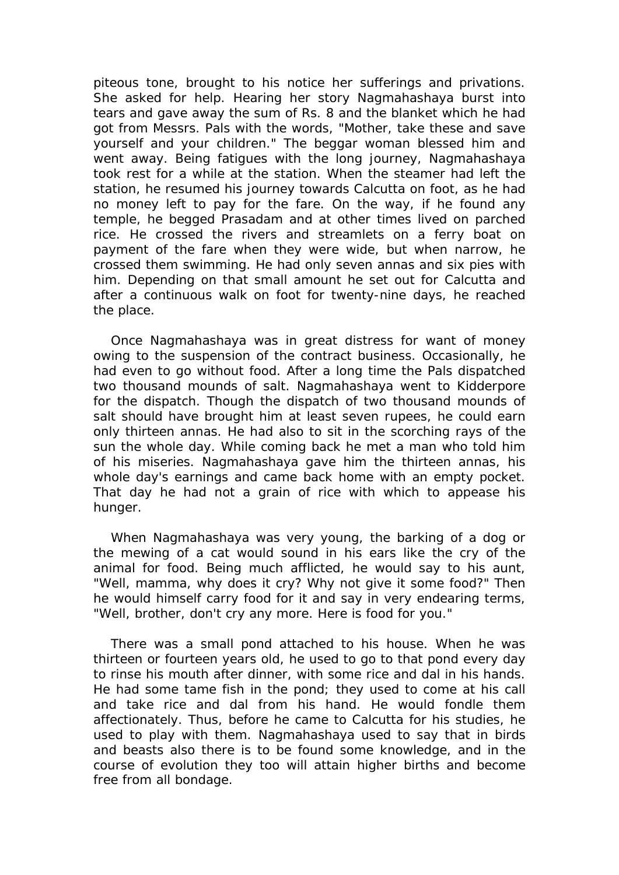piteous tone, brought to his notice her sufferings and privations. She asked for help. Hearing her story Nagmahashaya burst into tears and gave away the sum of Rs. 8 and the blanket which he had got from Messrs. Pals with the words, "Mother, take these and save yourself and your children." The beggar woman blessed him and went away. Being fatigues with the long journey, Nagmahashaya took rest for a while at the station. When the steamer had left the station, he resumed his journey towards Calcutta on foot, as he had no money left to pay for the fare. On the way, if he found any temple, he begged Prasadam and at other times lived on parched rice. He crossed the rivers and streamlets on a ferry boat on payment of the fare when they were wide, but when narrow, he crossed them swimming. He had only seven annas and six pies with him. Depending on that small amount he set out for Calcutta and after a continuous walk on foot for twenty-nine days, he reached the place.

 Once Nagmahashaya was in great distress for want of money owing to the suspension of the contract business. Occasionally, he had even to go without food. After a long time the Pals dispatched two thousand mounds of salt. Nagmahashaya went to Kidderpore for the dispatch. Though the dispatch of two thousand mounds of salt should have brought him at least seven rupees, he could earn only thirteen annas. He had also to sit in the scorching rays of the sun the whole day. While coming back he met a man who told him of his miseries. Nagmahashaya gave him the thirteen annas, his whole day's earnings and came back home with an empty pocket. That day he had not a grain of rice with which to appease his hunger.

 When Nagmahashaya was very young, the barking of a dog or the mewing of a cat would sound in his ears like the cry of the animal for food. Being much afflicted, he would say to his aunt, "Well, mamma, why does it cry? Why not give it some food?" Then he would himself carry food for it and say in very endearing terms, "Well, brother, don't cry any more. Here is food for you."

 There was a small pond attached to his house. When he was thirteen or fourteen years old, he used to go to that pond every day to rinse his mouth after dinner, with some rice and dal in his hands. He had some tame fish in the pond; they used to come at his call and take rice and dal from his hand. He would fondle them affectionately. Thus, before he came to Calcutta for his studies, he used to play with them. Nagmahashaya used to say that in birds and beasts also there is to be found some knowledge, and in the course of evolution they too will attain higher births and become free from all bondage.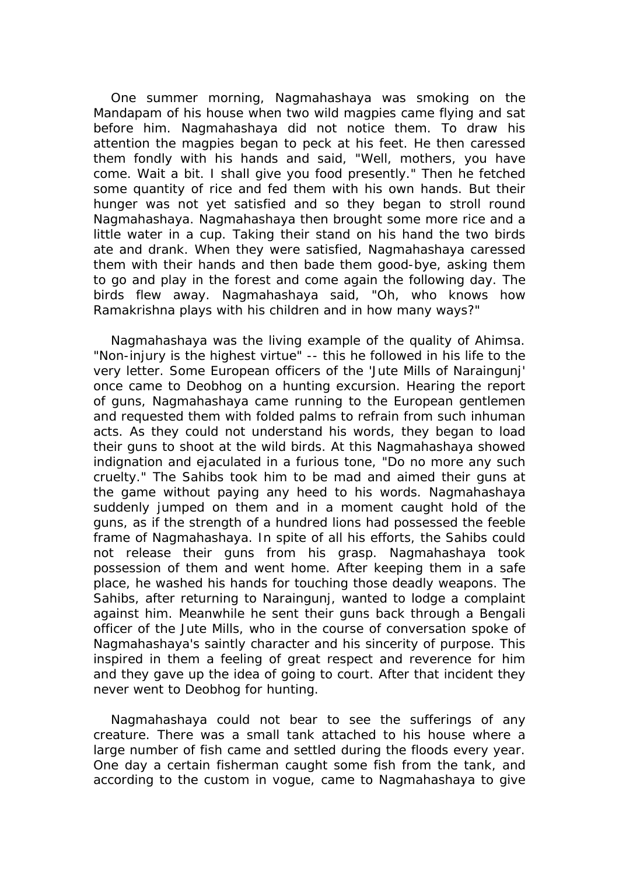One summer morning, Nagmahashaya was smoking on the Mandapam of his house when two wild magpies came flying and sat before him. Nagmahashaya did not notice them. To draw his attention the magpies began to peck at his feet. He then caressed them fondly with his hands and said, "Well, mothers, you have come. Wait a bit. I shall give you food presently." Then he fetched some quantity of rice and fed them with his own hands. But their hunger was not yet satisfied and so they began to stroll round Nagmahashaya. Nagmahashaya then brought some more rice and a little water in a cup. Taking their stand on his hand the two birds ate and drank. When they were satisfied, Nagmahashaya caressed them with their hands and then bade them good-bye, asking them to go and play in the forest and come again the following day. The birds flew away. Nagmahashaya said, "Oh, who knows how Ramakrishna plays with his children and in how many ways?"

 Nagmahashaya was the living example of the quality of Ahimsa. "Non-injury is the highest virtue" -- this he followed in his life to the very letter. Some European officers of the 'Jute Mills of Naraingunj' once came to Deobhog on a hunting excursion. Hearing the report of guns, Nagmahashaya came running to the European gentlemen and requested them with folded palms to refrain from such inhuman acts. As they could not understand his words, they began to load their guns to shoot at the wild birds. At this Nagmahashaya showed indignation and ejaculated in a furious tone, "Do no more any such cruelty." The Sahibs took him to be mad and aimed their guns at the game without paying any heed to his words. Nagmahashaya suddenly jumped on them and in a moment caught hold of the guns, as if the strength of a hundred lions had possessed the feeble frame of Nagmahashaya. In spite of all his efforts, the Sahibs could not release their guns from his grasp. Nagmahashaya took possession of them and went home. After keeping them in a safe place, he washed his hands for touching those deadly weapons. The Sahibs, after returning to Naraingunj, wanted to lodge a complaint against him. Meanwhile he sent their guns back through a Bengali officer of the Jute Mills, who in the course of conversation spoke of Nagmahashaya's saintly character and his sincerity of purpose. This inspired in them a feeling of great respect and reverence for him and they gave up the idea of going to court. After that incident they never went to Deobhog for hunting.

 Nagmahashaya could not bear to see the sufferings of any creature. There was a small tank attached to his house where a large number of fish came and settled during the floods every year. One day a certain fisherman caught some fish from the tank, and according to the custom in vogue, came to Nagmahashaya to give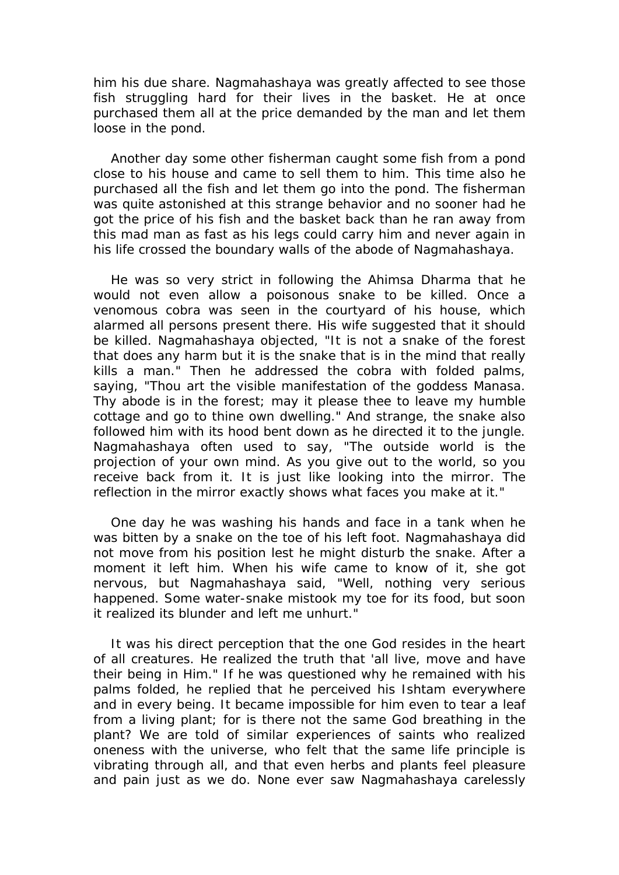him his due share. Nagmahashaya was greatly affected to see those fish struggling hard for their lives in the basket. He at once purchased them all at the price demanded by the man and let them loose in the pond.

 Another day some other fisherman caught some fish from a pond close to his house and came to sell them to him. This time also he purchased all the fish and let them go into the pond. The fisherman was quite astonished at this strange behavior and no sooner had he got the price of his fish and the basket back than he ran away from this mad man as fast as his legs could carry him and never again in his life crossed the boundary walls of the abode of Nagmahashaya.

 He was so very strict in following the Ahimsa Dharma that he would not even allow a poisonous snake to be killed. Once a venomous cobra was seen in the courtyard of his house, which alarmed all persons present there. His wife suggested that it should be killed. Nagmahashaya objected, "It is not a snake of the forest that does any harm but it is the snake that is in the mind that really kills a man." Then he addressed the cobra with folded palms, saying, "Thou art the visible manifestation of the goddess Manasa. Thy abode is in the forest; may it please thee to leave my humble cottage and go to thine own dwelling." And strange, the snake also followed him with its hood bent down as he directed it to the jungle. Nagmahashaya often used to say, "The outside world is the projection of your own mind. As you give out to the world, so you receive back from it. It is just like looking into the mirror. The reflection in the mirror exactly shows what faces you make at it."

 One day he was washing his hands and face in a tank when he was bitten by a snake on the toe of his left foot. Nagmahashaya did not move from his position lest he might disturb the snake. After a moment it left him. When his wife came to know of it, she got nervous, but Nagmahashaya said, "Well, nothing very serious happened. Some water-snake mistook my toe for its food, but soon it realized its blunder and left me unhurt."

 It was his direct perception that the one God resides in the heart of all creatures. He realized the truth that 'all live, move and have their being in Him." If he was questioned why he remained with his palms folded, he replied that he perceived his Ishtam everywhere and in every being. It became impossible for him even to tear a leaf from a living plant; for is there not the same God breathing in the plant? We are told of similar experiences of saints who realized oneness with the universe, who felt that the same life principle is vibrating through all, and that even herbs and plants feel pleasure and pain just as we do. None ever saw Nagmahashaya carelessly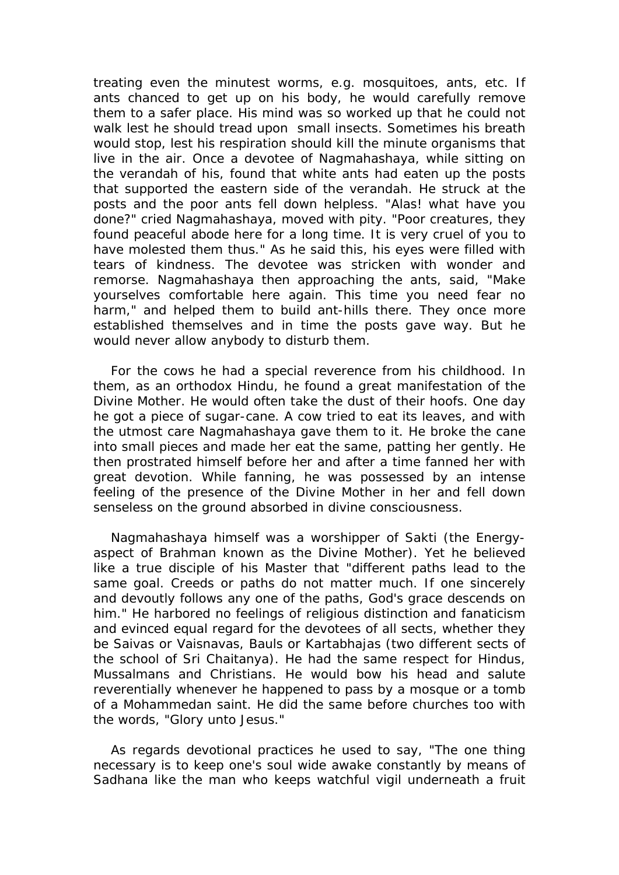treating even the minutest worms, e.g. mosquitoes, ants, etc. If ants chanced to get up on his body, he would carefully remove them to a safer place. His mind was so worked up that he could not walk lest he should tread upon small insects. Sometimes his breath would stop, lest his respiration should kill the minute organisms that live in the air. Once a devotee of Nagmahashaya, while sitting on the verandah of his, found that white ants had eaten up the posts that supported the eastern side of the verandah. He struck at the posts and the poor ants fell down helpless. "Alas! what have you done?" cried Nagmahashaya, moved with pity. "Poor creatures, they found peaceful abode here for a long time. It is very cruel of you to have molested them thus." As he said this, his eyes were filled with tears of kindness. The devotee was stricken with wonder and remorse. Nagmahashaya then approaching the ants, said, "Make yourselves comfortable here again. This time you need fear no harm," and helped them to build ant-hills there. They once more established themselves and in time the posts gave way. But he would never allow anybody to disturb them.

 For the cows he had a special reverence from his childhood. In them, as an orthodox Hindu, he found a great manifestation of the Divine Mother. He would often take the dust of their hoofs. One day he got a piece of sugar-cane. A cow tried to eat its leaves, and with the utmost care Nagmahashaya gave them to it. He broke the cane into small pieces and made her eat the same, patting her gently. He then prostrated himself before her and after a time fanned her with great devotion. While fanning, he was possessed by an intense feeling of the presence of the Divine Mother in her and fell down senseless on the ground absorbed in divine consciousness.

 Nagmahashaya himself was a worshipper of Sakti (the Energyaspect of Brahman known as the Divine Mother). Yet he believed like a true disciple of his Master that "different paths lead to the same goal. Creeds or paths do not matter much. If one sincerely and devoutly follows any one of the paths, God's grace descends on him." He harbored no feelings of religious distinction and fanaticism and evinced equal regard for the devotees of all sects, whether they be Saivas or Vaisnavas, Bauls or Kartabhajas (two different sects of the school of Sri Chaitanya). He had the same respect for Hindus, Mussalmans and Christians. He would bow his head and salute reverentially whenever he happened to pass by a mosque or a tomb of a Mohammedan saint. He did the same before churches too with the words, "Glory unto Jesus."

 As regards devotional practices he used to say, "The one thing necessary is to keep one's soul wide awake constantly by means of Sadhana like the man who keeps watchful vigil underneath a fruit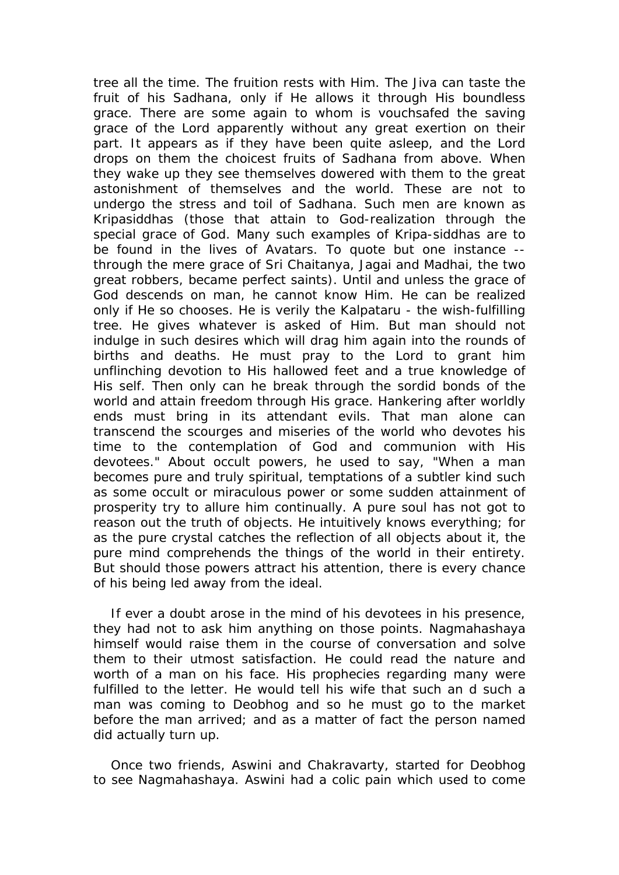tree all the time. The fruition rests with Him. The Jiva can taste the fruit of his Sadhana, only if He allows it through His boundless grace. There are some again to whom is vouchsafed the saving grace of the Lord apparently without any great exertion on their part. It appears as if they have been quite asleep, and the Lord drops on them the choicest fruits of Sadhana from above. When they wake up they see themselves dowered with them to the great astonishment of themselves and the world. These are not to undergo the stress and toil of Sadhana. Such men are known as Kripasiddhas (those that attain to God-realization through the special grace of God. Many such examples of Kripa-siddhas are to be found in the lives of Avatars. To quote but one instance - through the mere grace of Sri Chaitanya, Jagai and Madhai, the two great robbers, became perfect saints). Until and unless the grace of God descends on man, he cannot know Him. He can be realized only if He so chooses. He is verily the Kalpataru - the wish-fulfilling tree. He gives whatever is asked of Him. But man should not indulge in such desires which will drag him again into the rounds of births and deaths. He must pray to the Lord to grant him unflinching devotion to His hallowed feet and a true knowledge of His self. Then only can he break through the sordid bonds of the world and attain freedom through His grace. Hankering after worldly ends must bring in its attendant evils. That man alone can transcend the scourges and miseries of the world who devotes his time to the contemplation of God and communion with His devotees." About occult powers, he used to say, "When a man becomes pure and truly spiritual, temptations of a subtler kind such as some occult or miraculous power or some sudden attainment of prosperity try to allure him continually. A pure soul has not got to reason out the truth of objects. He intuitively knows everything; for as the pure crystal catches the reflection of all objects about it, the pure mind comprehends the things of the world in their entirety. But should those powers attract his attention, there is every chance of his being led away from the ideal.

 If ever a doubt arose in the mind of his devotees in his presence, they had not to ask him anything on those points. Nagmahashaya himself would raise them in the course of conversation and solve them to their utmost satisfaction. He could read the nature and worth of a man on his face. His prophecies regarding many were fulfilled to the letter. He would tell his wife that such an d such a man was coming to Deobhog and so he must go to the market before the man arrived; and as a matter of fact the person named did actually turn up.

 Once two friends, Aswini and Chakravarty, started for Deobhog to see Nagmahashaya. Aswini had a colic pain which used to come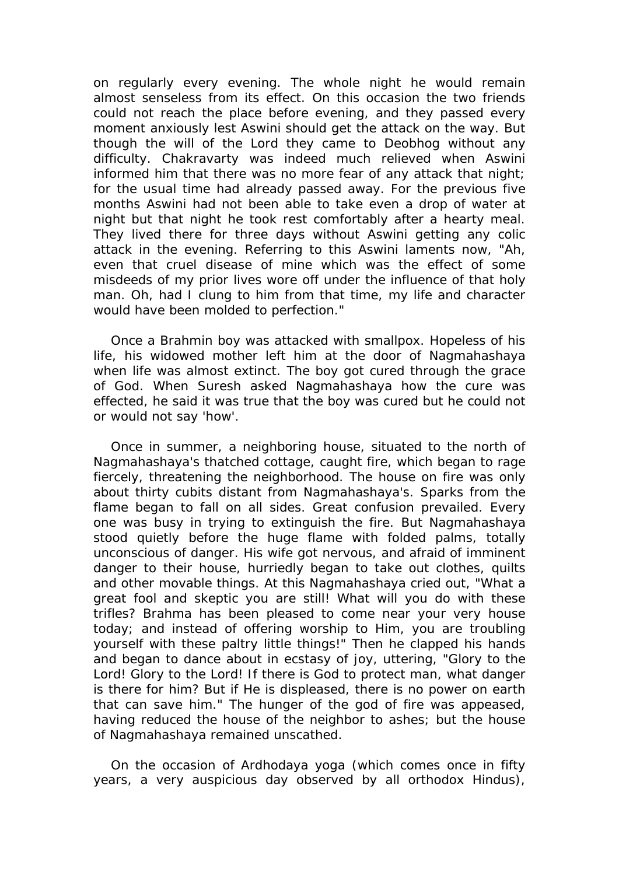on regularly every evening. The whole night he would remain almost senseless from its effect. On this occasion the two friends could not reach the place before evening, and they passed every moment anxiously lest Aswini should get the attack on the way. But though the will of the Lord they came to Deobhog without any difficulty. Chakravarty was indeed much relieved when Aswini informed him that there was no more fear of any attack that night; for the usual time had already passed away. For the previous five months Aswini had not been able to take even a drop of water at night but that night he took rest comfortably after a hearty meal. They lived there for three days without Aswini getting any colic attack in the evening. Referring to this Aswini laments now, "Ah, even that cruel disease of mine which was the effect of some misdeeds of my prior lives wore off under the influence of that holy man. Oh, had I clung to him from that time, my life and character would have been molded to perfection."

 Once a Brahmin boy was attacked with smallpox. Hopeless of his life, his widowed mother left him at the door of Nagmahashaya when life was almost extinct. The boy got cured through the grace of God. When Suresh asked Nagmahashaya how the cure was effected, he said it was true that the boy was cured but he could not or would not say 'how'.

 Once in summer, a neighboring house, situated to the north of Nagmahashaya's thatched cottage, caught fire, which began to rage fiercely, threatening the neighborhood. The house on fire was only about thirty cubits distant from Nagmahashaya's. Sparks from the flame began to fall on all sides. Great confusion prevailed. Every one was busy in trying to extinguish the fire. But Nagmahashaya stood quietly before the huge flame with folded palms, totally unconscious of danger. His wife got nervous, and afraid of imminent danger to their house, hurriedly began to take out clothes, quilts and other movable things. At this Nagmahashaya cried out, "What a great fool and skeptic you are still! What will you do with these trifles? Brahma has been pleased to come near your very house today; and instead of offering worship to Him, you are troubling yourself with these paltry little things!" Then he clapped his hands and began to dance about in ecstasy of joy, uttering, "Glory to the Lord! Glory to the Lord! If there is God to protect man, what danger is there for him? But if He is displeased, there is no power on earth that can save him." The hunger of the god of fire was appeased, having reduced the house of the neighbor to ashes; but the house of Nagmahashaya remained unscathed.

 On the occasion of Ardhodaya yoga (which comes once in fifty years, a very auspicious day observed by all orthodox Hindus),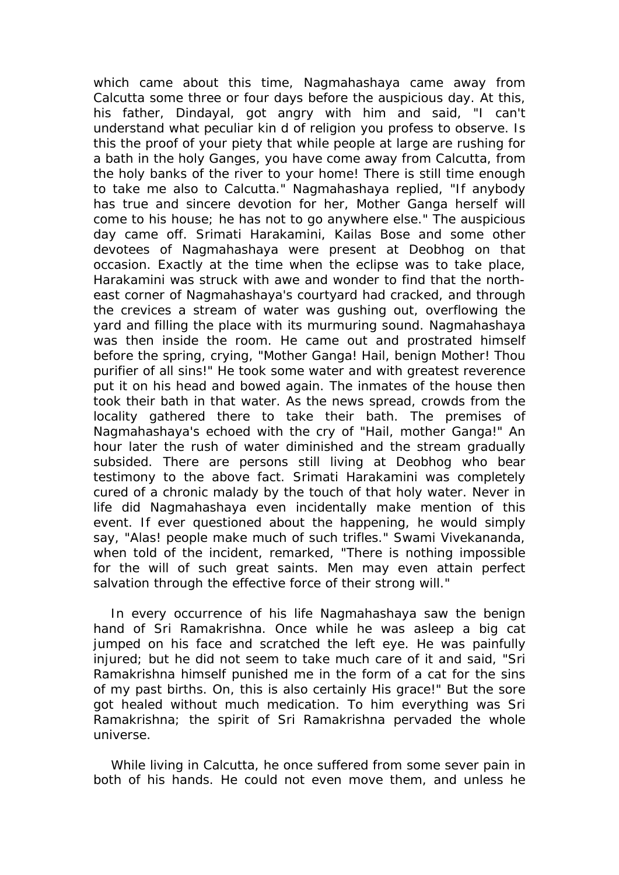which came about this time, Nagmahashaya came away from Calcutta some three or four days before the auspicious day. At this, his father, Dindayal, got angry with him and said, "I can't understand what peculiar kin d of religion you profess to observe. Is this the proof of your piety that while people at large are rushing for a bath in the holy Ganges, you have come away from Calcutta, from the holy banks of the river to your home! There is still time enough to take me also to Calcutta." Nagmahashaya replied, "If anybody has true and sincere devotion for her, Mother Ganga herself will come to his house; he has not to go anywhere else." The auspicious day came off. Srimati Harakamini, Kailas Bose and some other devotees of Nagmahashaya were present at Deobhog on that occasion. Exactly at the time when the eclipse was to take place, Harakamini was struck with awe and wonder to find that the northeast corner of Nagmahashaya's courtyard had cracked, and through the crevices a stream of water was gushing out, overflowing the yard and filling the place with its murmuring sound. Nagmahashaya was then inside the room. He came out and prostrated himself before the spring, crying, "Mother Ganga! Hail, benign Mother! Thou purifier of all sins!" He took some water and with greatest reverence put it on his head and bowed again. The inmates of the house then took their bath in that water. As the news spread, crowds from the locality gathered there to take their bath. The premises of Nagmahashaya's echoed with the cry of "Hail, mother Ganga!" An hour later the rush of water diminished and the stream gradually subsided. There are persons still living at Deobhog who bear testimony to the above fact. Srimati Harakamini was completely cured of a chronic malady by the touch of that holy water. Never in life did Nagmahashaya even incidentally make mention of this event. If ever questioned about the happening, he would simply say, "Alas! people make much of such trifles." Swami Vivekananda, when told of the incident, remarked, "There is nothing impossible for the will of such great saints. Men may even attain perfect salvation through the effective force of their strong will."

 In every occurrence of his life Nagmahashaya saw the benign hand of Sri Ramakrishna. Once while he was asleep a big cat jumped on his face and scratched the left eye. He was painfully injured; but he did not seem to take much care of it and said, "Sri Ramakrishna himself punished me in the form of a cat for the sins of my past births. On, this is also certainly His grace!" But the sore got healed without much medication. To him everything was Sri Ramakrishna; the spirit of Sri Ramakrishna pervaded the whole universe.

 While living in Calcutta, he once suffered from some sever pain in both of his hands. He could not even move them, and unless he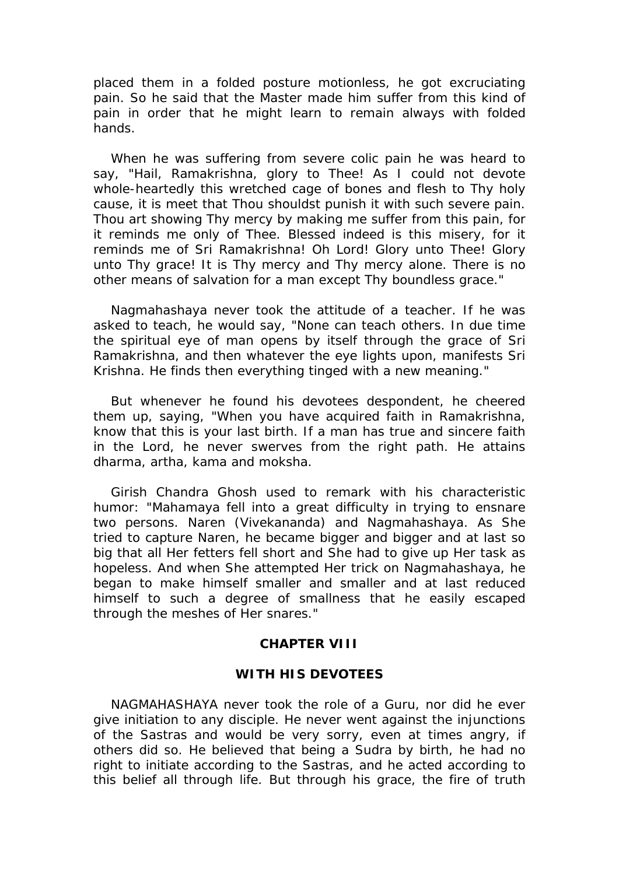placed them in a folded posture motionless, he got excruciating pain. So he said that the Master made him suffer from this kind of pain in order that he might learn to remain always with folded hands.

 When he was suffering from severe colic pain he was heard to say, "Hail, Ramakrishna, glory to Thee! As I could not devote whole-heartedly this wretched cage of bones and flesh to Thy holy cause, it is meet that Thou shouldst punish it with such severe pain. Thou art showing Thy mercy by making me suffer from this pain, for it reminds me only of Thee. Blessed indeed is this misery, for it reminds me of Sri Ramakrishna! Oh Lord! Glory unto Thee! Glory unto Thy grace! It is Thy mercy and Thy mercy alone. There is no other means of salvation for a man except Thy boundless grace."

 Nagmahashaya never took the attitude of a teacher. If he was asked to teach, he would say, "None can teach others. In due time the spiritual eye of man opens by itself through the grace of Sri Ramakrishna, and then whatever the eye lights upon, manifests Sri Krishna. He finds then everything tinged with a new meaning."

 But whenever he found his devotees despondent, he cheered them up, saying, "When you have acquired faith in Ramakrishna, know that this is your last birth. If a man has true and sincere faith in the Lord, he never swerves from the right path. He attains dharma, artha, kama and moksha.

 Girish Chandra Ghosh used to remark with his characteristic humor: "Mahamaya fell into a great difficulty in trying to ensnare two persons. Naren (Vivekananda) and Nagmahashaya. As She tried to capture Naren, he became bigger and bigger and at last so big that all Her fetters fell short and She had to give up Her task as hopeless. And when She attempted Her trick on Nagmahashaya, he began to make himself smaller and smaller and at last reduced himself to such a degree of smallness that he easily escaped through the meshes of Her snares."

# **CHAPTER VIII**

#### **WITH HIS DEVOTEES**

 NAGMAHASHAYA never took the role of a Guru, nor did he ever give initiation to any disciple. He never went against the injunctions of the Sastras and would be very sorry, even at times angry, if others did so. He believed that being a Sudra by birth, he had no right to initiate according to the Sastras, and he acted according to this belief all through life. But through his grace, the fire of truth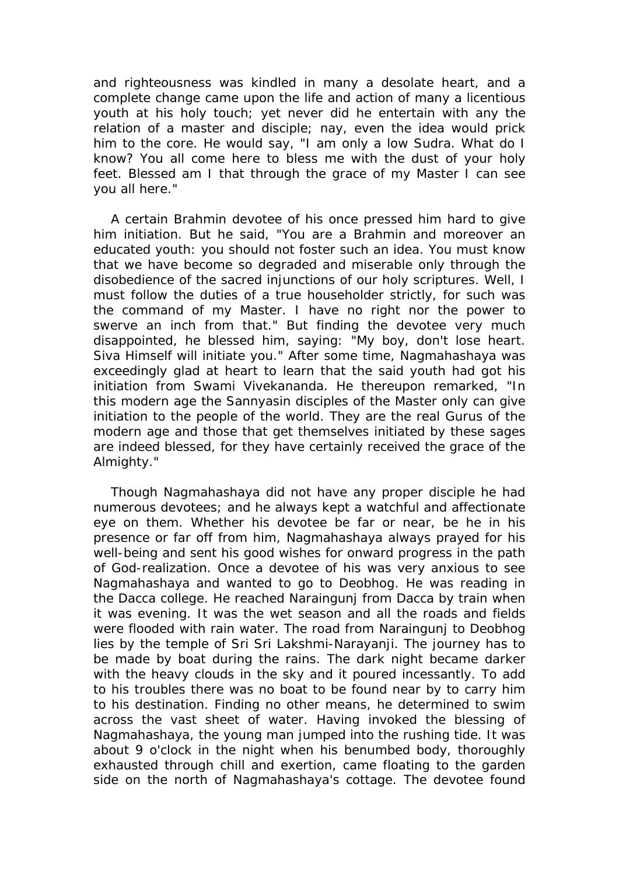and righteousness was kindled in many a desolate heart, and a complete change came upon the life and action of many a licentious youth at his holy touch; yet never did he entertain with any the relation of a master and disciple; nay, even the idea would prick him to the core. He would say, "I am only a low Sudra. What do I know? You all come here to bless me with the dust of your holy feet. Blessed am I that through the grace of my Master I can see you all here."

 A certain Brahmin devotee of his once pressed him hard to give him initiation. But he said, "You are a Brahmin and moreover an educated youth: you should not foster such an idea. You must know that we have become so degraded and miserable only through the disobedience of the sacred injunctions of our holy scriptures. Well, I must follow the duties of a true householder strictly, for such was the command of my Master. I have no right nor the power to swerve an inch from that." But finding the devotee very much disappointed, he blessed him, saying: "My boy, don't lose heart. Siva Himself will initiate you." After some time, Nagmahashaya was exceedingly glad at heart to learn that the said youth had got his initiation from Swami Vivekananda. He thereupon remarked, "In this modern age the Sannyasin disciples of the Master only can give initiation to the people of the world. They are the real Gurus of the modern age and those that get themselves initiated by these sages are indeed blessed, for they have certainly received the grace of the Almighty."

 Though Nagmahashaya did not have any proper disciple he had numerous devotees; and he always kept a watchful and affectionate eye on them. Whether his devotee be far or near, be he in his presence or far off from him, Nagmahashaya always prayed for his well-being and sent his good wishes for onward progress in the path of God-realization. Once a devotee of his was very anxious to see Nagmahashaya and wanted to go to Deobhog. He was reading in the Dacca college. He reached Naraingunj from Dacca by train when it was evening. It was the wet season and all the roads and fields were flooded with rain water. The road from Naraingunj to Deobhog lies by the temple of Sri Sri Lakshmi-Narayanji. The journey has to be made by boat during the rains. The dark night became darker with the heavy clouds in the sky and it poured incessantly. To add to his troubles there was no boat to be found near by to carry him to his destination. Finding no other means, he determined to swim across the vast sheet of water. Having invoked the blessing of Nagmahashaya, the young man jumped into the rushing tide. It was about 9 o'clock in the night when his benumbed body, thoroughly exhausted through chill and exertion, came floating to the garden side on the north of Nagmahashaya's cottage. The devotee found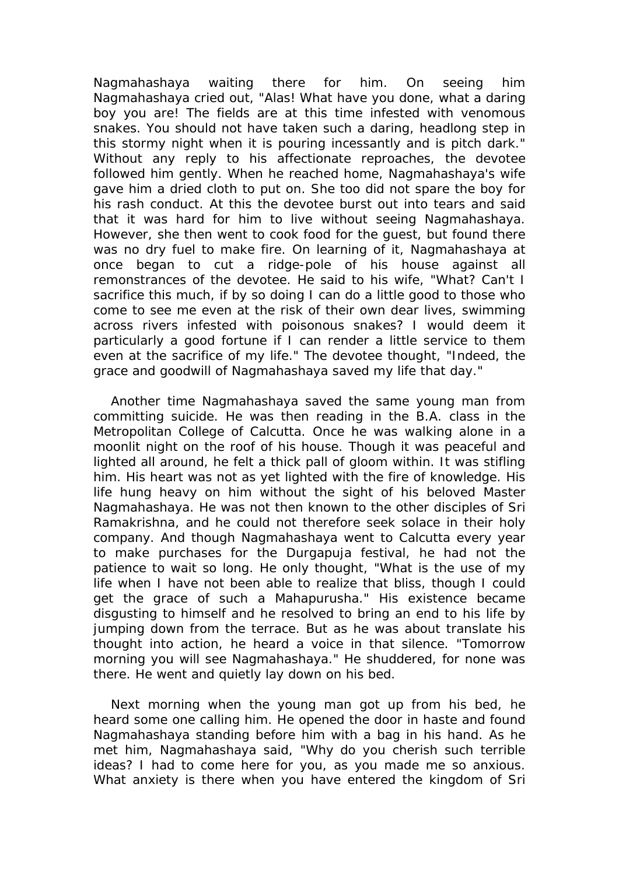Nagmahashaya waiting there for him. On seeing him Nagmahashaya cried out, "Alas! What have you done, what a daring boy you are! The fields are at this time infested with venomous snakes. You should not have taken such a daring, headlong step in this stormy night when it is pouring incessantly and is pitch dark." Without any reply to his affectionate reproaches, the devotee followed him gently. When he reached home, Nagmahashaya's wife gave him a dried cloth to put on. She too did not spare the boy for his rash conduct. At this the devotee burst out into tears and said that it was hard for him to live without seeing Nagmahashaya. However, she then went to cook food for the guest, but found there was no dry fuel to make fire. On learning of it, Nagmahashaya at once began to cut a ridge-pole of his house against all remonstrances of the devotee. He said to his wife, "What? Can't I sacrifice this much, if by so doing I can do a little good to those who come to see me even at the risk of their own dear lives, swimming across rivers infested with poisonous snakes? I would deem it particularly a good fortune if I can render a little service to them even at the sacrifice of my life." The devotee thought, "Indeed, the grace and goodwill of Nagmahashaya saved my life that day."

 Another time Nagmahashaya saved the same young man from committing suicide. He was then reading in the B.A. class in the Metropolitan College of Calcutta. Once he was walking alone in a moonlit night on the roof of his house. Though it was peaceful and lighted all around, he felt a thick pall of gloom within. It was stifling him. His heart was not as yet lighted with the fire of knowledge. His life hung heavy on him without the sight of his beloved Master Nagmahashaya. He was not then known to the other disciples of Sri Ramakrishna, and he could not therefore seek solace in their holy company. And though Nagmahashaya went to Calcutta every year to make purchases for the Durgapuja festival, he had not the patience to wait so long. He only thought, "What is the use of my life when I have not been able to realize that bliss, though I could get the grace of such a Mahapurusha." His existence became disgusting to himself and he resolved to bring an end to his life by jumping down from the terrace. But as he was about translate his thought into action, he heard a voice in that silence. "Tomorrow morning you will see Nagmahashaya." He shuddered, for none was there. He went and quietly lay down on his bed.

 Next morning when the young man got up from his bed, he heard some one calling him. He opened the door in haste and found Nagmahashaya standing before him with a bag in his hand. As he met him, Nagmahashaya said, "Why do you cherish such terrible ideas? I had to come here for you, as you made me so anxious. What anxiety is there when you have entered the kingdom of Sri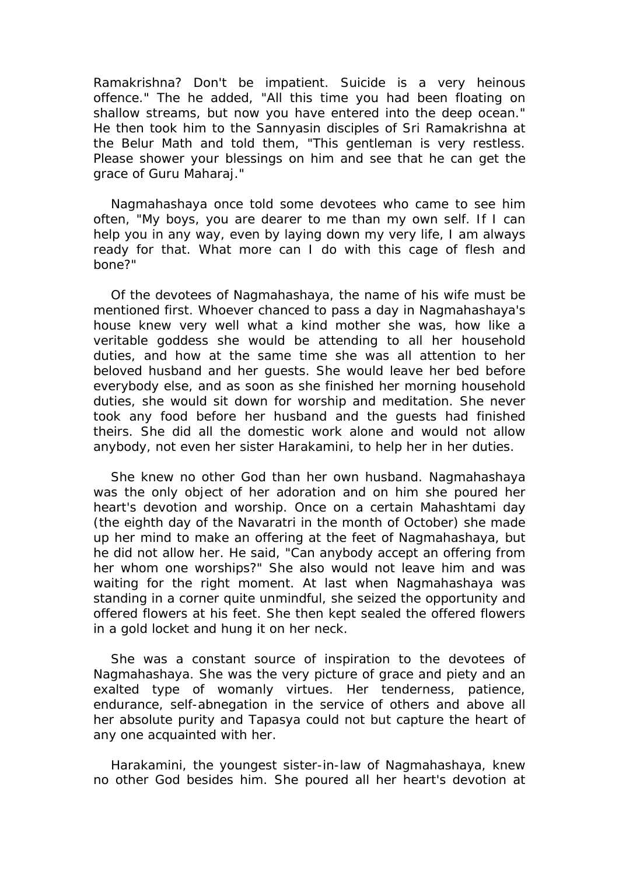Ramakrishna? Don't be impatient. Suicide is a very heinous offence." The he added, "All this time you had been floating on shallow streams, but now you have entered into the deep ocean." He then took him to the Sannyasin disciples of Sri Ramakrishna at the Belur Math and told them, "This gentleman is very restless. Please shower your blessings on him and see that he can get the grace of Guru Maharaj."

 Nagmahashaya once told some devotees who came to see him often, "My boys, you are dearer to me than my own self. If I can help you in any way, even by laying down my very life, I am always ready for that. What more can I do with this cage of flesh and bone?"

 Of the devotees of Nagmahashaya, the name of his wife must be mentioned first. Whoever chanced to pass a day in Nagmahashaya's house knew very well what a kind mother she was, how like a veritable goddess she would be attending to all her household duties, and how at the same time she was all attention to her beloved husband and her guests. She would leave her bed before everybody else, and as soon as she finished her morning household duties, she would sit down for worship and meditation. She never took any food before her husband and the guests had finished theirs. She did all the domestic work alone and would not allow anybody, not even her sister Harakamini, to help her in her duties.

 She knew no other God than her own husband. Nagmahashaya was the only object of her adoration and on him she poured her heart's devotion and worship. Once on a certain Mahashtami day (the eighth day of the Navaratri in the month of October) she made up her mind to make an offering at the feet of Nagmahashaya, but he did not allow her. He said, "Can anybody accept an offering from her whom one worships?" She also would not leave him and was waiting for the right moment. At last when Nagmahashaya was standing in a corner quite unmindful, she seized the opportunity and offered flowers at his feet. She then kept sealed the offered flowers in a gold locket and hung it on her neck.

 She was a constant source of inspiration to the devotees of Nagmahashaya. She was the very picture of grace and piety and an exalted type of womanly virtues. Her tenderness, patience, endurance, self-abnegation in the service of others and above all her absolute purity and Tapasya could not but capture the heart of any one acquainted with her.

 Harakamini, the youngest sister-in-law of Nagmahashaya, knew no other God besides him. She poured all her heart's devotion at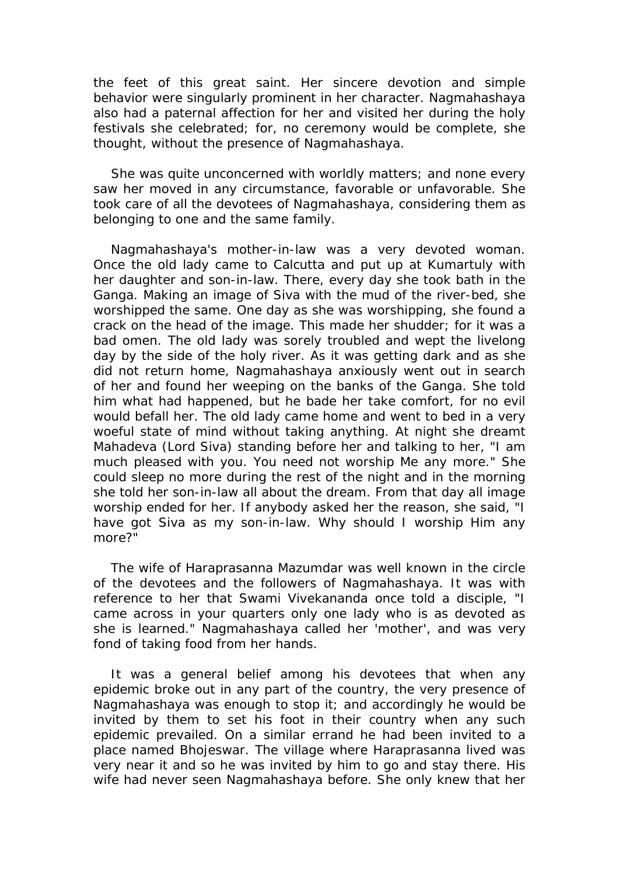the feet of this great saint. Her sincere devotion and simple behavior were singularly prominent in her character. Nagmahashaya also had a paternal affection for her and visited her during the holy festivals she celebrated; for, no ceremony would be complete, she thought, without the presence of Nagmahashaya.

 She was quite unconcerned with worldly matters; and none every saw her moved in any circumstance, favorable or unfavorable. She took care of all the devotees of Nagmahashaya, considering them as belonging to one and the same family.

 Nagmahashaya's mother-in-law was a very devoted woman. Once the old lady came to Calcutta and put up at Kumartuly with her daughter and son-in-law. There, every day she took bath in the Ganga. Making an image of Siva with the mud of the river-bed, she worshipped the same. One day as she was worshipping, she found a crack on the head of the image. This made her shudder; for it was a bad omen. The old lady was sorely troubled and wept the livelong day by the side of the holy river. As it was getting dark and as she did not return home, Nagmahashaya anxiously went out in search of her and found her weeping on the banks of the Ganga. She told him what had happened, but he bade her take comfort, for no evil would befall her. The old lady came home and went to bed in a very woeful state of mind without taking anything. At night she dreamt Mahadeva (Lord Siva) standing before her and talking to her, "I am much pleased with you. You need not worship Me any more." She could sleep no more during the rest of the night and in the morning she told her son-in-law all about the dream. From that day all image worship ended for her. If anybody asked her the reason, she said, "I have got Siva as my son-in-law. Why should I worship Him any more?"

 The wife of Haraprasanna Mazumdar was well known in the circle of the devotees and the followers of Nagmahashaya. It was with reference to her that Swami Vivekananda once told a disciple, "I came across in your quarters only one lady who is as devoted as she is learned." Nagmahashaya called her 'mother', and was very fond of taking food from her hands.

 It was a general belief among his devotees that when any epidemic broke out in any part of the country, the very presence of Nagmahashaya was enough to stop it; and accordingly he would be invited by them to set his foot in their country when any such epidemic prevailed. On a similar errand he had been invited to a place named Bhojeswar. The village where Haraprasanna lived was very near it and so he was invited by him to go and stay there. His wife had never seen Nagmahashaya before. She only knew that her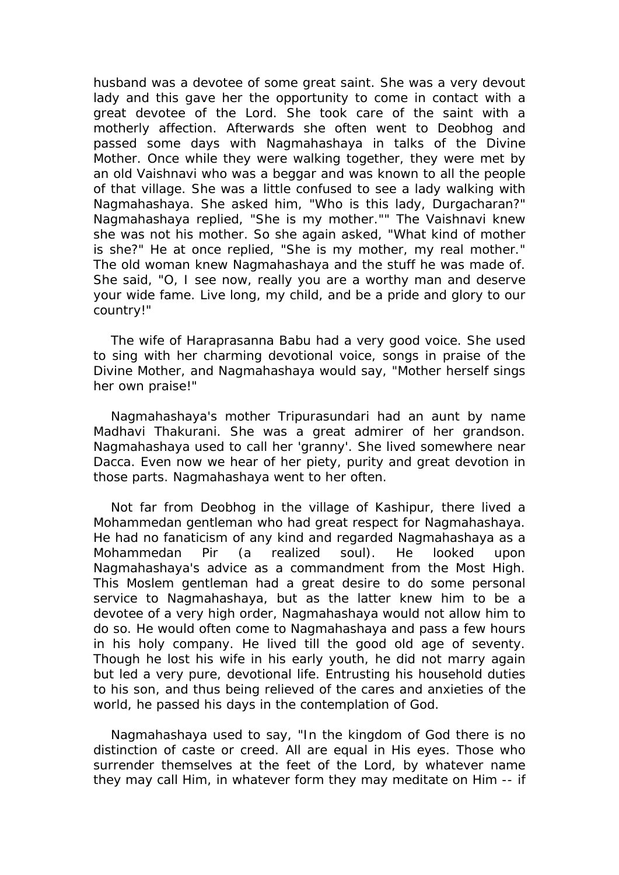husband was a devotee of some great saint. She was a very devout lady and this gave her the opportunity to come in contact with a great devotee of the Lord. She took care of the saint with a motherly affection. Afterwards she often went to Deobhog and passed some days with Nagmahashaya in talks of the Divine Mother. Once while they were walking together, they were met by an old Vaishnavi who was a beggar and was known to all the people of that village. She was a little confused to see a lady walking with Nagmahashaya. She asked him, "Who is this lady, Durgacharan?" Nagmahashaya replied, "She is my mother."" The Vaishnavi knew she was not his mother. So she again asked, "What kind of mother is she?" He at once replied, "She is my mother, my real mother." The old woman knew Nagmahashaya and the stuff he was made of. She said, "O, I see now, really you are a worthy man and deserve your wide fame. Live long, my child, and be a pride and glory to our country!"

 The wife of Haraprasanna Babu had a very good voice. She used to sing with her charming devotional voice, songs in praise of the Divine Mother, and Nagmahashaya would say, "Mother herself sings her own praise!"

 Nagmahashaya's mother Tripurasundari had an aunt by name Madhavi Thakurani. She was a great admirer of her grandson. Nagmahashaya used to call her 'granny'. She lived somewhere near Dacca. Even now we hear of her piety, purity and great devotion in those parts. Nagmahashaya went to her often.

 Not far from Deobhog in the village of Kashipur, there lived a Mohammedan gentleman who had great respect for Nagmahashaya. He had no fanaticism of any kind and regarded Nagmahashaya as a Mohammedan Pir (a realized soul). He looked upon Nagmahashaya's advice as a commandment from the Most High. This Moslem gentleman had a great desire to do some personal service to Nagmahashaya, but as the latter knew him to be a devotee of a very high order, Nagmahashaya would not allow him to do so. He would often come to Nagmahashaya and pass a few hours in his holy company. He lived till the good old age of seventy. Though he lost his wife in his early youth, he did not marry again but led a very pure, devotional life. Entrusting his household duties to his son, and thus being relieved of the cares and anxieties of the world, he passed his days in the contemplation of God.

 Nagmahashaya used to say, "In the kingdom of God there is no distinction of caste or creed. All are equal in His eyes. Those who surrender themselves at the feet of the Lord, by whatever name they may call Him, in whatever form they may meditate on Him -- if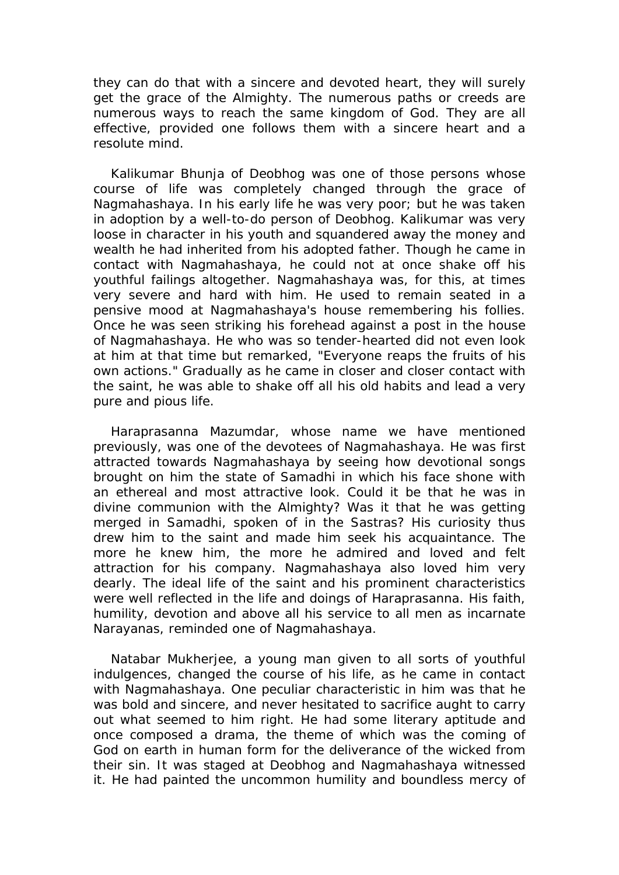they can do that with a sincere and devoted heart, they will surely get the grace of the Almighty. The numerous paths or creeds are numerous ways to reach the same kingdom of God. They are all effective, provided one follows them with a sincere heart and a resolute mind.

 Kalikumar Bhunja of Deobhog was one of those persons whose course of life was completely changed through the grace of Nagmahashaya. In his early life he was very poor; but he was taken in adoption by a well-to-do person of Deobhog. Kalikumar was very loose in character in his youth and squandered away the money and wealth he had inherited from his adopted father. Though he came in contact with Nagmahashaya, he could not at once shake off his youthful failings altogether. Nagmahashaya was, for this, at times very severe and hard with him. He used to remain seated in a pensive mood at Nagmahashaya's house remembering his follies. Once he was seen striking his forehead against a post in the house of Nagmahashaya. He who was so tender-hearted did not even look at him at that time but remarked, "Everyone reaps the fruits of his own actions." Gradually as he came in closer and closer contact with the saint, he was able to shake off all his old habits and lead a very pure and pious life.

 Haraprasanna Mazumdar, whose name we have mentioned previously, was one of the devotees of Nagmahashaya. He was first attracted towards Nagmahashaya by seeing how devotional songs brought on him the state of Samadhi in which his face shone with an ethereal and most attractive look. Could it be that he was in divine communion with the Almighty? Was it that he was getting merged in Samadhi, spoken of in the Sastras? His curiosity thus drew him to the saint and made him seek his acquaintance. The more he knew him, the more he admired and loved and felt attraction for his company. Nagmahashaya also loved him very dearly. The ideal life of the saint and his prominent characteristics were well reflected in the life and doings of Haraprasanna. His faith, humility, devotion and above all his service to all men as incarnate Narayanas, reminded one of Nagmahashaya.

 Natabar Mukherjee, a young man given to all sorts of youthful indulgences, changed the course of his life, as he came in contact with Nagmahashaya. One peculiar characteristic in him was that he was bold and sincere, and never hesitated to sacrifice aught to carry out what seemed to him right. He had some literary aptitude and once composed a drama, the theme of which was the coming of God on earth in human form for the deliverance of the wicked from their sin. It was staged at Deobhog and Nagmahashaya witnessed it. He had painted the uncommon humility and boundless mercy of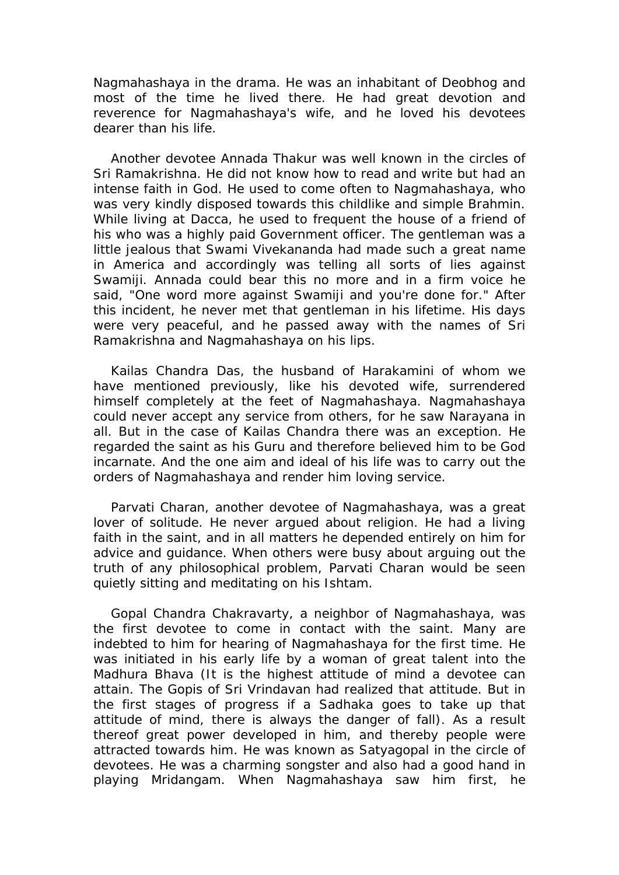Nagmahashaya in the drama. He was an inhabitant of Deobhog and most of the time he lived there. He had great devotion and reverence for Nagmahashaya's wife, and he loved his devotees dearer than his life.

 Another devotee Annada Thakur was well known in the circles of Sri Ramakrishna. He did not know how to read and write but had an intense faith in God. He used to come often to Nagmahashaya, who was very kindly disposed towards this childlike and simple Brahmin. While living at Dacca, he used to frequent the house of a friend of his who was a highly paid Government officer. The gentleman was a little jealous that Swami Vivekananda had made such a great name in America and accordingly was telling all sorts of lies against Swamiji. Annada could bear this no more and in a firm voice he said, "One word more against Swamiji and you're done for." After this incident, he never met that gentleman in his lifetime. His days were very peaceful, and he passed away with the names of Sri Ramakrishna and Nagmahashaya on his lips.

 Kailas Chandra Das, the husband of Harakamini of whom we have mentioned previously, like his devoted wife, surrendered himself completely at the feet of Nagmahashaya. Nagmahashaya could never accept any service from others, for he saw Narayana in all. But in the case of Kailas Chandra there was an exception. He regarded the saint as his Guru and therefore believed him to be God incarnate. And the one aim and ideal of his life was to carry out the orders of Nagmahashaya and render him loving service.

 Parvati Charan, another devotee of Nagmahashaya, was a great lover of solitude. He never argued about religion. He had a living faith in the saint, and in all matters he depended entirely on him for advice and guidance. When others were busy about arguing out the truth of any philosophical problem, Parvati Charan would be seen quietly sitting and meditating on his Ishtam.

 Gopal Chandra Chakravarty, a neighbor of Nagmahashaya, was the first devotee to come in contact with the saint. Many are indebted to him for hearing of Nagmahashaya for the first time. He was initiated in his early life by a woman of great talent into the Madhura Bhava (It is the highest attitude of mind a devotee can attain. The Gopis of Sri Vrindavan had realized that attitude. But in the first stages of progress if a Sadhaka goes to take up that attitude of mind, there is always the danger of fall). As a result thereof great power developed in him, and thereby people were attracted towards him. He was known as Satyagopal in the circle of devotees. He was a charming songster and also had a good hand in playing Mridangam. When Nagmahashaya saw him first, he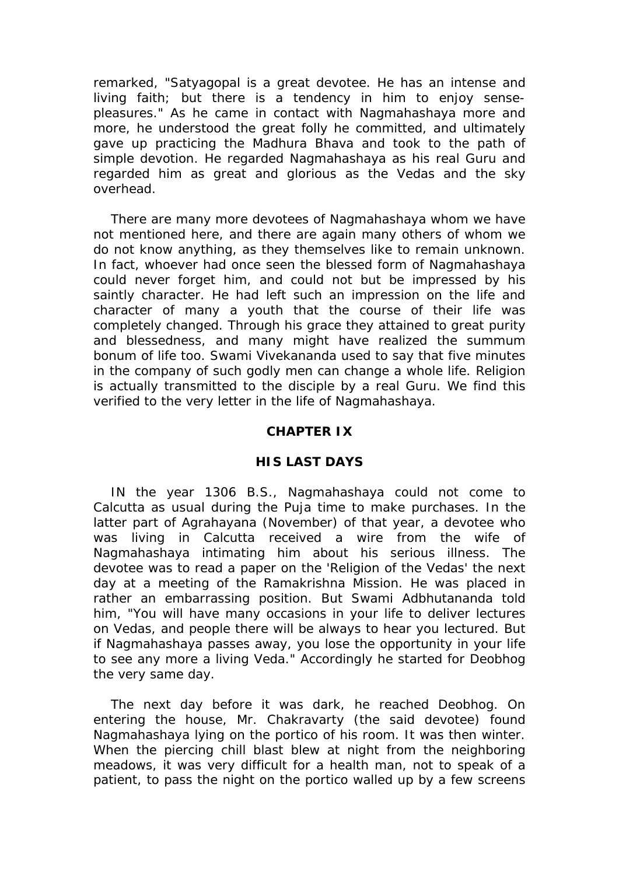remarked, "Satyagopal is a great devotee. He has an intense and living faith; but there is a tendency in him to enjoy sensepleasures." As he came in contact with Nagmahashaya more and more, he understood the great folly he committed, and ultimately gave up practicing the Madhura Bhava and took to the path of simple devotion. He regarded Nagmahashaya as his real Guru and regarded him as great and glorious as the Vedas and the sky overhead.

 There are many more devotees of Nagmahashaya whom we have not mentioned here, and there are again many others of whom we do not know anything, as they themselves like to remain unknown. In fact, whoever had once seen the blessed form of Nagmahashaya could never forget him, and could not but be impressed by his saintly character. He had left such an impression on the life and character of many a youth that the course of their life was completely changed. Through his grace they attained to great purity and blessedness, and many might have realized the summum bonum of life too. Swami Vivekananda used to say that five minutes in the company of such godly men can change a whole life. Religion is actually transmitted to the disciple by a real Guru. We find this verified to the very letter in the life of Nagmahashaya.

### **CHAPTER IX**

# **HIS LAST DAYS**

 IN the year 1306 B.S., Nagmahashaya could not come to Calcutta as usual during the Puja time to make purchases. In the latter part of Agrahayana (November) of that year, a devotee who was living in Calcutta received a wire from the wife of Nagmahashaya intimating him about his serious illness. The devotee was to read a paper on the 'Religion of the Vedas' the next day at a meeting of the Ramakrishna Mission. He was placed in rather an embarrassing position. But Swami Adbhutananda told him, "You will have many occasions in your life to deliver lectures on Vedas, and people there will be always to hear you lectured. But if Nagmahashaya passes away, you lose the opportunity in your life to see any more a living Veda." Accordingly he started for Deobhog the very same day.

 The next day before it was dark, he reached Deobhog. On entering the house, Mr. Chakravarty (the said devotee) found Nagmahashaya lying on the portico of his room. It was then winter. When the piercing chill blast blew at night from the neighboring meadows, it was very difficult for a health man, not to speak of a patient, to pass the night on the portico walled up by a few screens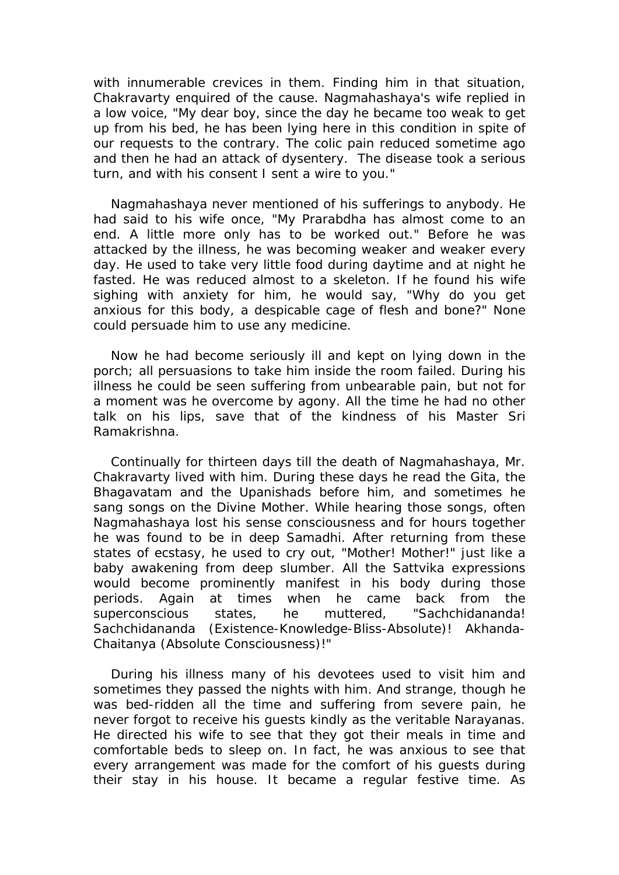with innumerable crevices in them. Finding him in that situation, Chakravarty enquired of the cause. Nagmahashaya's wife replied in a low voice, "My dear boy, since the day he became too weak to get up from his bed, he has been lying here in this condition in spite of our requests to the contrary. The colic pain reduced sometime ago and then he had an attack of dysentery. The disease took a serious turn, and with his consent I sent a wire to you."

 Nagmahashaya never mentioned of his sufferings to anybody. He had said to his wife once, "My Prarabdha has almost come to an end. A little more only has to be worked out." Before he was attacked by the illness, he was becoming weaker and weaker every day. He used to take very little food during daytime and at night he fasted. He was reduced almost to a skeleton. If he found his wife sighing with anxiety for him, he would say, "Why do you get anxious for this body, a despicable cage of flesh and bone?" None could persuade him to use any medicine.

 Now he had become seriously ill and kept on lying down in the porch; all persuasions to take him inside the room failed. During his illness he could be seen suffering from unbearable pain, but not for a moment was he overcome by agony. All the time he had no other talk on his lips, save that of the kindness of his Master Sri Ramakrishna.

 Continually for thirteen days till the death of Nagmahashaya, Mr. Chakravarty lived with him. During these days he read the Gita, the Bhagavatam and the Upanishads before him, and sometimes he sang songs on the Divine Mother. While hearing those songs, often Nagmahashaya lost his sense consciousness and for hours together he was found to be in deep Samadhi. After returning from these states of ecstasy, he used to cry out, "Mother! Mother!" just like a baby awakening from deep slumber. All the Sattvika expressions would become prominently manifest in his body during those periods. Again at times when he came back from the superconscious states, he muttered, "Sachchidananda! Sachchidananda (Existence-Knowledge-Bliss-Absolute)! Akhanda-Chaitanya (Absolute Consciousness)!"

 During his illness many of his devotees used to visit him and sometimes they passed the nights with him. And strange, though he was bed-ridden all the time and suffering from severe pain, he never forgot to receive his guests kindly as the veritable Narayanas. He directed his wife to see that they got their meals in time and comfortable beds to sleep on. In fact, he was anxious to see that every arrangement was made for the comfort of his guests during their stay in his house. It became a regular festive time. As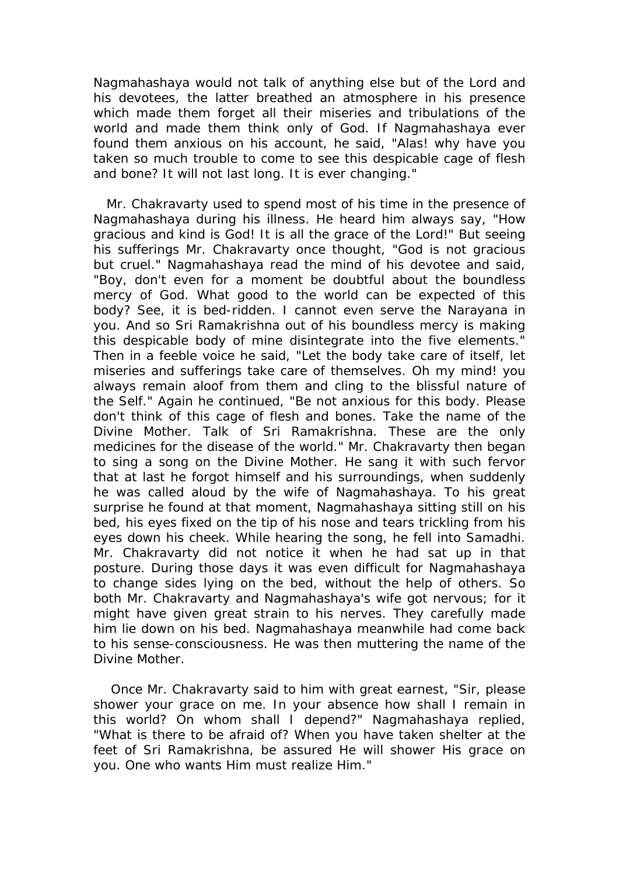Nagmahashaya would not talk of anything else but of the Lord and his devotees, the latter breathed an atmosphere in his presence which made them forget all their miseries and tribulations of the world and made them think only of God. If Nagmahashaya ever found them anxious on his account, he said, "Alas! why have you taken so much trouble to come to see this despicable cage of flesh and bone? It will not last long. It is ever changing."

 Mr. Chakravarty used to spend most of his time in the presence of Nagmahashaya during his illness. He heard him always say, "How gracious and kind is God! It is all the grace of the Lord!" But seeing his sufferings Mr. Chakravarty once thought, "God is not gracious but cruel." Nagmahashaya read the mind of his devotee and said, "Boy, don't even for a moment be doubtful about the boundless mercy of God. What good to the world can be expected of this body? See, it is bed-ridden. I cannot even serve the Narayana in you. And so Sri Ramakrishna out of his boundless mercy is making this despicable body of mine disintegrate into the five elements." Then in a feeble voice he said, "Let the body take care of itself, let miseries and sufferings take care of themselves. Oh my mind! you always remain aloof from them and cling to the blissful nature of the Self." Again he continued, "Be not anxious for this body. Please don't think of this cage of flesh and bones. Take the name of the Divine Mother. Talk of Sri Ramakrishna. These are the only medicines for the disease of the world." Mr. Chakravarty then began to sing a song on the Divine Mother. He sang it with such fervor that at last he forgot himself and his surroundings, when suddenly he was called aloud by the wife of Nagmahashaya. To his great surprise he found at that moment, Nagmahashaya sitting still on his bed, his eyes fixed on the tip of his nose and tears trickling from his eyes down his cheek. While hearing the song, he fell into Samadhi. Mr. Chakravarty did not notice it when he had sat up in that posture. During those days it was even difficult for Nagmahashaya to change sides lying on the bed, without the help of others. So both Mr. Chakravarty and Nagmahashaya's wife got nervous; for it might have given great strain to his nerves. They carefully made him lie down on his bed. Nagmahashaya meanwhile had come back to his sense-consciousness. He was then muttering the name of the Divine Mother.

 Once Mr. Chakravarty said to him with great earnest, "Sir, please shower your grace on me. In your absence how shall I remain in this world? On whom shall I depend?" Nagmahashaya replied, "What is there to be afraid of? When you have taken shelter at the feet of Sri Ramakrishna, be assured He will shower His grace on you. One who wants Him must realize Him."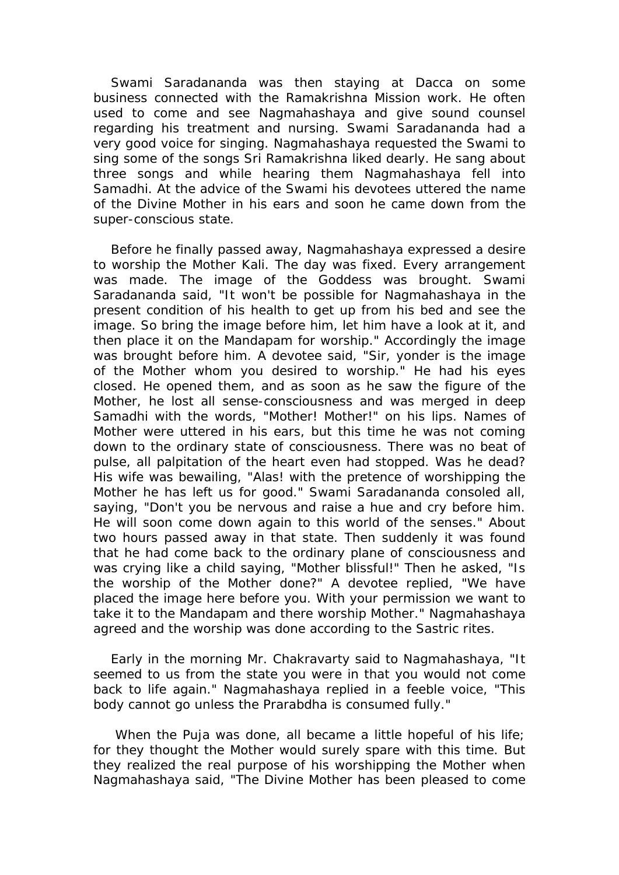Swami Saradananda was then staying at Dacca on some business connected with the Ramakrishna Mission work. He often used to come and see Nagmahashaya and give sound counsel regarding his treatment and nursing. Swami Saradananda had a very good voice for singing. Nagmahashaya requested the Swami to sing some of the songs Sri Ramakrishna liked dearly. He sang about three songs and while hearing them Nagmahashaya fell into Samadhi. At the advice of the Swami his devotees uttered the name of the Divine Mother in his ears and soon he came down from the super-conscious state.

 Before he finally passed away, Nagmahashaya expressed a desire to worship the Mother Kali. The day was fixed. Every arrangement was made. The image of the Goddess was brought. Swami Saradananda said, "It won't be possible for Nagmahashaya in the present condition of his health to get up from his bed and see the image. So bring the image before him, let him have a look at it, and then place it on the Mandapam for worship." Accordingly the image was brought before him. A devotee said, "Sir, yonder is the image of the Mother whom you desired to worship." He had his eyes closed. He opened them, and as soon as he saw the figure of the Mother, he lost all sense-consciousness and was merged in deep Samadhi with the words, "Mother! Mother!" on his lips. Names of Mother were uttered in his ears, but this time he was not coming down to the ordinary state of consciousness. There was no beat of pulse, all palpitation of the heart even had stopped. Was he dead? His wife was bewailing, "Alas! with the pretence of worshipping the Mother he has left us for good." Swami Saradananda consoled all, saying, "Don't you be nervous and raise a hue and cry before him. He will soon come down again to this world of the senses." About two hours passed away in that state. Then suddenly it was found that he had come back to the ordinary plane of consciousness and was crying like a child saying, "Mother blissful!" Then he asked, "Is the worship of the Mother done?" A devotee replied, "We have placed the image here before you. With your permission we want to take it to the Mandapam and there worship Mother." Nagmahashaya agreed and the worship was done according to the Sastric rites.

 Early in the morning Mr. Chakravarty said to Nagmahashaya, "It seemed to us from the state you were in that you would not come back to life again." Nagmahashaya replied in a feeble voice, "This body cannot go unless the Prarabdha is consumed fully."

When the Puja was done, all became a little hopeful of his life; for they thought the Mother would surely spare with this time. But they realized the real purpose of his worshipping the Mother when Nagmahashaya said, "The Divine Mother has been pleased to come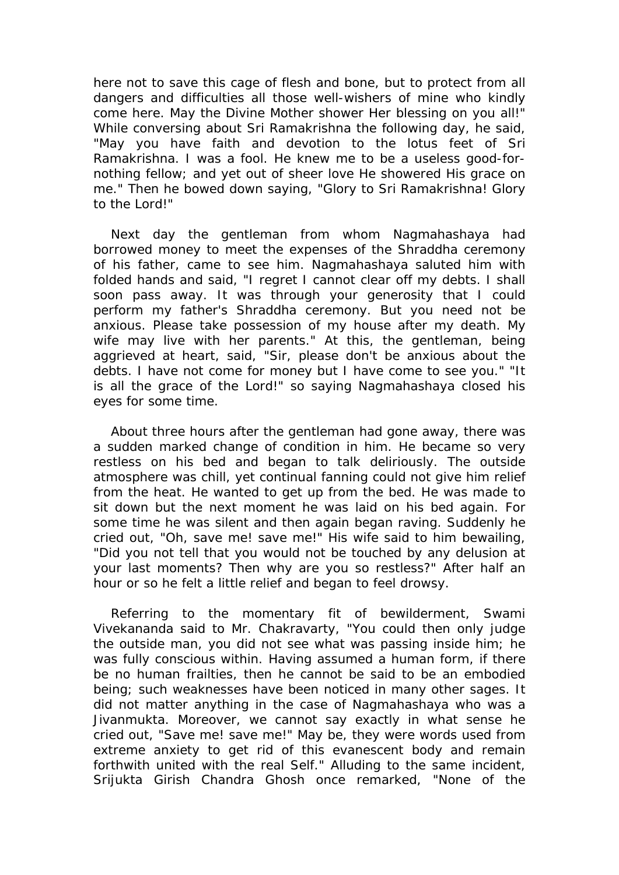here not to save this cage of flesh and bone, but to protect from all dangers and difficulties all those well-wishers of mine who kindly come here. May the Divine Mother shower Her blessing on you all!" While conversing about Sri Ramakrishna the following day, he said, "May you have faith and devotion to the lotus feet of Sri Ramakrishna. I was a fool. He knew me to be a useless good-fornothing fellow; and yet out of sheer love He showered His grace on me." Then he bowed down saying, "Glory to Sri Ramakrishna! Glory to the Lord!"

 Next day the gentleman from whom Nagmahashaya had borrowed money to meet the expenses of the Shraddha ceremony of his father, came to see him. Nagmahashaya saluted him with folded hands and said, "I regret I cannot clear off my debts. I shall soon pass away. It was through your generosity that I could perform my father's Shraddha ceremony. But you need not be anxious. Please take possession of my house after my death. My wife may live with her parents." At this, the gentleman, being aggrieved at heart, said, "Sir, please don't be anxious about the debts. I have not come for money but I have come to see you." "It is all the grace of the Lord!" so saying Nagmahashaya closed his eyes for some time.

 About three hours after the gentleman had gone away, there was a sudden marked change of condition in him. He became so very restless on his bed and began to talk deliriously. The outside atmosphere was chill, yet continual fanning could not give him relief from the heat. He wanted to get up from the bed. He was made to sit down but the next moment he was laid on his bed again. For some time he was silent and then again began raving. Suddenly he cried out, "Oh, save me! save me!" His wife said to him bewailing, "Did you not tell that you would not be touched by any delusion at your last moments? Then why are you so restless?" After half an hour or so he felt a little relief and began to feel drowsy.

 Referring to the momentary fit of bewilderment, Swami Vivekananda said to Mr. Chakravarty, "You could then only judge the outside man, you did not see what was passing inside him; he was fully conscious within. Having assumed a human form, if there be no human frailties, then he cannot be said to be an embodied being; such weaknesses have been noticed in many other sages. It did not matter anything in the case of Nagmahashaya who was a Jivanmukta. Moreover, we cannot say exactly in what sense he cried out, "Save me! save me!" May be, they were words used from extreme anxiety to get rid of this evanescent body and remain forthwith united with the real Self." Alluding to the same incident, Srijukta Girish Chandra Ghosh once remarked, "None of the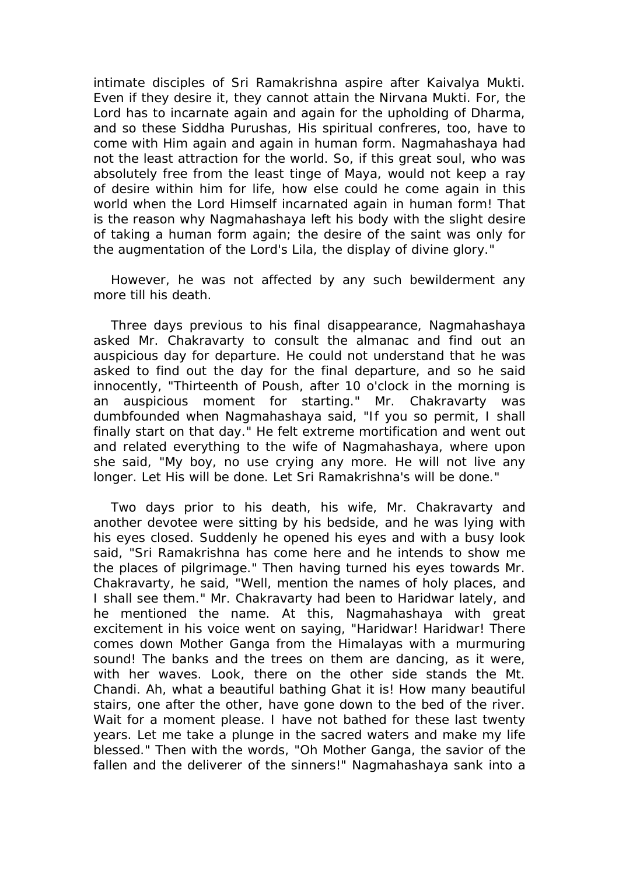intimate disciples of Sri Ramakrishna aspire after Kaivalya Mukti. Even if they desire it, they cannot attain the Nirvana Mukti. For, the Lord has to incarnate again and again for the upholding of Dharma, and so these Siddha Purushas, His spiritual confreres, too, have to come with Him again and again in human form. Nagmahashaya had not the least attraction for the world. So, if this great soul, who was absolutely free from the least tinge of Maya, would not keep a ray of desire within him for life, how else could he come again in this world when the Lord Himself incarnated again in human form! That is the reason why Nagmahashaya left his body with the slight desire of taking a human form again; the desire of the saint was only for the augmentation of the Lord's Lila, the display of divine glory."

 However, he was not affected by any such bewilderment any more till his death.

 Three days previous to his final disappearance, Nagmahashaya asked Mr. Chakravarty to consult the almanac and find out an auspicious day for departure. He could not understand that he was asked to find out the day for the final departure, and so he said innocently, "Thirteenth of Poush, after 10 o'clock in the morning is an auspicious moment for starting." Mr. Chakravarty was dumbfounded when Nagmahashaya said, "If you so permit, I shall finally start on that day." He felt extreme mortification and went out and related everything to the wife of Nagmahashaya, where upon she said, "My boy, no use crying any more. He will not live any longer. Let His will be done. Let Sri Ramakrishna's will be done."

 Two days prior to his death, his wife, Mr. Chakravarty and another devotee were sitting by his bedside, and he was lying with his eyes closed. Suddenly he opened his eyes and with a busy look said, "Sri Ramakrishna has come here and he intends to show me the places of pilgrimage." Then having turned his eyes towards Mr. Chakravarty, he said, "Well, mention the names of holy places, and I shall see them." Mr. Chakravarty had been to Haridwar lately, and he mentioned the name. At this, Nagmahashaya with great excitement in his voice went on saying, "Haridwar! Haridwar! There comes down Mother Ganga from the Himalayas with a murmuring sound! The banks and the trees on them are dancing, as it were, with her waves. Look, there on the other side stands the Mt. Chandi. Ah, what a beautiful bathing Ghat it is! How many beautiful stairs, one after the other, have gone down to the bed of the river. Wait for a moment please. I have not bathed for these last twenty years. Let me take a plunge in the sacred waters and make my life blessed." Then with the words, "Oh Mother Ganga, the savior of the fallen and the deliverer of the sinners!" Nagmahashaya sank into a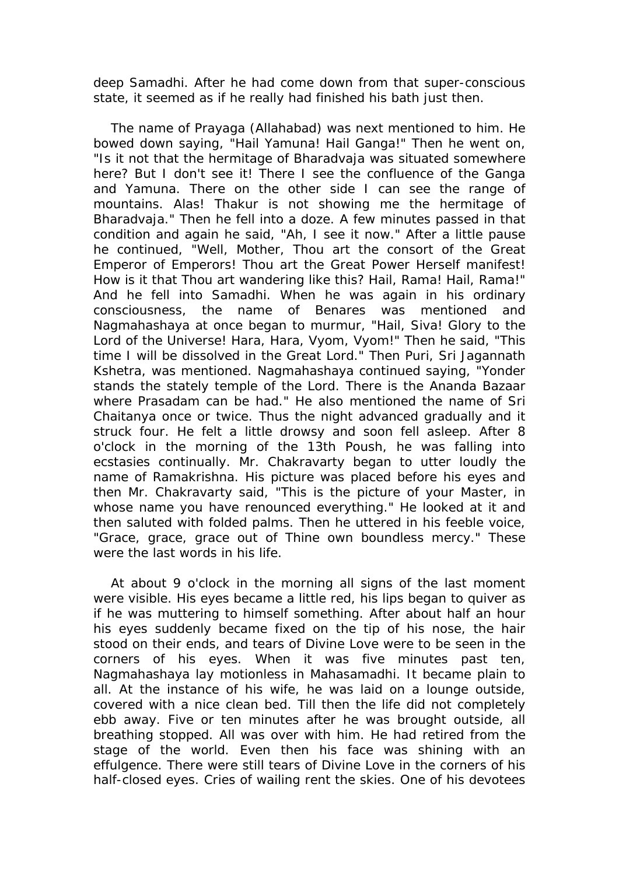deep Samadhi. After he had come down from that super-conscious state, it seemed as if he really had finished his bath just then.

 The name of Prayaga (Allahabad) was next mentioned to him. He bowed down saying, "Hail Yamuna! Hail Ganga!" Then he went on, "Is it not that the hermitage of Bharadvaja was situated somewhere here? But I don't see it! There I see the confluence of the Ganga and Yamuna. There on the other side I can see the range of mountains. Alas! Thakur is not showing me the hermitage of Bharadvaja." Then he fell into a doze. A few minutes passed in that condition and again he said, "Ah, I see it now." After a little pause he continued, "Well, Mother, Thou art the consort of the Great Emperor of Emperors! Thou art the Great Power Herself manifest! How is it that Thou art wandering like this? Hail, Rama! Hail, Rama!" And he fell into Samadhi. When he was again in his ordinary consciousness, the name of Benares was mentioned and Nagmahashaya at once began to murmur, "Hail, Siva! Glory to the Lord of the Universe! Hara, Hara, Vyom, Vyom!" Then he said, "This time I will be dissolved in the Great Lord." Then Puri, Sri Jagannath Kshetra, was mentioned. Nagmahashaya continued saying, "Yonder stands the stately temple of the Lord. There is the Ananda Bazaar where Prasadam can be had." He also mentioned the name of Sri Chaitanya once or twice. Thus the night advanced gradually and it struck four. He felt a little drowsy and soon fell asleep. After 8 o'clock in the morning of the 13th Poush, he was falling into ecstasies continually. Mr. Chakravarty began to utter loudly the name of Ramakrishna. His picture was placed before his eyes and then Mr. Chakravarty said, "This is the picture of your Master, in whose name you have renounced everything." He looked at it and then saluted with folded palms. Then he uttered in his feeble voice, "Grace, grace, grace out of Thine own boundless mercy." These were the last words in his life.

 At about 9 o'clock in the morning all signs of the last moment were visible. His eyes became a little red, his lips began to quiver as if he was muttering to himself something. After about half an hour his eyes suddenly became fixed on the tip of his nose, the hair stood on their ends, and tears of Divine Love were to be seen in the corners of his eyes. When it was five minutes past ten, Nagmahashaya lay motionless in Mahasamadhi. It became plain to all. At the instance of his wife, he was laid on a lounge outside, covered with a nice clean bed. Till then the life did not completely ebb away. Five or ten minutes after he was brought outside, all breathing stopped. All was over with him. He had retired from the stage of the world. Even then his face was shining with an effulgence. There were still tears of Divine Love in the corners of his half-closed eyes. Cries of wailing rent the skies. One of his devotees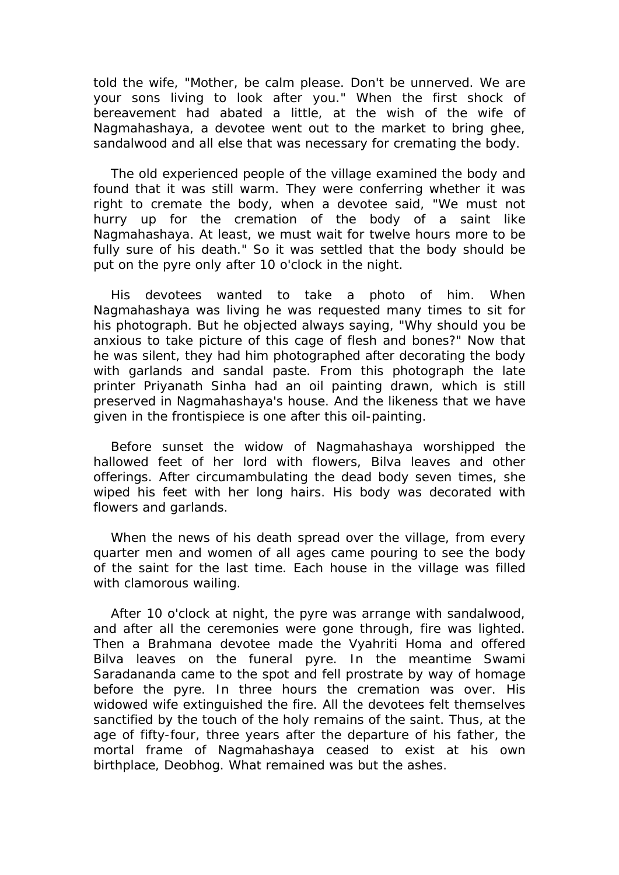told the wife, "Mother, be calm please. Don't be unnerved. We are your sons living to look after you." When the first shock of bereavement had abated a little, at the wish of the wife of Nagmahashaya, a devotee went out to the market to bring ghee, sandalwood and all else that was necessary for cremating the body.

 The old experienced people of the village examined the body and found that it was still warm. They were conferring whether it was right to cremate the body, when a devotee said, "We must not hurry up for the cremation of the body of a saint like Nagmahashaya. At least, we must wait for twelve hours more to be fully sure of his death." So it was settled that the body should be put on the pyre only after 10 o'clock in the night.

 His devotees wanted to take a photo of him. When Nagmahashaya was living he was requested many times to sit for his photograph. But he objected always saying, "Why should you be anxious to take picture of this cage of flesh and bones?" Now that he was silent, they had him photographed after decorating the body with garlands and sandal paste. From this photograph the late printer Priyanath Sinha had an oil painting drawn, which is still preserved in Nagmahashaya's house. And the likeness that we have given in the frontispiece is one after this oil-painting.

 Before sunset the widow of Nagmahashaya worshipped the hallowed feet of her lord with flowers, Bilva leaves and other offerings. After circumambulating the dead body seven times, she wiped his feet with her long hairs. His body was decorated with flowers and garlands.

 When the news of his death spread over the village, from every quarter men and women of all ages came pouring to see the body of the saint for the last time. Each house in the village was filled with clamorous wailing.

 After 10 o'clock at night, the pyre was arrange with sandalwood, and after all the ceremonies were gone through, fire was lighted. Then a Brahmana devotee made the Vyahriti Homa and offered Bilva leaves on the funeral pyre. In the meantime Swami Saradananda came to the spot and fell prostrate by way of homage before the pyre. In three hours the cremation was over. His widowed wife extinguished the fire. All the devotees felt themselves sanctified by the touch of the holy remains of the saint. Thus, at the age of fifty-four, three years after the departure of his father, the mortal frame of Nagmahashaya ceased to exist at his own birthplace, Deobhog. What remained was but the ashes.